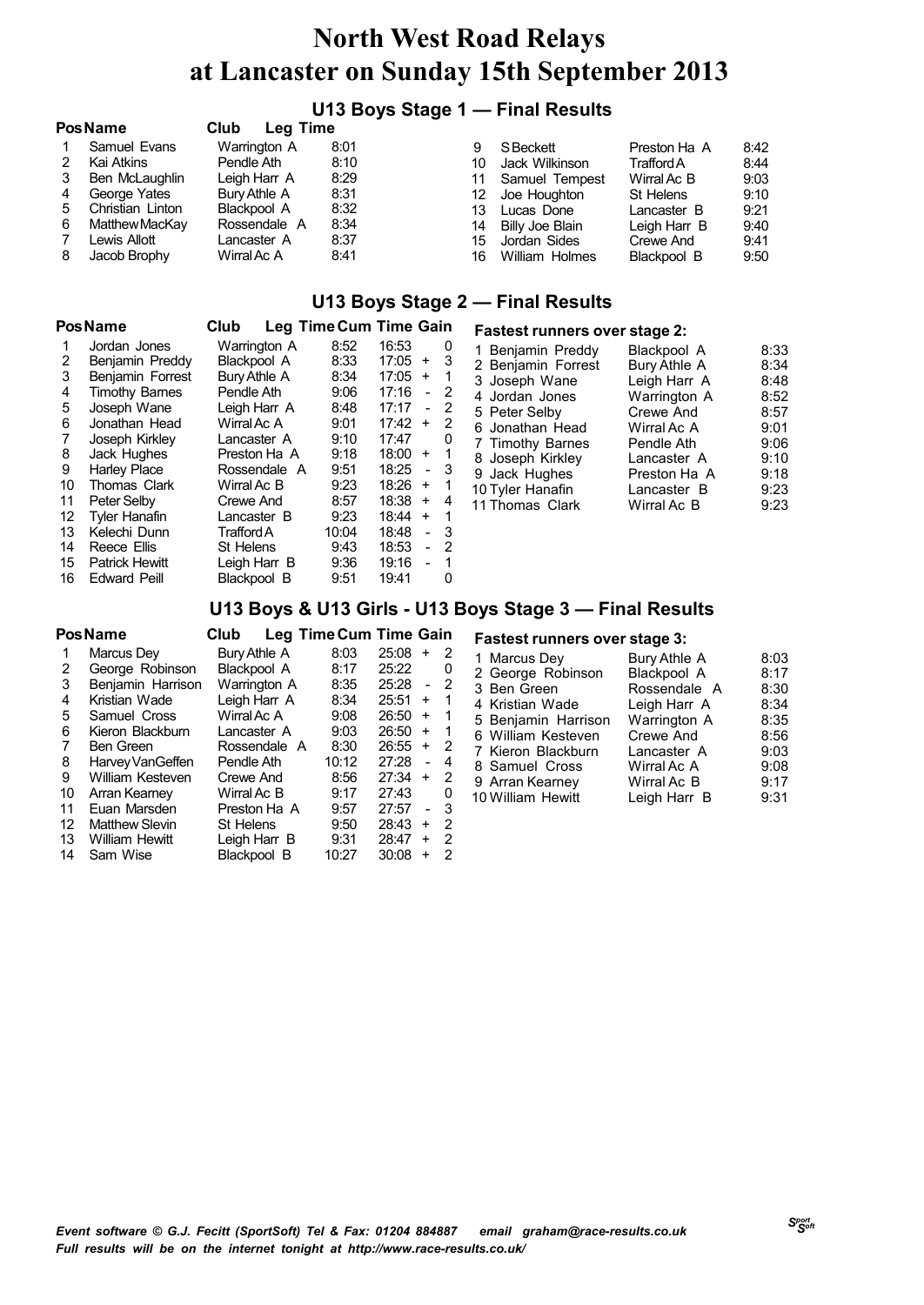### **U13 Boys Stage 1 — Final Results**

| <b>Pos Name</b> |                  | Club<br>Leg Time |      |     |                 |                   |      |
|-----------------|------------------|------------------|------|-----|-----------------|-------------------|------|
|                 | Samuel Evans     | Warrington A     | 8:01 | 9   | S Beckett       | Preston Ha A      | 8:42 |
|                 | Kai Atkins       | Pendle Ath       | 8:10 | 10  | Jack Wilkinson  | <b>Trafford A</b> | 8:44 |
|                 | Ben McLaughlin   | Leigh Harr A     | 8:29 | 11  | Samuel Tempest  | Wirral Ac B       | 9:03 |
|                 | George Yates     | Bury Athle A     | 8:31 | 12. | Joe Houghton    | St Helens         | 9:10 |
| 5               | Christian Linton | Blackpool A      | 8:32 | 13. | Lucas Done      | Lancaster B       | 9:21 |
| 6               | Matthew MacKay   | Rossendale A     | 8:34 | 14  | Billy Joe Blain | Leigh Harr B      | 9:40 |
|                 | Lewis Allott     | Lancaster A      | 8:37 | 15  | Jordan Sides    | Crewe And         | 9:41 |
| 8               | Jacob Brophy     | Wirral Ac A      | 8:41 | 16  | William Holmes  | Blackpool B       | 9:50 |

#### **U13 Boys Stage 2 — Final Results**

#### **PosName Club**

| Leg Time Cum Time Gain | <b>Fastest runners over stage 2:</b> |
|------------------------|--------------------------------------|
|------------------------|--------------------------------------|

| 1  | Jordan Jones          | Warrington A | 8:52  | 16:53                             | 0   |  |
|----|-----------------------|--------------|-------|-----------------------------------|-----|--|
| 2  | Benjamin Preddy       | Blackpool A  | 8:33  | 17:05<br>$+$                      | 3   |  |
| 3  | Benjamin Forrest      | Bury Athle A | 8:34  | 17:05<br>$+$                      | 1   |  |
| 4  | <b>Timothy Barnes</b> | Pendle Ath   | 9:06  | 17:16<br>$\overline{\phantom{a}}$ | - 2 |  |
| 5  | Joseph Wane           | Leigh Harr A | 8:48  | 17:17                             | 2   |  |
| 6  | Jonathan Head         | Wirral Ac A  | 9:01  | 17:42<br>+                        | 2   |  |
| 7  | Joseph Kirkley        | Lancaster A  | 9:10  | 17:47                             | 0   |  |
| 8  | Jack Hughes           | Preston Ha A | 9:18  | 18:00<br>$\ddot{}$                | 1   |  |
| 9  | <b>Harley Place</b>   | Rossendale A | 9:51  | 18:25<br>$\blacksquare$           | 3   |  |
| 10 | Thomas Clark          | Wirral Ac B  | 9:23  | 18:26<br>$+$                      | 1   |  |
| 11 | Peter Selby           | Crewe And    | 8:57  | 18:38<br>$+$                      | 4   |  |
| 12 | <b>Tyler Hanafin</b>  | Lancaster B  | 9:23  | 18:44<br>$+$                      | 1   |  |
| 13 | Kelechi Dunn          | Trafford A   | 10:04 | 18:48<br>$\overline{a}$           | 3   |  |
| 14 | Reece Ellis           | St Helens    | 9:43  | 18:53<br>$\overline{a}$           | 2   |  |
| 15 | <b>Patrick Hewitt</b> | Leigh Harr B | 9:36  | 19:16<br>$\overline{a}$           | -1  |  |
| 16 | <b>Edward Peill</b>   | Blackpool B  | 9:51  | 19:41                             | 0   |  |

| PASIESI FUMMELS OVER SIAGE 2. |              |      |
|-------------------------------|--------------|------|
| 1 Benjamin Preddy             | Blackpool A  | 8:33 |
| 2 Benjamin Forrest            | Bury Athle A | 8:34 |
| 3 Joseph Wane                 | Leigh Harr A | 8:48 |
| 4 Jordan Jones                | Warrington A | 8:52 |
| 5 Peter Selby                 | Crewe And    | 8:57 |
| 6 Jonathan Head               | Wirral Ac A  | 9:01 |
| 7 Timothy Barnes              | Pendle Ath   | 9:06 |
| 8 Joseph Kirkley              | Lancaster A  | 9:10 |
| 9 Jack Hughes                 | Preston Ha A | 9:18 |
| 10 Tyler Hanafin              | Lancaster B  | 9:23 |
| 11 Thomas Clark               | Wirral Ac B  | 9:23 |
|                               |              |      |

### **U13 Boys & U13 Girls - U13 Boys Stage 3 — Final Results**

|    | Pos Name              | Club         | Leg Time Cum Time Gain |       |                          |   |
|----|-----------------------|--------------|------------------------|-------|--------------------------|---|
|    | Marcus Dev            | Bury Athle A | 8:03                   | 25:08 | ÷                        | 2 |
| 2  | George Robinson       | Blackpool A  | 8:17                   | 25:22 |                          | 0 |
| 3  | Benjamin Harrison     | Warrington A | 8:35                   | 25:28 | $\overline{\phantom{a}}$ | 2 |
| 4  | Kristian Wade         | Leigh Harr A | 8:34                   | 25:51 | $\ddot{}$                | 1 |
| 5  | Samuel Cross          | Wirral Ac A  | 9:08                   | 26:50 | $\ddot{}$                | 1 |
| 6  | Kieron Blackburn      | Lancaster A  | 9:03                   | 26:50 | $\ddot{}$                | 1 |
| 7  | <b>Ben Green</b>      | Rossendale A | 8:30                   | 26:55 | $\ddot{}$                | 2 |
| 8  | Harvey VanGeffen      | Pendle Ath   | 10:12                  | 27:28 | $\overline{a}$           | 4 |
| 9  | William Kesteven      | Crewe And    | 8:56                   | 27:34 | $\ddot{}$                | 2 |
| 10 | Arran Kearney         | Wirral Ac B  | 9:17                   | 27:43 |                          | 0 |
| 11 | Euan Marsden          | Preston Ha A | 9:57                   | 27:57 | ÷                        | 3 |
| 12 | <b>Matthew Slevin</b> | St Helens    | 9:50                   | 28:43 | $\ddot{}$                | 2 |
| 13 | <b>William Hewitt</b> | Leigh Harr B | 9:31                   | 28:47 | $\ddot{}$                | 2 |
| 14 | Sam Wise              | Blackpool B  | 10:27                  | 30:08 | ÷                        | 2 |

#### **Fastest runners over stage 3:**

| 1 Marcus Dey        | Bury Athle A | 8:03 |
|---------------------|--------------|------|
| 2 George Robinson   | Blackpool A  | 8:17 |
| 3 Ben Green         | Rossendale A | 8:30 |
| 4 Kristian Wade     | Leigh Harr A | 8:34 |
| 5 Benjamin Harrison | Warrington A | 8:35 |
| 6 William Kesteven  | Crewe And    | 8:56 |
| 7 Kieron Blackburn  | Lancaster A  | 9:03 |
| 8 Samuel Cross      | Wirral Ac A  | 9:08 |
| 9 Arran Kearney     | Wirral Ac B  | 9:17 |
| 10 William Hewitt   | Leigh Harr B | 9:31 |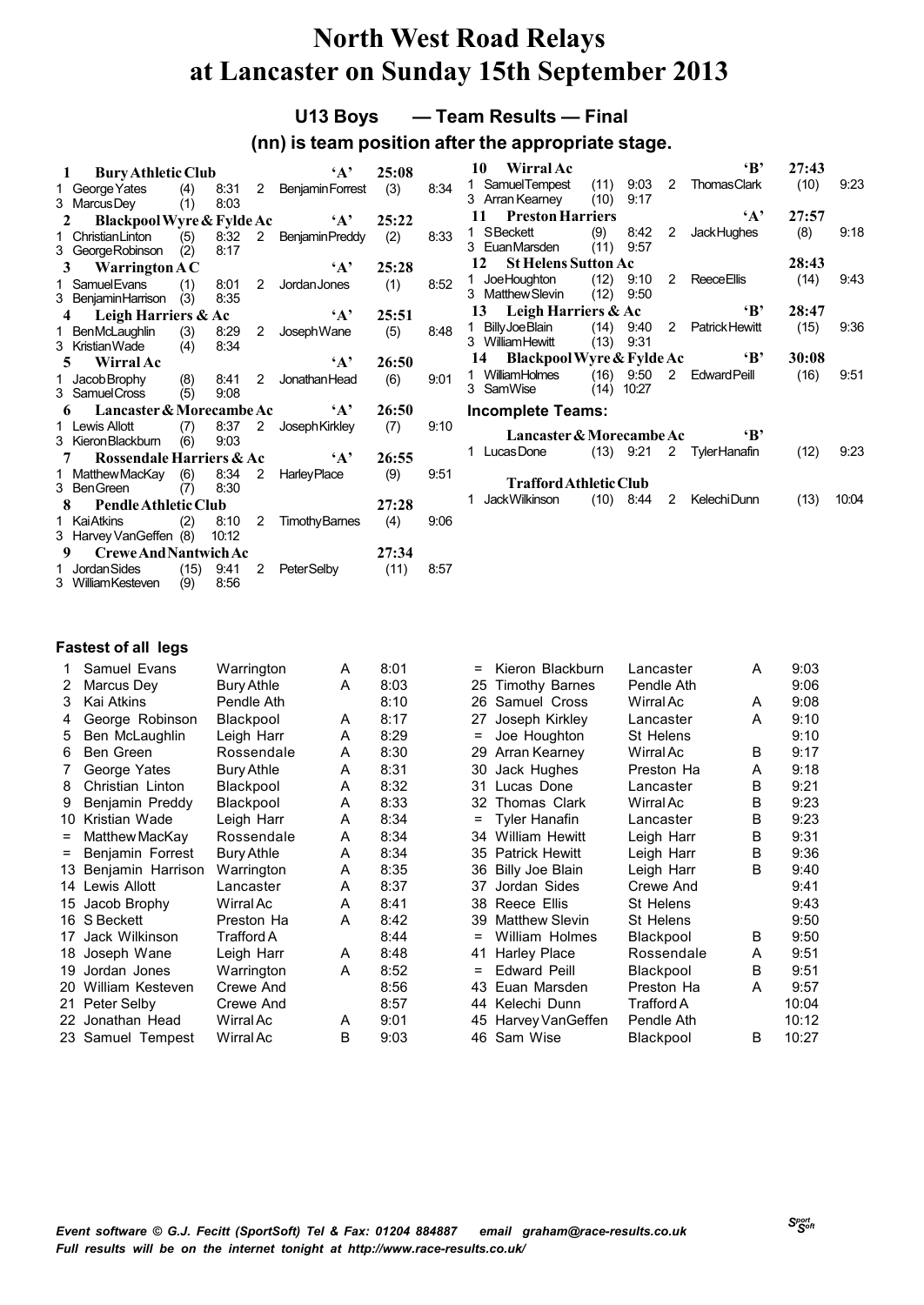**U13 Boys — Team Results — Final**

### **(nn) is team position after the appropriate stage.**

|   | 1 Bury Athletic Club                           |     |              |                      | $\mathbf{A}$               | 25:08 |      |
|---|------------------------------------------------|-----|--------------|----------------------|----------------------------|-------|------|
|   | 1 George Yates (4) 8:31 2 Benjamin Forrest (3) |     |              |                      |                            |       | 8:34 |
|   | 3 MarcusDey (1)                                |     | 8:03         |                      |                            |       |      |
|   | Blackpool Wyre & Fylde Ac<br>$2^{\circ}$       |     |              |                      | $\mathbf{A}$               | 25:22 |      |
|   | 1 Christian Linton                             |     |              |                      | (5) 8:32 2 Benjamin Preddy | (2)   | 8:33 |
|   | 3 George Robinson (2) 8:17                     |     |              |                      |                            |       |      |
|   | 3 Warrington AC                                |     | $\mathbf{A}$ | 25:28                |                            |       |      |
|   | 1 Samuel Evans                                 | (1) | 8:01         | $\mathbf{2}^{\circ}$ | JordanJones                | (1)   | 8:52 |
|   | 3 BenjaminHarrison (3)                         |     | 8:35         |                      |                            |       |      |
|   | 4 Leigh Harriers & Ac                          |     |              |                      | $\mathbf{A}$ ,             | 25:51 |      |
|   | 1 BenMcLaughlin                                |     | $(3)$ 8:29   | 2                    | JosephWane                 | (5)   | 8:48 |
|   | 3 KristianWade                                 |     | $(4)$ 8:34   |                      |                            |       |      |
|   | 5 Wirral Ac                                    |     |              |                      | $\mathbf{A}$ ,             | 26:50 |      |
|   | 1 Jacob Brophy (8) 8:41 2 Jonathan Head        |     |              |                      |                            | (6)   | 9:01 |
|   | 3 Samuel Cross (5)                             |     | 9:08         |                      |                            |       |      |
|   | 6 Lancaster & Morecambe Ac                     |     |              |                      | $\mathbf{A}$               | 26:50 |      |
|   | 1 Lewis Allott                                 |     |              |                      | (7) 8:37 2 JosephKirkley   | (7)   | 9:10 |
|   | 3 Kieron Blackburn                             | (6) | 9:03         |                      |                            |       |      |
|   | 7 Rossendale Harriers & Ac                     |     |              |                      | A'                         | 26:55 |      |
|   | 1 Matthew MacKay                               |     |              |                      | $(6)$ 8:34 2 Harley Place  | (9)   | 9:51 |
|   | 3 BenGreen                                     | (7) | 8:30         |                      |                            |       |      |
| 8 | <b>Pendle Athletic Club</b>                    |     |              |                      |                            | 27:28 |      |
| 1 | <b>Kai Atkins</b>                              | (2) | 8:10         | 2                    | TimothyBarnes (4)          |       | 9:06 |
|   | 3 Harvey VanGeffen (8)                         |     | 10:12        |                      |                            |       |      |
| 9 | <b>Crewe And Nantwich Ac</b>                   |     |              |                      |                            | 27:34 |      |
|   | 1 Jordan Sides                                 |     | $(15)$ 9:41  | 2                    | <b>PeterSelby</b>          | (11)  | 8:57 |
|   | 3 WilliamKesteven (9) 8:56                     |     |              |                      |                            |       |      |

| 10<br>- Wirral Ac                                                     |                        |                    |             | ʻВ'                          | 27:43 |       |  |  |  |  |  |
|-----------------------------------------------------------------------|------------------------|--------------------|-------------|------------------------------|-------|-------|--|--|--|--|--|
| 1 SamuelTempest (11) 9.03 2 Thomas Clark<br>3 Arran Kearney (10) 9:17 |                        |                    |             |                              | (10)  | 9:23  |  |  |  |  |  |
| 11 Preston Harriers                                                   |                        |                    |             | $\mathbf{A}$                 | 27:57 |       |  |  |  |  |  |
| 1 SBeckett<br>3 EuanMarsden                                           | (11)                   | $(9)$ 8.42<br>9.57 | $2^{\circ}$ | <b>JackHughes</b>            | (8)   | 9:18  |  |  |  |  |  |
| 12 St Helens Sutton Ac<br>28:43                                       |                        |                    |             |                              |       |       |  |  |  |  |  |
| 1 JoeHoughton (12) 9:10 2<br>3 Matthew Slevin                         | (12)                   | 9:50               |             | <b>Reece Ellis</b>           | (14)  | 9:43  |  |  |  |  |  |
| 13 Leigh Harriers & Ac<br>$\mathbf{B}$<br>28:47                       |                        |                    |             |                              |       |       |  |  |  |  |  |
| Billy Joe Blain<br>1.<br>3 William Hewitt                             | (13)                   | 9.31               |             | $(14)$ 9.40 2 Patrick Hewitt | (15)  | 9:36  |  |  |  |  |  |
| 14 Blackpool Wyre & Fylde Ac                                          |                        |                    |             | $\mathbf{B}$                 | 30:08 |       |  |  |  |  |  |
| 1 WilliamHolmes (16) 9:50 2 Edward Peill<br>3 SamWise                 |                        | $(14)$ 10:27       |             |                              | (16)  | 9:51  |  |  |  |  |  |
| <b>Incomplete Teams:</b>                                              |                        |                    |             |                              |       |       |  |  |  |  |  |
| Lancaster & Morecambe Ac                                              |                        |                    |             | $\mathbf{B}$                 |       |       |  |  |  |  |  |
| 1<br>Lucas Done                                                       |                        |                    |             | $(13)$ 9.21 2 Tyler Hanafin  | (12)  | 9:23  |  |  |  |  |  |
|                                                                       | Trafford Athletic Club |                    |             |                              |       |       |  |  |  |  |  |
| Jack Wilkinson<br>1                                                   | (10)                   | 8.44               | 2           | Kelechi Dunn                 | (13)  | 10:04 |  |  |  |  |  |

|     | Samuel Evans      | Warrington        | A | 8:01 | $=$ | Kieron Blackburn      | Lancaster  | A | 9:03  |
|-----|-------------------|-------------------|---|------|-----|-----------------------|------------|---|-------|
| 2   | Marcus Dey        | Bury Athle        | A | 8:03 | 25  | <b>Timothy Barnes</b> | Pendle Ath |   | 9:06  |
| 3   | Kai Atkins        | Pendle Ath        |   | 8:10 | 26  | Samuel Cross          | Wirral Ac  | A | 9:08  |
| 4   | George Robinson   | Blackpool         | A | 8:17 | 27  | Joseph Kirkley        | Lancaster  | A | 9:10  |
| 5   | Ben McLaughlin    | Leigh Harr        | A | 8:29 |     | Joe Houghton          | St Helens  |   | 9:10  |
| 6   | Ben Green         | Rossendale        | A | 8:30 | 29  | Arran Kearney         | Wirral Ac  | B | 9:17  |
|     | George Yates      | Bury Athle        | A | 8:31 | 30  | Jack Hughes           | Preston Ha | A | 9:18  |
| 8   | Christian Linton  | Blackpool         | A | 8:32 | 31  | Lucas Done            | Lancaster  | B | 9:21  |
| 9   | Benjamin Preddy   | Blackpool         | A | 8:33 | 32  | Thomas Clark          | Wirral Ac  | B | 9:23  |
| 10  | Kristian Wade     | Leigh Harr        | A | 8:34 |     | <b>Tyler Hanafin</b>  | Lancaster  | B | 9:23  |
|     | Matthew MacKay    | Rossendale        | A | 8:34 | 34  | <b>William Hewitt</b> | Leigh Harr | B | 9:31  |
| =   | Benjamin Forrest  | <b>Bury Athle</b> | A | 8:34 | 35  | <b>Patrick Hewitt</b> | Leigh Harr | B | 9:36  |
| 13  | Benjamin Harrison | Warrington        | A | 8:35 | 36  | Billy Joe Blain       | Leigh Harr | B | 9:40  |
|     | 14 Lewis Allott   | Lancaster         | A | 8:37 | 37  | Jordan Sides          | Crewe And  |   | 9:41  |
| 15  | Jacob Brophy      | Wirral Ac         | A | 8:41 | 38  | Reece Ellis           | St Helens  |   | 9:43  |
|     | 16 S Beckett      | Preston Ha        | A | 8:42 | 39  | Matthew Slevin        | St Helens  |   | 9:50  |
| 17  | Jack Wilkinson    | Trafford A        |   | 8:44 | $=$ | William Holmes        | Blackpool  | B | 9:50  |
| 18. | Joseph Wane       | Leigh Harr        | A | 8:48 | 41  | <b>Harley Place</b>   | Rossendale | A | 9:51  |
| 19  | Jordan Jones      | Warrington        | A | 8:52 |     | <b>Edward Peill</b>   | Blackpool  | B | 9:51  |
| 20  | William Kesteven  | Crewe And         |   | 8:56 | 43  | Euan Marsden          | Preston Ha | A | 9:57  |
|     | 21 Peter Selby    | Crewe And         |   | 8:57 | 44  | Kelechi Dunn          | Trafford A |   | 10:04 |
|     | 22 Jonathan Head  | Wirral Ac         | A | 9:01 | 45  | Harvey VanGeffen      | Pendle Ath |   | 10:12 |
|     | 23 Samuel Tempest | Wirral Ac         | B | 9:03 | 46  | Sam Wise              | Blackpool  | B | 10:27 |
|     |                   |                   |   |      |     |                       |            |   |       |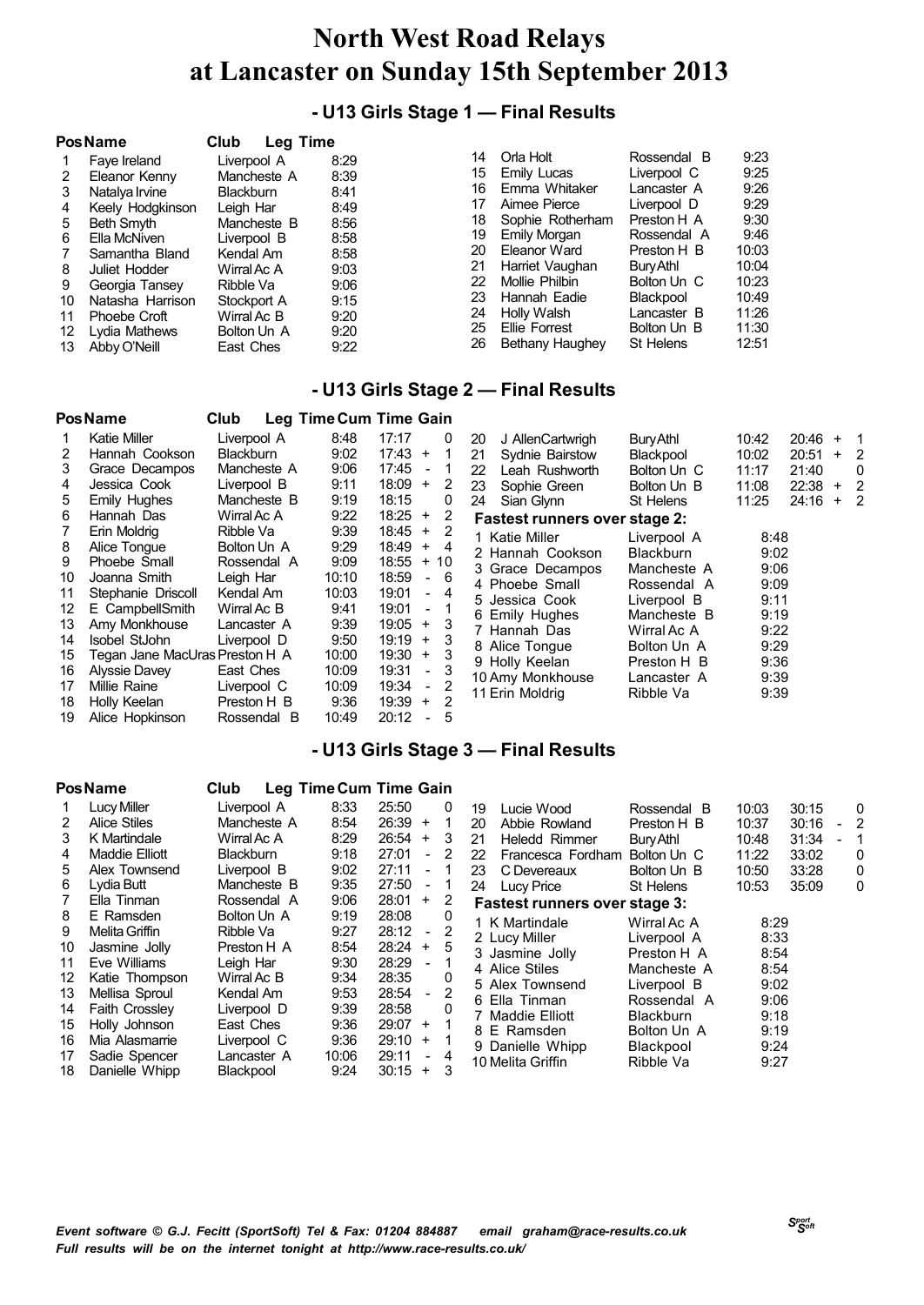## **- U13 Girls Stage 1 — Final Results**

|    | <b>Pos Name</b>  | Club<br><b>Leg Time</b> |      |    |                  |             |       |
|----|------------------|-------------------------|------|----|------------------|-------------|-------|
|    | Faye Ireland     | Liverpool A             | 8:29 | 14 | Orla Holt        | Rossendal B | 9:23  |
| 2  | Eleanor Kenny    | Mancheste A             | 8:39 | 15 | Emily Lucas      | Liverpool C | 9:25  |
| 3  | Natalya Irvine   | <b>Blackburn</b>        | 8:41 | 16 | Emma Whitaker    | Lancaster A | 9:26  |
| 4  | Keely Hodgkinson | Leigh Har               | 8:49 | 17 | Aimee Pierce     | Liverpool D | 9:29  |
| 5  | Beth Smyth       | Mancheste B             | 8:56 | 18 | Sophie Rotherham | Preston H A | 9:30  |
| 6  | Ella McNiven     | Liverpool B             | 8:58 | 19 | Emily Morgan     | Rossendal A | 9:46  |
|    | Samantha Bland   | Kendal Am               | 8:58 | 20 | Eleanor Ward     | Preston H B | 10:03 |
| 8  | Juliet Hodder    | Wirral Ac A             | 9:03 | 21 | Harriet Vaughan  | Bury Athl   | 10:04 |
| 9  | Georgia Tansey   | Ribble Va               | 9:06 | 22 | Mollie Philbin   | Bolton Un C | 10:23 |
| 10 | Natasha Harrison | Stockport A             | 9:15 | 23 | Hannah Eadie     | Blackpool   | 10:49 |
| 11 | Phoebe Croft     | Wirral Ac B             | 9:20 | 24 | Holly Walsh      | Lancaster B | 11:26 |
| 12 | Lydia Mathews    | Bolton Un A             | 9:20 | 25 | Ellie Forrest    | Bolton Un B | 11:30 |
| 13 | Abby O'Neill     | East Ches               | 9:22 | 26 | Bethany Haughey  | St Helens   | 12:51 |

### **- U13 Girls Stage 2 — Final Results**

|    | <b>PosName</b>                 | Club             |       | Leg Time Cum Time Gain            |    |                                      |                  |       |           |     |                |
|----|--------------------------------|------------------|-------|-----------------------------------|----|--------------------------------------|------------------|-------|-----------|-----|----------------|
|    | Katie Miller                   | Liverpool A      | 8:48  | 17:17<br>0                        | 20 | J AllenCartwrigh                     | Bury Athl        | 10:42 | $20:46 +$ |     | - 1            |
| 2  | Hannah Cookson                 | <b>Blackburn</b> | 9:02  | $17:43 +$<br>1.                   | 21 | Sydnie Bairstow                      | Blackpool        | 10:02 | 20:51     | $+$ | - 2            |
| 3  | Grace Decampos                 | Mancheste A      | 9:06  | 17:45<br>$\overline{\phantom{a}}$ | 22 | Leah Rushworth                       | Bolton Un C      | 11:17 | 21:40     |     | $\mathbf{0}$   |
| 4  | Jessica Cook                   | Liverpool B      | 9:11  | 18:09<br>2<br>$+$                 | 23 | Sophie Green                         | Bolton Un B      | 11:08 | $22:38 +$ |     | -2             |
| 5. | <b>Emily Hughes</b>            | Mancheste B      | 9:19  | 18:15<br>0                        | 24 | Sian Glynn                           | St Helens        | 11:25 | 24:16     | $+$ | $\overline{2}$ |
| 6  | Hannah Das                     | Wirral Ac A      | 9:22  | $18:25 +$<br>2                    |    | <b>Fastest runners over stage 2:</b> |                  |       |           |     |                |
|    | Erin Moldrig                   | Ribble Va        | 9:39  | $18:45 +$<br>2                    |    | 1 Katie Miller                       | Liverpool A      | 8:48  |           |     |                |
| 8  | Alice Tonque                   | Bolton Un A      | 9:29  | 18:49<br>$+$<br>4                 |    | 2 Hannah Cookson                     | <b>Blackburn</b> | 9:02  |           |     |                |
| 9  | Phoebe Small                   | Rossendal A      | 9:09  | 18:55<br>$+10$                    |    | 3 Grace Decampos                     | Mancheste A      | 9:06  |           |     |                |
| 10 | Joanna Smith                   | Leigh Har        | 10:10 | 18:59<br>- 6                      |    | 4 Phoebe Small                       | Rossendal A      | 9:09  |           |     |                |
| 11 | Stephanie Driscoll             | Kendal Am        | 10:03 | 19:01<br>- 4                      |    | 5 Jessica Cook                       | Liverpool B      | 9:11  |           |     |                |
| 12 | E CampbellSmith                | Wirral Ac B      | 9:41  | 19:01<br>$-1$                     |    | 6 Emily Hughes                       | Mancheste B      | 9:19  |           |     |                |
| 13 | Amy Monkhouse                  | Lancaster A      | 9:39  | 19:05<br>3<br>$+$                 |    | 7 Hannah Das                         | Wirral Ac A      | 9:22  |           |     |                |
| 14 | Isobel StJohn                  | Liverpool D      | 9:50  | 19:19<br>3<br>$+$                 |    |                                      |                  | 9:29  |           |     |                |
| 15 | Tegan Jane MacUras Preston H A |                  | 10:00 | 19:30<br>3<br>$+$                 |    | 8 Alice Tonque                       | Bolton Un A      |       |           |     |                |
| 16 | Alyssie Davey                  | East Ches        | 10:09 | 19:31<br>3<br>$\sim$              |    | 9 Holly Keelan                       | Preston H B      | 9:36  |           |     |                |
| 17 | Millie Raine                   | Liverpool C      | 10:09 | 19:34<br>$\sim$                   |    | 10 Amy Monkhouse                     | Lancaster A      | 9:39  |           |     |                |
| 18 | Holly Keelan                   | Preston H B      | 9:36  | $19:39 +$<br>2                    |    | 11 Erin Moldrig                      | Ribble Va        | 9:39  |           |     |                |
| 19 | Alice Hopkinson                | Rossendal B      | 10:49 | 20:12<br>5                        |    |                                      |                  |       |           |     |                |

### **- U13 Girls Stage 3 — Final Results**

|    | Pos Name              | Club             | Leg Time Cum Time Gain |       |                          |    |                                      |                  |       |       |   |
|----|-----------------------|------------------|------------------------|-------|--------------------------|----|--------------------------------------|------------------|-------|-------|---|
|    | Lucy Miller           | Liverpool A      | 8:33                   | 25:50 |                          | 0  | Lucie Wood<br>19                     | Rossendal B      | 10:03 | 30:15 | 0 |
| 2  | <b>Alice Stiles</b>   | Mancheste A      | 8:54                   | 26:39 | $\ddot{}$                | 1  | Abbie Rowland<br>20                  | Preston H B      | 10:37 | 30:16 |   |
| 3  | K Martindale          | Wirral Ac A      | 8:29                   | 26:54 | $\ddot{}$                | 3  | <b>Heledd Rimmer</b><br>21           | Bury Athl        | 10:48 | 31:34 |   |
| 4  | <b>Maddie Elliott</b> | <b>Blackburn</b> | 9:18                   | 27:01 | $\blacksquare$           | 2  | 22<br>Francesca Fordham              | Bolton Un C      | 11:22 | 33:02 | 0 |
| 5  | Alex Townsend         | Liverpool B      | 9:02                   | 27:11 | $\blacksquare$           | -1 | 23<br>C Devereaux                    | Bolton Un B      | 10:50 | 33:28 | 0 |
| 6  | Lydia Butt            | Mancheste B      | 9:35                   | 27:50 | $\blacksquare$           | -1 | Lucy Price<br>24                     | St Helens        | 10:53 | 35:09 | 0 |
|    | Ella Tinman           | Rossendal A      | 9:06                   | 28:01 | $+$                      | 2  | <b>Fastest runners over stage 3:</b> |                  |       |       |   |
| 8  | E Ramsden             | Bolton Un A      | 9:19                   | 28:08 |                          | 0  | 1 K Martindale                       | Wirral Ac A      | 8:29  |       |   |
| 9  | Melita Griffin        | Ribble Va        | 9:27                   | 28:12 | $\sim$                   | 2  | 2 Lucy Miller                        | Liverpool A      | 8:33  |       |   |
| 10 | Jasmine Jolly         | Preston H A      | 8:54                   | 28:24 | $+$                      | 5  | 3 Jasmine Jolly                      | Preston H A      | 8:54  |       |   |
| 11 | Eve Williams          | Leigh Har        | 9:30                   | 28:29 |                          |    | 4 Alice Stiles                       | Mancheste A      | 8:54  |       |   |
| 12 | Katie Thompson        | Wirral Ac B      | 9:34                   | 28:35 |                          | 0  | 5 Alex Townsend                      | Liverpool B      | 9:02  |       |   |
| 13 | Mellisa Sproul        | Kendal Am        | 9:53                   | 28:54 | $\overline{\phantom{a}}$ | 2  | 6 Ella Tinman                        | Rossendal A      | 9:06  |       |   |
| 14 | <b>Faith Crossley</b> | Liverpool D      | 9:39                   | 28:58 |                          | 0  | 7 Maddie Elliott                     | <b>Blackburn</b> | 9:18  |       |   |
| 15 | Holly Johnson         | East Ches        | 9:36                   | 29:07 | $+$                      |    | 8 E Ramsden                          | Bolton Un A      | 9:19  |       |   |
| 16 | Mia Alasmarrie        | Liverpool C      | 9:36                   | 29:10 | $+$                      |    | 9 Danielle Whipp                     | Blackpool        | 9:24  |       |   |
| 17 | Sadie Spencer         | Lancaster A      | 10:06                  | 29:11 |                          | 4  | 10 Melita Griffin                    | Ribble Va        | 9:27  |       |   |
| 18 | Danielle Whipp        | Blackpool        | 9:24                   | 30:15 | $\ddot{}$                | 3  |                                      |                  |       |       |   |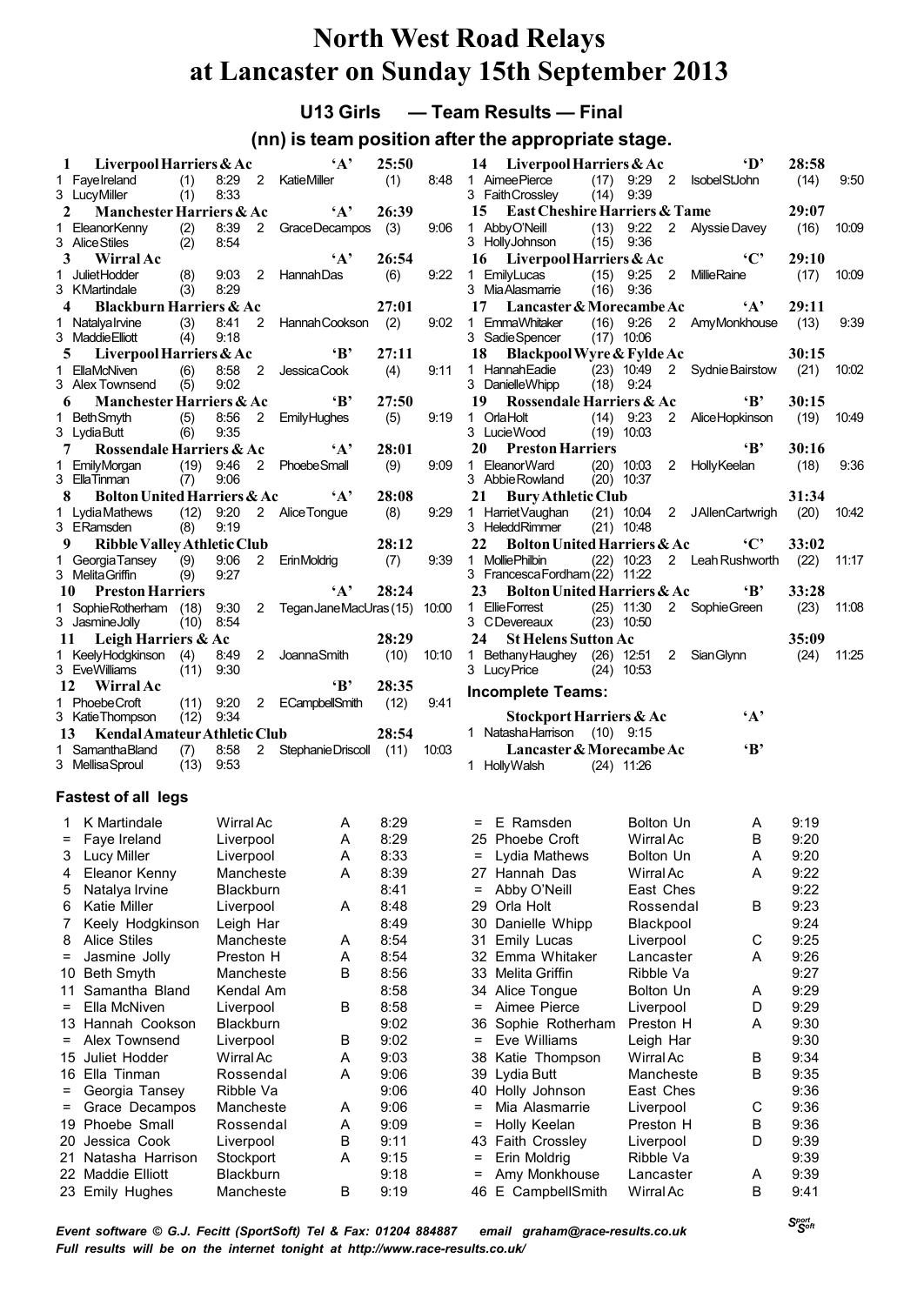### **U13 Girls — Team Results — Final**

### **(nn) is team position after the appropriate stage.**

| 1            | Liverpool Harriers & Ac                         |             |              |                | $\mathbf{A}$            | 25:50 |       |
|--------------|-------------------------------------------------|-------------|--------------|----------------|-------------------------|-------|-------|
|              | 1 Favelreland                                   | (1)         | 8:29         | $\overline{2}$ | KatieMiller             | (1)   | 8:48  |
|              | 3 LucyMiller                                    | (1)         | 8:33         |                |                         |       |       |
| $\mathbf{2}$ | Manchester Harriers & Ac                        |             |              |                | $\mathbf{A}$            | 26:39 |       |
|              | 1 EleanorKenny                                  | $(2)$ 8:39  |              | $\overline{2}$ | Grace Decampos          | (3)   | 9:06  |
|              | 3 Alice Stiles                                  | (2)         | 8:54         |                |                         |       |       |
| 3            | Wirral Ac                                       |             |              |                | $\mathbf{A}$            | 26:54 |       |
| 1.           | <b>JulietHodder</b>                             | (8)         | 9.03         | 2              | <b>HannahDas</b>        | (6)   | 9:22  |
|              | 3 KMartindale                                   | (3)         | 8:29         |                |                         |       |       |
|              | 4<br><b>Blackburn Harriers &amp; Ac</b>         |             |              |                |                         | 27:01 |       |
| 1            | Natalvalrvine                                   | $(3)$ 8:41  |              | $\overline{2}$ | Hannah Cookson          | (2)   | 9:02  |
|              | 3 Maddie Elliott                                | (4)         | 9:18         |                |                         |       |       |
|              | Liverpool Harriers & Ac<br>5                    |             |              |                | $\mathbf{B}$            | 27:11 |       |
|              | 1 EllaMcNiven                                   | (6)         | 8:58         | $2^{\circ}$    | Jessica Cook            | (4)   | 9:11  |
|              | 3 Alex Townsend                                 | (5)         | 9:02         |                |                         |       |       |
|              | <b>Manchester Harriers &amp; Ac</b><br>6        |             |              |                | $\mathbf{B}$            | 27:50 |       |
| 1.           | <b>BethSmyth</b>                                | (5)         | 8:56         | 2              | <b>Emily Hughes</b>     | (5)   | 9:19  |
|              | 3 Lydia Butt                                    | (6)         | 9:35         |                |                         |       |       |
| 7            | Rossendale Harriers & Ac                        |             |              |                | $\mathbf{A}$            | 28:01 |       |
|              | 1 EmilyMorgan                                   | (19)        | 9:46         | $\overline{2}$ | <b>PhoebeSmall</b>      | (9)   | 9:09  |
|              | 3 EllaTinman                                    | (7)         | 9:06         |                |                         |       |       |
| 8            | <b>Bolton United Harriers &amp; Ac</b>          |             |              |                | $\cdot_A$ ,             | 28:08 |       |
|              | 1 Lydia Mathews                                 | $(12)$ 9:20 |              |                | 2 Alice Tongue          | (8)   | 9:29  |
|              | 3 ERamsden                                      | (8)         | 9:19         |                |                         |       |       |
| 9            | <b>Ribble Valley Athletic Club</b>              |             |              |                |                         | 28:12 |       |
|              | 1 Georgia Tansey (9) 9:06                       |             |              | $\overline{2}$ | ErinMoldrig             | (7)   | 9:39  |
|              | 3 Melita Griffin                                | (9)         | 9:27         |                |                         |       |       |
|              | 10 Preston Harriers                             |             |              |                | $\mathbf{A}$            | 28:24 |       |
| $\mathbf 1$  | <b>Sophie Rotherham</b>                         | (18)        | 9:30         | $\overline{2}$ | Tegan Jane MacUras (15) |       | 10:00 |
|              | 3 JasmineJolly                                  | (10)        | 8:54         |                |                         |       |       |
|              | 11 Leigh Harriers & Ac                          |             |              |                |                         | 28:29 |       |
| 1            | KeelyHodgkinson (4)                             |             | 8:49         | 2              | JoannaSmith             | (10)  | 10:10 |
|              | 3 EveWilliams                                   | (11)        | 9:30         |                |                         |       |       |
|              | 12 Wirral Ac                                    |             |              |                | $\mathbf{B}$            | 28:35 |       |
| 1.           | Phoebe Croft                                    | $(11)$ 9:20 |              | $\mathbf{2}$   | ECampbellSmith          | (12)  | 9:41  |
|              | 3 KatieThompson                                 | (12)        | 9:34         |                |                         |       |       |
|              | Kendal Amateur Athletic Club<br>13 <sup>7</sup> |             |              |                |                         | 28:54 |       |
| 1            | Samantha Bland                                  |             |              | $\overline{2}$ |                         |       |       |
|              | 3 Mellisa Sproul                                | (7)<br>(13) | 8:58<br>9:53 |                | Stephanie Driscoll      | (11)  | 10:03 |
|              |                                                 |             |              |                |                         |       |       |

#### **Fastest of all legs**

| 1   | K Martindale        | Wirral Ac        | A | 8:29 |  |
|-----|---------------------|------------------|---|------|--|
| $=$ | Faye Ireland        | Liverpool        | Α | 8:29 |  |
| 3   | Lucy Miller         | Liverpool        | A | 8:33 |  |
| 4   | Eleanor Kenny       | Mancheste        | A | 8:39 |  |
| 5   | Natalya Irvine      | <b>Blackburn</b> |   | 8:41 |  |
| 6   | <b>Katie Miller</b> | Liverpool        | A | 8:48 |  |
| 7   | Keely Hodgkinson    | Leigh Har        |   | 8:49 |  |
| 8   | <b>Alice Stiles</b> | Mancheste        | A | 8:54 |  |
| Ξ   | Jasmine Jolly       | Preston H        | A | 8:54 |  |
| 10  | <b>Beth Smyth</b>   | Mancheste        | В | 8:56 |  |
| 11  | Samantha Bland      | Kendal Am        |   | 8:58 |  |
| $=$ | Ella McNiven        | Liverpool        | B | 8:58 |  |
|     | 13 Hannah Cookson   | <b>Blackburn</b> |   | 9:02 |  |
| Ξ   | Alex Townsend       | Liverpool        | В | 9:02 |  |
| 15  | Juliet Hodder       | Wirral Ac        | A | 9:03 |  |
| 16  | Ella Tinman         | Rossendal        | A | 9:06 |  |
| $=$ | Georgia Tansey      | Ribble Va        |   | 9:06 |  |
| Ξ   | Grace Decampos      | Mancheste        | A | 9:06 |  |
| 19  | Phoebe Small        | Rossendal        | A | 9:09 |  |
| 20  | Jessica Cook        | Liverpool        | B | 9:11 |  |
|     | 21 Natasha Harrison | Stockport        | A | 9:15 |  |
|     | 22 Maddie Elliott   | Blackburn        |   | 9:18 |  |
|     | 23 Emily Hughes     | Mancheste        | В | 9:19 |  |
|     |                     |                  |   |      |  |

| 14 Liverpool Harriers & Ac <sup>'D</sup>                                       |  |             | 28:58 |       |
|--------------------------------------------------------------------------------|--|-------------|-------|-------|
| 1 AimeePierce (17) 9:29 2 IsobelStJohn (14) 9:50<br>3 FaithCrossley (14) 9:39  |  |             |       |       |
|                                                                                |  |             |       |       |
| 15 East Cheshire Harriers & Tame                                               |  | 29:07       |       |       |
| 1 AbbyO'Neill (13) 9:22 2 AlyssieDavey (16)<br>3 HollyJohnson (15) 9:36        |  |             |       | 10.09 |
|                                                                                |  |             |       |       |
| 16 Liverpool Harriers & Ac                                                     |  | $°C'$ 29:10 |       |       |
| 1 EmilyLucas (15) 9:25 2 Millie Raine (17)<br>3 Mia Alasmarrie (16) 9:36       |  |             |       | 10.09 |
|                                                                                |  |             |       |       |
| 17 Lancaster & Morecambe Ac 'A' 29:11                                          |  |             |       |       |
| 1 EmmaWhitaker (16) 9:26 2 AmyMonkhouse (13) 9:39                              |  |             |       |       |
| 3 Sadie Spencer (17) 10:06                                                     |  |             |       |       |
| 18 Blackpool Wyre & Fylde Ac                                                   |  |             | 30:15 |       |
| 1 Hannah Eadie (23) 10:49 2 Sydnie Bairstow (21)<br>3 Danielle Whipp (18) 9:24 |  |             |       | 10.02 |
|                                                                                |  |             |       |       |
| 19 Rossendale Harriers & Ac 			 B' 30:15                                       |  |             |       |       |
|                                                                                |  |             |       |       |
| 1 OrlaHolt (14) 9:23 2 AliceHopkinson (19) 10:49<br>3 LucieWood (19) 10:03     |  |             |       |       |
| <b>20</b> Preston Harriers                                                     |  | $B'$ 30:16  |       |       |
| 1 EleanorWard (20) 10:03 2 HollyKeelan (18) 9:36<br>3 AbbieRowland (20) 10:37  |  |             |       |       |
|                                                                                |  |             |       |       |
| 21 Bury Athletic Club                                                          |  |             | 31:34 |       |
| 1 Harriet Vaughan (21) 10:04 2 JAllen Cartwrigh (20) 10:42                     |  |             |       |       |
| 3 HeleddRimmer (21) 10:48                                                      |  |             |       |       |
|                                                                                |  |             |       |       |
| 1 MolliePhilbin (22) 10:23  2 Leah Rushworth (22) 11:17                        |  |             |       |       |
| 3 Francesca Fordham (22) 11:22                                                 |  |             |       |       |
| 23 Bolton United Harriers & Ac <sup>B</sup>                                    |  |             | 33:28 |       |
| 1 EllieForrest (25) 11:30 2 SophieGreen (23)                                   |  |             |       | 11:08 |
| 3 CDevereaux (23) 10:50                                                        |  |             |       |       |
| 24 St Helens Sutton Ac                                                         |  |             | 35:09 |       |
| 1 Bethany Haughey (26) 12:51 2 Sian Glynn (24)                                 |  |             |       | 11:25 |
| 3 Lucy Price (24) 10:53                                                        |  |             |       |       |
|                                                                                |  |             |       |       |
| <b>Incomplete Teams:</b>                                                       |  |             |       |       |

|  | $\mathbf{A}$ ,               |              |              |
|--|------------------------------|--------------|--------------|
|  | 1 Natasha Harrison (10) 9:15 |              |              |
|  | Lancaster & Morecambe Ac     |              | $\mathbf{R}$ |
|  | 1 HollyWalsh                 | $(24)$ 11:26 |              |

| Phoebe Croft<br>Wirral Ac<br>В<br>9:20<br>25<br>Lydia Mathews<br>Bolton Un<br>A<br>9:20<br>Ξ<br>Hannah Das<br>Wirral Ac<br>A<br>9:22<br>27<br>Abby O'Neill<br>East Ches<br>9:22<br>=<br>Orla Holt<br>9:23<br>29<br>Rossendal<br>В<br>Danielle Whipp<br>9:24<br>30<br>Blackpool<br>31<br><b>Emily Lucas</b><br>С<br>9:25<br>Liverpool<br>Emma Whitaker<br>9:26<br>32<br>Lancaster<br>А<br>Melita Griffin<br>Ribble Va<br>9:27<br>33<br>Alice Tongue<br>9:29<br><b>Bolton Un</b><br>A<br>34<br>D<br>Aimee Pierce<br>9:29<br>Liverpool<br>$=$<br>A<br>Preston H<br>9:30<br>Sophie Rotherham<br>36<br>Eve Williams<br>Leigh Har<br>9:30<br>$=$<br>Wirral Ac<br>9:34<br>Katie Thompson<br>В<br>38<br>Lydia Butt<br>Mancheste<br>B<br>9:35<br>39<br>Holly Johnson<br>East Ches<br>9:36<br>40<br>Mia Alasmarrie<br>С<br>9:36<br>Liverpool<br>=<br>Holly Keelan<br>Preston H<br>В<br>9:36<br>Ξ<br>D<br>9:39<br>43 Faith Crossley<br>Liverpool<br>Erin Moldrig<br>Ribble Va<br>9:39<br>Ξ<br>Amy Monkhouse<br>9:39<br>A<br>Lancaster<br>$=$<br><b>Wirral Ac</b><br>E CampbellSmith<br>В<br>9:41<br>46 | = | E Ramsden | <b>Bolton Un</b> | Α | 9:19 |
|---------------------------------------------------------------------------------------------------------------------------------------------------------------------------------------------------------------------------------------------------------------------------------------------------------------------------------------------------------------------------------------------------------------------------------------------------------------------------------------------------------------------------------------------------------------------------------------------------------------------------------------------------------------------------------------------------------------------------------------------------------------------------------------------------------------------------------------------------------------------------------------------------------------------------------------------------------------------------------------------------------------------------------------------------------------------------------------------|---|-----------|------------------|---|------|
|                                                                                                                                                                                                                                                                                                                                                                                                                                                                                                                                                                                                                                                                                                                                                                                                                                                                                                                                                                                                                                                                                             |   |           |                  |   |      |
|                                                                                                                                                                                                                                                                                                                                                                                                                                                                                                                                                                                                                                                                                                                                                                                                                                                                                                                                                                                                                                                                                             |   |           |                  |   |      |
|                                                                                                                                                                                                                                                                                                                                                                                                                                                                                                                                                                                                                                                                                                                                                                                                                                                                                                                                                                                                                                                                                             |   |           |                  |   |      |
|                                                                                                                                                                                                                                                                                                                                                                                                                                                                                                                                                                                                                                                                                                                                                                                                                                                                                                                                                                                                                                                                                             |   |           |                  |   |      |
|                                                                                                                                                                                                                                                                                                                                                                                                                                                                                                                                                                                                                                                                                                                                                                                                                                                                                                                                                                                                                                                                                             |   |           |                  |   |      |
|                                                                                                                                                                                                                                                                                                                                                                                                                                                                                                                                                                                                                                                                                                                                                                                                                                                                                                                                                                                                                                                                                             |   |           |                  |   |      |
|                                                                                                                                                                                                                                                                                                                                                                                                                                                                                                                                                                                                                                                                                                                                                                                                                                                                                                                                                                                                                                                                                             |   |           |                  |   |      |
|                                                                                                                                                                                                                                                                                                                                                                                                                                                                                                                                                                                                                                                                                                                                                                                                                                                                                                                                                                                                                                                                                             |   |           |                  |   |      |
|                                                                                                                                                                                                                                                                                                                                                                                                                                                                                                                                                                                                                                                                                                                                                                                                                                                                                                                                                                                                                                                                                             |   |           |                  |   |      |
|                                                                                                                                                                                                                                                                                                                                                                                                                                                                                                                                                                                                                                                                                                                                                                                                                                                                                                                                                                                                                                                                                             |   |           |                  |   |      |
|                                                                                                                                                                                                                                                                                                                                                                                                                                                                                                                                                                                                                                                                                                                                                                                                                                                                                                                                                                                                                                                                                             |   |           |                  |   |      |
|                                                                                                                                                                                                                                                                                                                                                                                                                                                                                                                                                                                                                                                                                                                                                                                                                                                                                                                                                                                                                                                                                             |   |           |                  |   |      |
|                                                                                                                                                                                                                                                                                                                                                                                                                                                                                                                                                                                                                                                                                                                                                                                                                                                                                                                                                                                                                                                                                             |   |           |                  |   |      |
|                                                                                                                                                                                                                                                                                                                                                                                                                                                                                                                                                                                                                                                                                                                                                                                                                                                                                                                                                                                                                                                                                             |   |           |                  |   |      |
|                                                                                                                                                                                                                                                                                                                                                                                                                                                                                                                                                                                                                                                                                                                                                                                                                                                                                                                                                                                                                                                                                             |   |           |                  |   |      |
|                                                                                                                                                                                                                                                                                                                                                                                                                                                                                                                                                                                                                                                                                                                                                                                                                                                                                                                                                                                                                                                                                             |   |           |                  |   |      |
|                                                                                                                                                                                                                                                                                                                                                                                                                                                                                                                                                                                                                                                                                                                                                                                                                                                                                                                                                                                                                                                                                             |   |           |                  |   |      |
|                                                                                                                                                                                                                                                                                                                                                                                                                                                                                                                                                                                                                                                                                                                                                                                                                                                                                                                                                                                                                                                                                             |   |           |                  |   |      |
|                                                                                                                                                                                                                                                                                                                                                                                                                                                                                                                                                                                                                                                                                                                                                                                                                                                                                                                                                                                                                                                                                             |   |           |                  |   |      |
|                                                                                                                                                                                                                                                                                                                                                                                                                                                                                                                                                                                                                                                                                                                                                                                                                                                                                                                                                                                                                                                                                             |   |           |                  |   |      |
|                                                                                                                                                                                                                                                                                                                                                                                                                                                                                                                                                                                                                                                                                                                                                                                                                                                                                                                                                                                                                                                                                             |   |           |                  |   |      |
|                                                                                                                                                                                                                                                                                                                                                                                                                                                                                                                                                                                                                                                                                                                                                                                                                                                                                                                                                                                                                                                                                             |   |           |                  |   |      |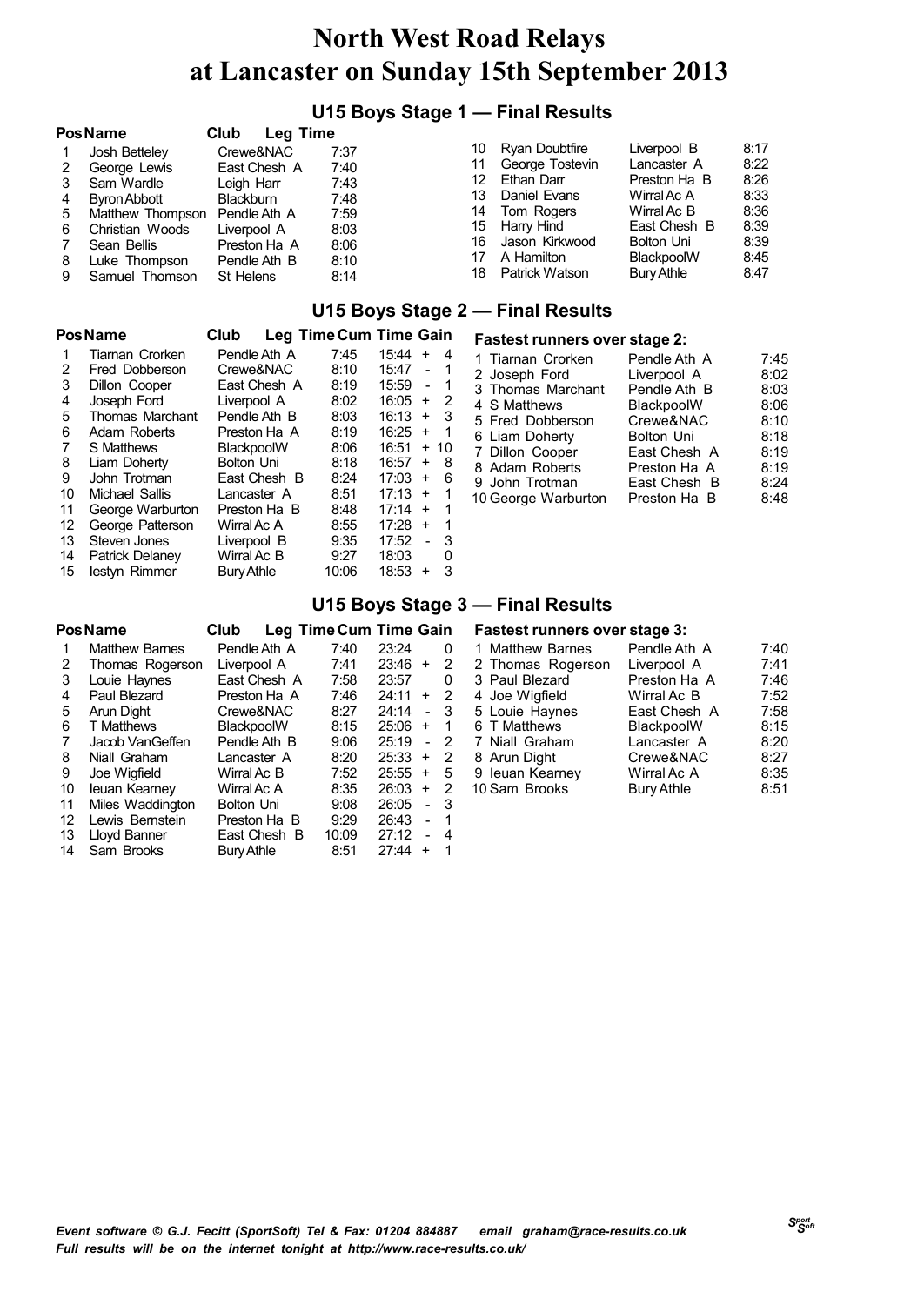### **U15 Boys Stage 1 — Final Results**

|    | <b>PosName</b>      | Club<br>Leg Time |      |    |                 |              |      |
|----|---------------------|------------------|------|----|-----------------|--------------|------|
|    | Josh Betteley       | Crewe&NAC        | 7:37 | 10 | Ryan Doubtfire  | Liverpool B  | 8:17 |
| 2  | George Lewis        | East Chesh A     | 7:40 | 11 | George Tostevin | Lancaster A  | 8:22 |
| 3  | Sam Wardle          | Leigh Harr       | 7:43 | 12 | Ethan Darr      | Preston Ha B | 8:26 |
| 4  | <b>Byron Abbott</b> | <b>Blackburn</b> | 7:48 | 13 | Daniel Evans    | Wirral Ac A  | 8:33 |
| 5. | Matthew Thompson    | Pendle Ath A     | 7:59 | 14 | Tom Rogers      | Wirral Ac B  | 8:36 |
| 6  | Christian Woods     | Liverpool A      | 8:03 | 15 | Harry Hind      | East Chesh B | 8:39 |
|    | Sean Bellis         | Preston Ha A     | 8:06 | 16 | Jason Kirkwood  | Bolton Uni   | 8:39 |
| 8  | Luke Thompson       | Pendle Ath B     | 8:10 | 17 | A Hamilton      | BlackpoolW   | 8:45 |
| 9  | Samuel Thomson      | St Helens        | 8:14 | 18 | Patrick Watson  | Bury Athle   | 8:47 |

#### **U15 Boys Stage 2 — Final Results**

|    | <b>Pos Name</b>        | Club              |       | Leg Time Cum Time Gain       |
|----|------------------------|-------------------|-------|------------------------------|
| 1  | Tiarnan Crorken        | Pendle Ath A      | 7:45  | 15:44<br>4<br>$\ddot{}$      |
| 2  | Fred Dobberson         | Crewe&NAC         | 8:10  | 15:47<br>1                   |
| 3  | Dillon Cooper          | East Chesh A      | 8:19  | 15:59<br>1<br>$\overline{a}$ |
| 4  | Joseph Ford            | Liverpool A       | 8:02  | 16:05<br>2<br>$\ddot{}$      |
| 5  | <b>Thomas Marchant</b> | Pendle Ath B      | 8:03  | - 3<br>16:13<br>$+$          |
| 6  | Adam Roberts           | Preston Ha A      | 8:19  | $\mathbf 1$<br>16:25<br>$+$  |
| 7  | S Matthews             | BlackpoolW        | 8:06  | 16:51<br>$\ddot{}$<br>10     |
| 8  | Liam Doherty           | <b>Bolton Uni</b> | 8:18  | 16:57<br>8<br>$\ddot{}$      |
| 9  | John Trotman           | East Chesh B      | 8:24  | 6<br>17:03<br>$+$            |
| 10 | Michael Sallis         | Lancaster A       | 8:51  | 17:13<br>1<br>$+$            |
| 11 | George Warburton       | Preston Ha B      | 8:48  | 17:14<br>1<br>$\ddot{}$      |
| 12 | George Patterson       | Wirral Ac A       | 8:55  | 17:28<br>1<br>$+$            |
| 13 | Steven Jones           | Liverpool B       | 9:35  | 3<br>17:52<br>$\overline{a}$ |
| 14 | Patrick Delanev        | Wirral Ac B       | 9:27  | 18:03<br>0                   |
| 15 | lestyn Rimmer          | Bury Athle        | 10:06 | 18:53<br>3<br>$\ddot{}$      |

|                     | <b>Fastest runners over stage 2:</b> |      |  |  |  |  |  |  |  |
|---------------------|--------------------------------------|------|--|--|--|--|--|--|--|
| 1 Tiarnan Crorken   | Pendle Ath A                         | 7:45 |  |  |  |  |  |  |  |
| 2 Joseph Ford       | Liverpool A                          | 8:02 |  |  |  |  |  |  |  |
| 3 Thomas Marchant   | Pendle Ath B                         | 8:03 |  |  |  |  |  |  |  |
| 4 S Matthews        | BlackpoolW                           | 8:06 |  |  |  |  |  |  |  |
| 5 Fred Dobberson    | Crewe&NAC                            | 8:10 |  |  |  |  |  |  |  |
| 6 Liam Doherty      | <b>Bolton Uni</b>                    | 8:18 |  |  |  |  |  |  |  |
| 7 Dillon Cooper     | East Chesh A                         | 8:19 |  |  |  |  |  |  |  |
| 8 Adam Roberts      | Preston Ha A                         | 8:19 |  |  |  |  |  |  |  |
| 9 John Trotman      | East Chesh B                         | 8:24 |  |  |  |  |  |  |  |
| 10 George Warburton | Preston Ha B                         | 8:48 |  |  |  |  |  |  |  |

#### **U15 Boys Stage 3 — Final Results**

|    | <b>Pos Name</b>       | Club              |       | <b>Leg Time Cum Time Gain</b> |    |
|----|-----------------------|-------------------|-------|-------------------------------|----|
| 1  | <b>Matthew Barnes</b> | Pendle Ath A      | 7:40  | 23:24                         | Ω  |
| 2  | Thomas Rogerson       | Liverpool A       | 7:41  | 23:46<br>$\ddot{}$            | 2  |
| 3  | Louie Haynes          | East Chesh A      | 7:58  | 23:57                         | 0  |
| 4  | Paul Blezard          | Preston Ha A      | 7:46  | 24:11<br>$+$                  | 2  |
| 5  | Arun Dight            | Crewe&NAC         | 8:27  | 24:14<br>$\blacksquare$       | 3  |
| 6  | <b>T</b> Matthews     | BlackpoolW        | 8:15  | 25:06<br>$+$                  | 1  |
| 7  | Jacob VanGeffen       | Pendle Ath B      | 9:06  | 25:19                         | -2 |
| 8  | Niall Graham          | Lancaster A       | 8:20  | 25:33<br>$\ddot{}$            | 2  |
| 9  | Joe Wigfield          | Wirral Ac B       | 7:52  | 25:55<br>$\ddot{}$            | 5  |
| 10 | leuan Kearney         | Wirral Ac A       | 8:35  | 26:03<br>$\pm$                | 2  |
| 11 | Miles Waddington      | Bolton Uni        | 9:08  | 26:05<br>$\overline{a}$       | 3  |
| 12 | Lewis Bernstein       | Preston Ha B      | 9:29  | 26:43<br>$\overline{a}$       | 1  |
| 13 | Lloyd Banner          | East Chesh B      | 10:09 | 27:12<br>$\blacksquare$       | 4  |
| 14 | Sam Brooks            | <b>Bury Athle</b> | 8:51  | 27:44<br>÷                    | 1  |

#### **Fastest runners over stage 3:**

|                                                                                                                                                                                   | 7:40                        |
|-----------------------------------------------------------------------------------------------------------------------------------------------------------------------------------|-----------------------------|
|                                                                                                                                                                                   | 7:41                        |
| Preston Ha A                                                                                                                                                                      | 7:46                        |
| Wirral Ac B                                                                                                                                                                       | 7:52                        |
| East Chesh A                                                                                                                                                                      | 7:58                        |
| BlackpoolW                                                                                                                                                                        | 8:15                        |
| Lancaster A                                                                                                                                                                       | 8:20                        |
| Crewe&NAC                                                                                                                                                                         | 8:27                        |
| Wirral Ac A                                                                                                                                                                       | 8:35                        |
| <b>Bury Athle</b>                                                                                                                                                                 | 8:51                        |
| 1 Matthew Barnes<br>2 Thomas Rogerson<br>3 Paul Blezard<br>4 Joe Wigfield<br>5 Louie Haynes<br>6 T Matthews<br>7 Niall Graham<br>8 Arun Dight<br>9 leuan Kearney<br>10 Sam Brooks | Pendle Ath A<br>Liverpool A |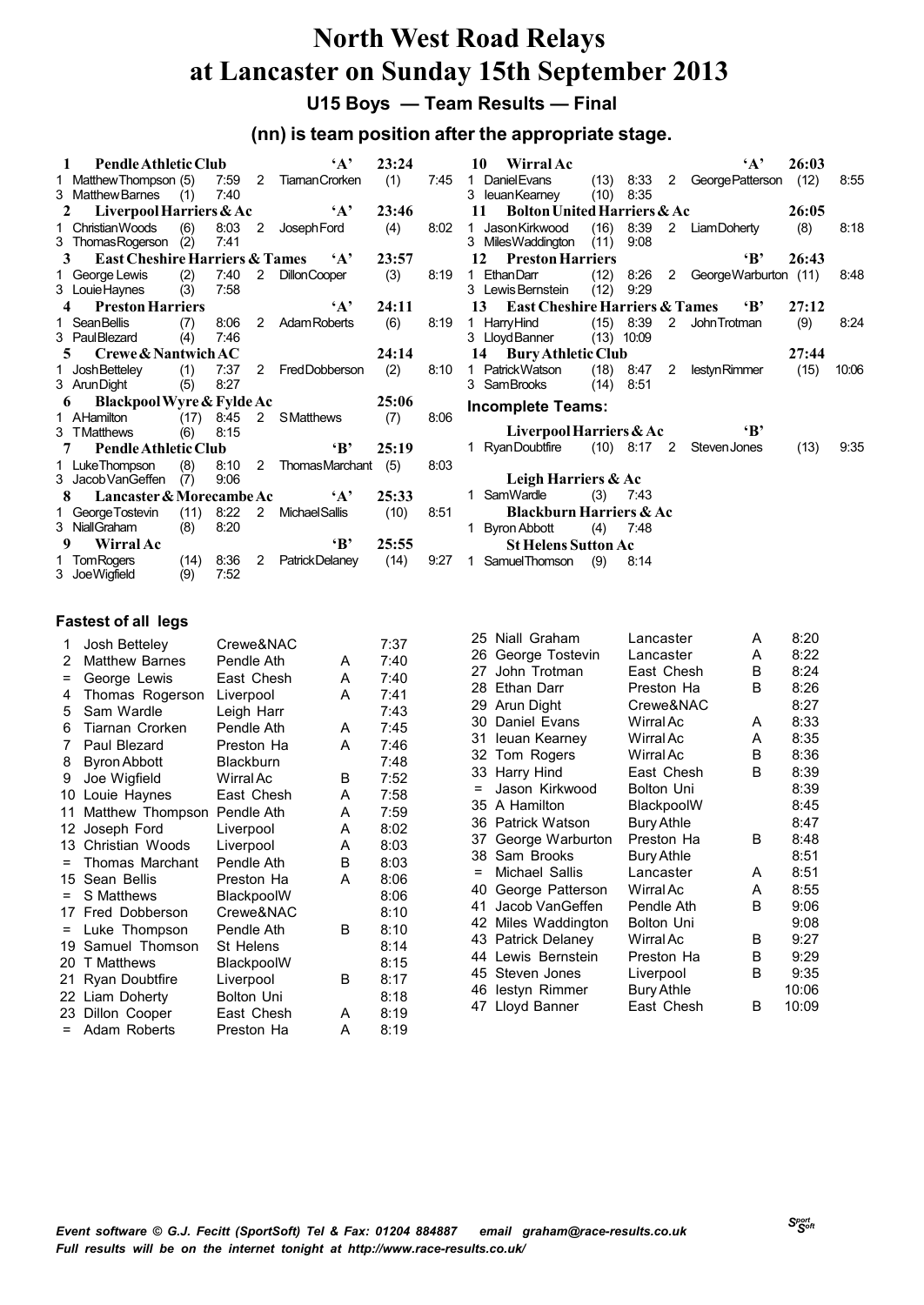**U15 Boys — Team Results — Final**

### **(nn) is team position after the appropriate stage.**

|                                                                                                              |                                                                                                               |                                                                                                                                                                                             | $\mathbf{A}$                                                                                                                     |                                                                                                                                                                                                                                                    |                                                                                                                                                       |
|--------------------------------------------------------------------------------------------------------------|---------------------------------------------------------------------------------------------------------------|---------------------------------------------------------------------------------------------------------------------------------------------------------------------------------------------|----------------------------------------------------------------------------------------------------------------------------------|----------------------------------------------------------------------------------------------------------------------------------------------------------------------------------------------------------------------------------------------------|-------------------------------------------------------------------------------------------------------------------------------------------------------|
|                                                                                                              |                                                                                                               |                                                                                                                                                                                             |                                                                                                                                  | (1)                                                                                                                                                                                                                                                | 7:45                                                                                                                                                  |
|                                                                                                              |                                                                                                               |                                                                                                                                                                                             |                                                                                                                                  |                                                                                                                                                                                                                                                    |                                                                                                                                                       |
|                                                                                                              |                                                                                                               |                                                                                                                                                                                             | $\mathbf{A}$                                                                                                                     |                                                                                                                                                                                                                                                    |                                                                                                                                                       |
|                                                                                                              |                                                                                                               |                                                                                                                                                                                             |                                                                                                                                  |                                                                                                                                                                                                                                                    | 8:02                                                                                                                                                  |
|                                                                                                              |                                                                                                               |                                                                                                                                                                                             |                                                                                                                                  |                                                                                                                                                                                                                                                    |                                                                                                                                                       |
|                                                                                                              |                                                                                                               |                                                                                                                                                                                             | $\mathbf{A}$                                                                                                                     |                                                                                                                                                                                                                                                    |                                                                                                                                                       |
|                                                                                                              |                                                                                                               |                                                                                                                                                                                             |                                                                                                                                  | (3)                                                                                                                                                                                                                                                | 8:19                                                                                                                                                  |
|                                                                                                              |                                                                                                               |                                                                                                                                                                                             |                                                                                                                                  |                                                                                                                                                                                                                                                    |                                                                                                                                                       |
|                                                                                                              |                                                                                                               |                                                                                                                                                                                             | $\mathbf{A}$                                                                                                                     |                                                                                                                                                                                                                                                    |                                                                                                                                                       |
|                                                                                                              |                                                                                                               |                                                                                                                                                                                             |                                                                                                                                  | (6)                                                                                                                                                                                                                                                | 8:19                                                                                                                                                  |
| (4)                                                                                                          | 7:46                                                                                                          |                                                                                                                                                                                             |                                                                                                                                  |                                                                                                                                                                                                                                                    |                                                                                                                                                       |
|                                                                                                              |                                                                                                               |                                                                                                                                                                                             |                                                                                                                                  | 24:14                                                                                                                                                                                                                                              |                                                                                                                                                       |
|                                                                                                              |                                                                                                               |                                                                                                                                                                                             | Fred Dobberson                                                                                                                   | (2)                                                                                                                                                                                                                                                | 8:10                                                                                                                                                  |
|                                                                                                              | 8:27                                                                                                          |                                                                                                                                                                                             |                                                                                                                                  |                                                                                                                                                                                                                                                    |                                                                                                                                                       |
|                                                                                                              |                                                                                                               |                                                                                                                                                                                             |                                                                                                                                  | 25:06                                                                                                                                                                                                                                              |                                                                                                                                                       |
|                                                                                                              |                                                                                                               |                                                                                                                                                                                             |                                                                                                                                  | (7)                                                                                                                                                                                                                                                | 8:06                                                                                                                                                  |
|                                                                                                              | 8:15                                                                                                          |                                                                                                                                                                                             |                                                                                                                                  |                                                                                                                                                                                                                                                    |                                                                                                                                                       |
|                                                                                                              |                                                                                                               |                                                                                                                                                                                             | $\mathbf{B}^*$                                                                                                                   |                                                                                                                                                                                                                                                    |                                                                                                                                                       |
|                                                                                                              |                                                                                                               |                                                                                                                                                                                             |                                                                                                                                  | (5)                                                                                                                                                                                                                                                | 8:03                                                                                                                                                  |
|                                                                                                              | 9:06                                                                                                          |                                                                                                                                                                                             |                                                                                                                                  |                                                                                                                                                                                                                                                    |                                                                                                                                                       |
|                                                                                                              |                                                                                                               |                                                                                                                                                                                             |                                                                                                                                  |                                                                                                                                                                                                                                                    |                                                                                                                                                       |
|                                                                                                              |                                                                                                               |                                                                                                                                                                                             |                                                                                                                                  | (10)                                                                                                                                                                                                                                               | 8:51                                                                                                                                                  |
|                                                                                                              |                                                                                                               |                                                                                                                                                                                             |                                                                                                                                  |                                                                                                                                                                                                                                                    |                                                                                                                                                       |
|                                                                                                              |                                                                                                               |                                                                                                                                                                                             | $\mathbf{B}$                                                                                                                     |                                                                                                                                                                                                                                                    |                                                                                                                                                       |
|                                                                                                              |                                                                                                               | 2                                                                                                                                                                                           |                                                                                                                                  |                                                                                                                                                                                                                                                    | 9:27                                                                                                                                                  |
|                                                                                                              |                                                                                                               |                                                                                                                                                                                             |                                                                                                                                  |                                                                                                                                                                                                                                                    |                                                                                                                                                       |
| 1 Christian Woods<br>3 TMatthews<br>1 LukeThompson<br>3 NiallGraham<br>9<br><b>Wirral Ac</b><br>1 Tom Rogers | 1 George Lewis<br>4 Preston Harriers<br>1 SeanBellis<br>3 PaulBlezard<br>3 ArunDight (5)<br>3 Jacob VanGeffen | 1 Pendle Athletic Club<br>3 Matthew Barnes (1) 7:40<br>3 Thomas Rogerson (2) 7:41<br>3 Louie Haynes (3) 7:58<br>5 Crewe & Nantwich AC<br>(6)<br>7 Pendle Athletic Club<br>(7)<br>$(8)$ 8:20 | 2 Liverpool Harriers & Ac<br>$(6)$ 8:03 2<br>$(2)$ 7:40<br>1 JoshBetteley (1) 7:37<br>6 Blackpool Wyre & Fylde Ac<br>$(14)$ 8:36 | 1 Matthew Thompson (5) 7:59 2 Tiaman Crorken<br>JosephFord<br>3 East Cheshire Harriers & Tames<br>2 Dillon Cooper<br>$(7)$ 8:06 2 Adam Roberts<br>$2^{\circ}$<br>1 AHamilton (17) 8:45 2 SMatthews<br>1 George Tostevin (11) 8:22 2 Michael Sallis | 23:24<br>23:46<br>(4)<br>23:57<br>24:11<br>25:19<br>(8) 8:10 2 ThomasMarchant<br>8 Lancaster & Morecambe Ac 'A' 25:33<br>25:55<br>PatrickDelaney (14) |

| 10 Wirral Ac                                     |     |             | $\mathbf{A}$ ,     | 26:03 |       |
|--------------------------------------------------|-----|-------------|--------------------|-------|-------|
| 1 Daniel Evans (13) 8:33 2 George Patterson (12) |     |             |                    |       | 8:55  |
| 3 leuanKearney (10) 8:35                         |     |             |                    |       |       |
| 11 Bolton United Harriers & Ac                   |     |             |                    | 26:05 |       |
| 1 Jason Kirkwood (16) 8:39 2 Liam Doherty        |     |             |                    | (8)   | 8:18  |
| 3 MilesWaddington (11) 9:08                      |     |             |                    |       |       |
| 12 Preston Harriers                              |     |             | $\mathbf{B}$       | 26:43 |       |
| 1 EthanDarr (12) 8:26 2 George Warburton (11)    |     |             |                    |       | 8:48  |
| 3 Lewis Bernstein                                |     | $(12)$ 9:29 |                    |       |       |
| 13 East Cheshire Harriers & Tames . (B, 27:12    |     |             |                    |       |       |
| 1 HarryHind (15) 8:39 2 John Trotman             |     |             |                    | (9)   | 8:24  |
| 3 Lloyd Banner (13) 10:09                        |     |             |                    |       |       |
| 14 Bury Athletic Club                            |     |             |                    | 27:44 |       |
| 1 PatrickWatson (18) 8:47 2                      |     |             | lestyn Rimmer (15) |       | 10:06 |
| 3 SamBrooks                                      |     | $(14)$ 8:51 |                    |       |       |
| <b>Incomplete Teams:</b>                         |     |             |                    |       |       |
| Liverpool Harriers & Ac                          |     |             | $\mathbf{B}$       |       |       |
| 1 RyanDoubtfire (10) 8:17 2 StevenJones          |     |             |                    | (13)  | 9:35  |
| Leigh Harriers & Ac                              |     |             |                    |       |       |
| 1 SamWardle                                      | (3) | 7.43        |                    |       |       |
| <b>Blackburn Harriers &amp; Ac</b>               |     |             |                    |       |       |
| 1 Byron Abbott (4) 7:48                          |     |             |                    |       |       |
| <b>St Helens Sutton Ac</b>                       |     |             |                    |       |       |
| 1 Samuel Thomson (9) 8:14                        |     |             |                    |       |       |
|                                                  |     |             |                    |       |       |
|                                                  |     |             |                    |       |       |

| 1        | Josh Betteley         | Crewe&NAC         |   | 7:37 |
|----------|-----------------------|-------------------|---|------|
| 2        | <b>Matthew Barnes</b> | Pendle Ath        | А | 7:40 |
| $=$      | George Lewis          | East Chesh        | A | 7:40 |
| 4        | Thomas Rogerson       | Liverpool         | A | 7:41 |
| 5        | Sam Wardle            | Leigh Harr        |   | 7:43 |
| 6        | Tiarnan Crorken       | Pendle Ath        | A | 7:45 |
| 7        | Paul Blezard          | Preston Ha        | A | 7:46 |
| 8        | <b>Byron Abbott</b>   | Blackburn         |   | 7:48 |
| 9        | Joe Wigfield          | Wirral Ac         | В | 7:52 |
| 10       | Louie Haynes          | East Chesh        | A | 7:58 |
| 11       | Matthew Thompson      | Pendle Ath        | A | 7:59 |
| 12       | Joseph Ford           | Liverpool         | A | 8:02 |
| 13       | Christian Woods       | Liverpool         | A | 8:03 |
| $=$      | Thomas Marchant       | Pendle Ath        | B | 8:03 |
|          | 15 Sean Bellis        | Preston Ha        | A | 8:06 |
| $=$      | S Matthews            | BlackpoolW        |   | 8:06 |
|          | 17 Fred Dobberson     | Crewe&NAC         |   | 8:10 |
| $\equiv$ | Luke Thompson         | Pendle Ath        | B | 8:10 |
| 19       | Samuel Thomson        | St Helens         |   | 8:14 |
| 20       | T Matthews            | BlackpoolW        |   | 8:15 |
| 21       | Ryan Doubtfire        | Liverpool         | B | 8:17 |
|          | 22 Liam Doherty       | <b>Bolton Uni</b> |   | 8:18 |
| 23       | Dillon Cooper         | East Chesh        | A | 8:19 |
| =        | Adam Roberts          | Preston Ha        | Α | 8:19 |

| 25  | Niall Graham     | Lancaster         | А | 8:20  |
|-----|------------------|-------------------|---|-------|
| 26  | George Tostevin  | Lancaster         | А | 8:22  |
| 27  | John Trotman     | East Chesh        | в | 8:24  |
|     | 28 Ethan Darr    | Preston Ha        | B | 8:26  |
|     | 29 Arun Dight    | Crewe&NAC         |   | 8:27  |
| 30  | Daniel Evans     | Wirral Ac         | A | 8:33  |
| 31  | leuan Kearney    | Wirral Ac         | А | 8:35  |
|     | 32 Tom Rogers    | Wirral Ac         | B | 8:36  |
|     | 33 Harry Hind    | East Chesh        | B | 8:39  |
| $=$ | Jason Kirkwood   | Bolton Uni        |   | 8:39  |
| 35  | A Hamilton       | BlackpoolW        |   | 8:45  |
| 36  | Patrick Watson   | <b>Bury Athle</b> |   | 8:47  |
| 37  | George Warburton | Preston Ha        | B | 8:48  |
|     | 38 Sam Brooks    | Bury Athle        |   | 8:51  |
| $=$ | Michael Sallis   | Lancaster         | A | 8:51  |
| 40  | George Patterson | Wirral Ac         | A | 8:55  |
| 41  | Jacob VanGeffen  | Pendle Ath        | В | 9:06  |
| 42  | Miles Waddington | Bolton Uni        |   | 9:08  |
| 43  | Patrick Delaney  | Wirral Ac         | B | 9:27  |
| 44  | Lewis Bernstein  | Preston Ha        | В | 9:29  |
| 45  | Steven Jones     | Liverpool         | B | 9:35  |
| 46  | lestyn Rimmer    | <b>Bury Athle</b> |   | 10:06 |
| 47  | Lloyd Banner     | East Chesh        | в | 10:09 |
|     |                  |                   |   |       |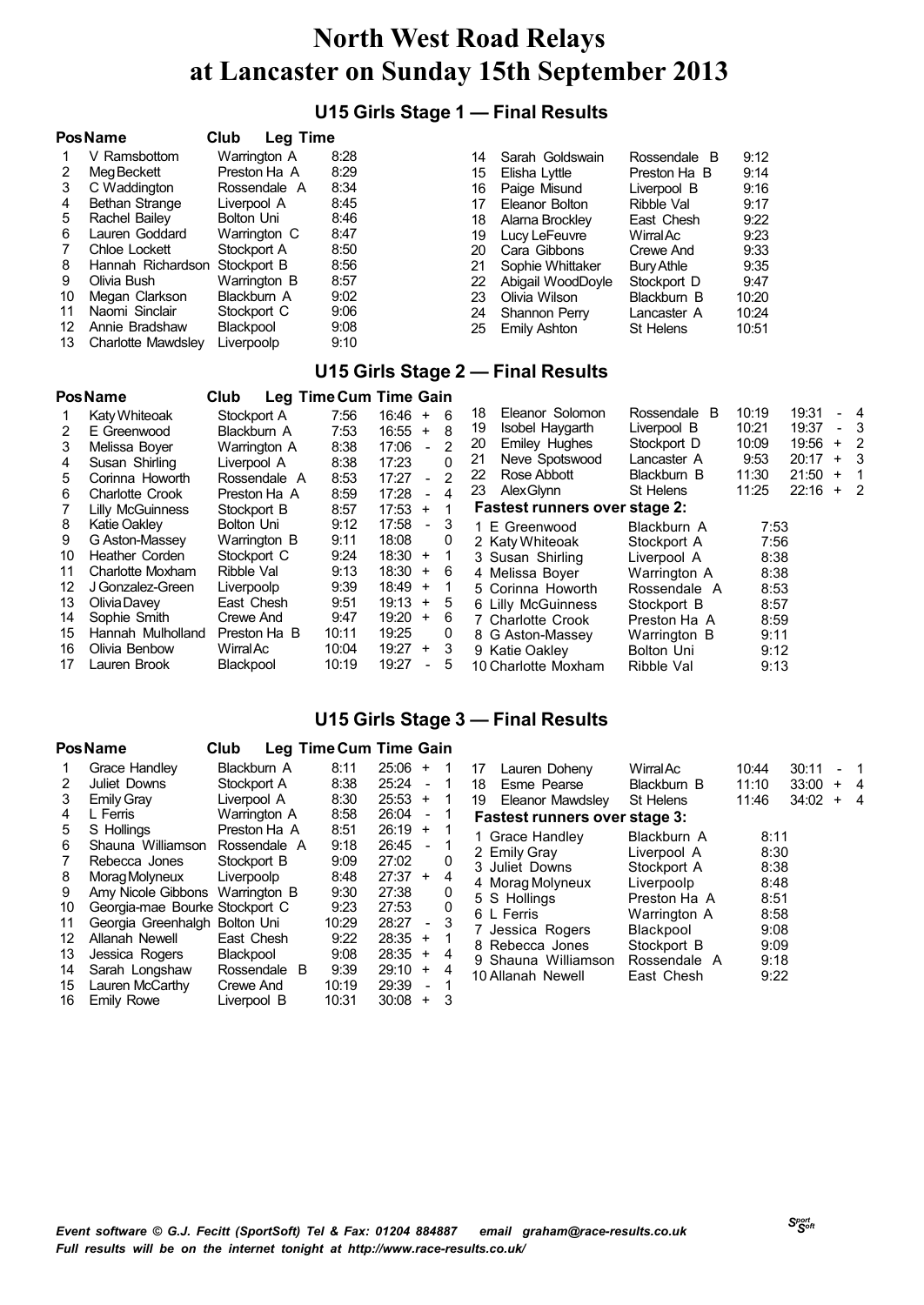### **U15 Girls Stage 1 — Final Results**

|    | <b>Pos Name</b>    | Club<br><b>Leg Time</b> |      |    |                   |              |       |
|----|--------------------|-------------------------|------|----|-------------------|--------------|-------|
|    | V Ramsbottom       | Warrington A            | 8:28 | 14 | Sarah Goldswain   | Rossendale B | 9:12  |
|    | Meg Beckett        | Preston Ha A            | 8:29 | 15 | Elisha Lyttle     | Preston Ha B | 9:14  |
| 3  | C Waddington       | Rossendale A            | 8:34 | 16 | Paige Misund      | Liverpool B  | 9:16  |
| 4  | Bethan Strange     | Liverpool A             | 8:45 | 17 | Eleanor Bolton    | Ribble Val   | 9:17  |
| 5  | Rachel Bailey      | Bolton Uni              | 8:46 | 18 | Alama Brockley    | East Chesh   | 9:22  |
| 6  | Lauren Goddard     | Warrington C            | 8:47 | 19 | Lucy LeFeuvre     | WirralAc     | 9:23  |
|    | Chloe Lockett      | Stockport A             | 8:50 | 20 | Cara Gibbons      | Crewe And    | 9:33  |
| 8  | Hannah Richardson  | Stockport B             | 8:56 | 21 | Sophie Whittaker  | Bury Athle   | 9:35  |
| 9  | Olivia Bush        | Warrington B            | 8:57 | 22 | Abigail WoodDoyle | Stockport D  | 9:47  |
| 10 | Megan Clarkson     | Blackburn A             | 9:02 | 23 | Olivia Wilson     | Blackburn B  | 10:20 |
| 11 | Naomi Sinclair     | Stockport C             | 9:06 | 24 | Shannon Perry     | Lancaster A  | 10:24 |
| 12 | Annie Bradshaw     | Blackpool               | 9:08 | 25 | Emily Ashton      | St Helens    | 10:51 |
| 13 | Charlotte Mawdslev | Liverpoolp              | 9:10 |    |                   |              |       |

#### **U15 Girls Stage 2 — Final Results**

|    | <b>Pos Name</b>         | Club             | Leg Time Cum Time Gain |       |                          |   |                               |                   |       |       |           |                            |
|----|-------------------------|------------------|------------------------|-------|--------------------------|---|-------------------------------|-------------------|-------|-------|-----------|----------------------------|
|    | Katy Whiteoak           | Stockport A      | 7:56                   | 16:46 | $+$                      | 6 | Eleanor Solomon<br>18         | Rossendale B      | 10:19 | 19:31 |           | - 4                        |
|    | E Greenwood             | Blackburn A      | 7:53                   | 16:55 | $+$                      | 8 | Isobel Haygarth<br>19         | Liverpool B       | 10:21 | 19:37 |           | - 3                        |
| 3  | Melissa Bover           | Warrington A     | 8:38                   | 17:06 | $\blacksquare$           | 2 | <b>Emiley Hughes</b><br>20    | Stockport D       | 10:09 | 19:56 | $\ddot{}$ | - 2                        |
| 4  | Susan Shirling          | Liverpool A      | 8:38                   | 17:23 |                          | 0 | Neve Spotswood<br>21          | Lancaster A       | 9:53  | 20:17 | $+$       | - 3                        |
| 5. | Corinna Howorth         | Rossendale A     | 8:53                   | 17:27 | $\sim$                   | 2 | Rose Abbott<br>22             | Blackburn B       | 11:30 | 21:50 | ÷         | -1                         |
| 6  | <b>Charlotte Crook</b>  | Preston Ha A     | 8:59                   | 17:28 | $\overline{\phantom{0}}$ | 4 | <b>Alex Glynn</b><br>23       | St Helens         | 11:25 | 22:16 | $\ddot{}$ | $\overline{\phantom{0}}^2$ |
|    | <b>Lilly McGuinness</b> | Stockport B      | 8:57                   | 17:53 | $\pm$                    |   | Fastest runners over stage 2: |                   |       |       |           |                            |
| 8  | <b>Katie Oaklev</b>     | Bolton Uni       | 9:12                   | 17:58 | $\overline{\phantom{0}}$ | 3 | 1 E Greenwood                 | Blackburn A       | 7:53  |       |           |                            |
| 9  | G Aston-Massey          | Warrington B     | 9:11                   | 18:08 |                          | 0 | 2 Katy Whiteoak               | Stockport A       | 7:56  |       |           |                            |
| 10 | Heather Corden          | Stockport C      | 9:24                   | 18:30 | $^{+}$                   |   | 3 Susan Shirling              | Liverpool A       | 8:38  |       |           |                            |
| 11 | Charlotte Moxham        | Ribble Val       | 9:13                   | 18:30 | $+ 6$                    |   | 4 Melissa Boyer               | Warrington A      | 8:38  |       |           |                            |
| 12 | J Gonzalez-Green        | Liverpoolp       | 9:39                   | 18:49 | $^{+}$                   | 1 | 5 Corinna Howorth             | Rossendale A      | 8:53  |       |           |                            |
| 13 | Olivia Davey            | East Chesh       | 9:51                   | 19:13 | $^{+}$                   | 5 | 6 Lilly McGuinness            | Stockport B       | 8:57  |       |           |                            |
| 14 | Sophie Smith            | <b>Crewe And</b> | 9:47                   | 19:20 | $+$                      | 6 | 7 Charlotte Crook             | Preston Ha A      | 8:59  |       |           |                            |
| 15 | Hannah Mulholland       | Preston Ha B     | 10:11                  | 19:25 |                          | 0 | 8 G Aston-Massey              | Warrington B      | 9:11  |       |           |                            |
| 16 | Olivia Benbow           | <b>Wirral Ac</b> | 10:04                  | 19:27 | $+$                      | 3 | 9 Katie Oakley                | <b>Bolton Uni</b> | 9:12  |       |           |                            |
| 17 | Lauren Brook            | Blackpool        | 10:19                  | 19:27 | $\overline{\phantom{0}}$ | 5 | 10 Charlotte Moxham           | Ribble Val        | 9:13  |       |           |                            |

#### **U15 Girls Stage 3 — Final Results**

|    | Pos Name                       | Club         | Leg Time Cum Time Gain |                                   |    |                                      |                  |       |       |       |                |
|----|--------------------------------|--------------|------------------------|-----------------------------------|----|--------------------------------------|------------------|-------|-------|-------|----------------|
|    | Grace Handley                  | Blackburn A  | 8:11                   | $25:06 +$                         |    | 17<br>Lauren Doheny                  | <b>Wirral Ac</b> | 10:44 | 30:11 |       | - 1            |
| 2  | Juliet Downs                   | Stockport A  | 8:38                   | 25:24<br>$\blacksquare$           |    | Esme Pearse<br>18                    | Blackburn B      | 11:10 | 33:00 | $+ 4$ |                |
| 3  | <b>Emily Grav</b>              | Liverpool A  | 8:30                   | 25:53<br>$+$                      | -1 | Eleanor Mawdsley<br>19               | St Helens        | 11:46 | 34:02 | $\pm$ | $\overline{4}$ |
| 4  | L Ferris                       | Warrington A | 8:58                   | 26:04<br>$\blacksquare$           |    | <b>Fastest runners over stage 3:</b> |                  |       |       |       |                |
| 5  | S Hollings                     | Preston Ha A | 8:51                   | $26:19 +$                         |    | 1 Grace Handley                      | Blackburn A      | 8:11  |       |       |                |
| 6  | Shauna Williamson              | Rossendale A | 9:18                   | 26:45<br>$\blacksquare$           |    | 2 Emily Gray                         | Liverpool A      | 8:30  |       |       |                |
|    | Rebecca Jones                  | Stockport B  | 9:09                   | 27:02                             | 0  | 3 Juliet Downs                       | Stockport A      | 8:38  |       |       |                |
| 8  | Morag Molyneux                 | Liverpoolp   | 8:48                   | $27:37 +$                         | 4  | 4 Morag Molyneux                     | Liverpoolp       | 8:48  |       |       |                |
| 9  | Amy Nicole Gibbons             | Warrington B | 9:30                   | 27:38                             | 0  | 5 S Hollings                         | Preston Ha A     | 8:51  |       |       |                |
| 10 | Georgia-mae Bourke Stockport C |              | 9:23                   | 27:53                             | 0  | 6 L Ferris                           | Warrington A     | 8:58  |       |       |                |
| 11 | Georgia Greenhalgh             | Bolton Uni   | 10:29                  | 28:27<br>$-3$                     |    | 7 Jessica Rogers                     | Blackpool        | 9:08  |       |       |                |
| 12 | Allanah Newell                 | East Chesh   | 9:22                   | 28:35<br>$+$                      |    | 8 Rebecca Jones                      | Stockport B      | 9:09  |       |       |                |
| 13 | Jessica Rogers                 | Blackpool    | 9:08                   | $28:35 +$                         | 4  | 9 Shauna Williamson                  | Rossendale A     | 9:18  |       |       |                |
| 14 | Sarah Longshaw                 | Rossendale B | 9:39                   | 29:10<br>$+$                      | 4  | 10 Allanah Newell                    | East Chesh       | 9:22  |       |       |                |
| 15 | Lauren McCarthy                | Crewe And    | 10:19                  | 29:39<br>$\overline{\phantom{0}}$ |    |                                      |                  |       |       |       |                |
| 16 | <b>Emily Rowe</b>              | Liverpool B  | 10:31                  | 30:08<br>$\ddot{}$                | 3  |                                      |                  |       |       |       |                |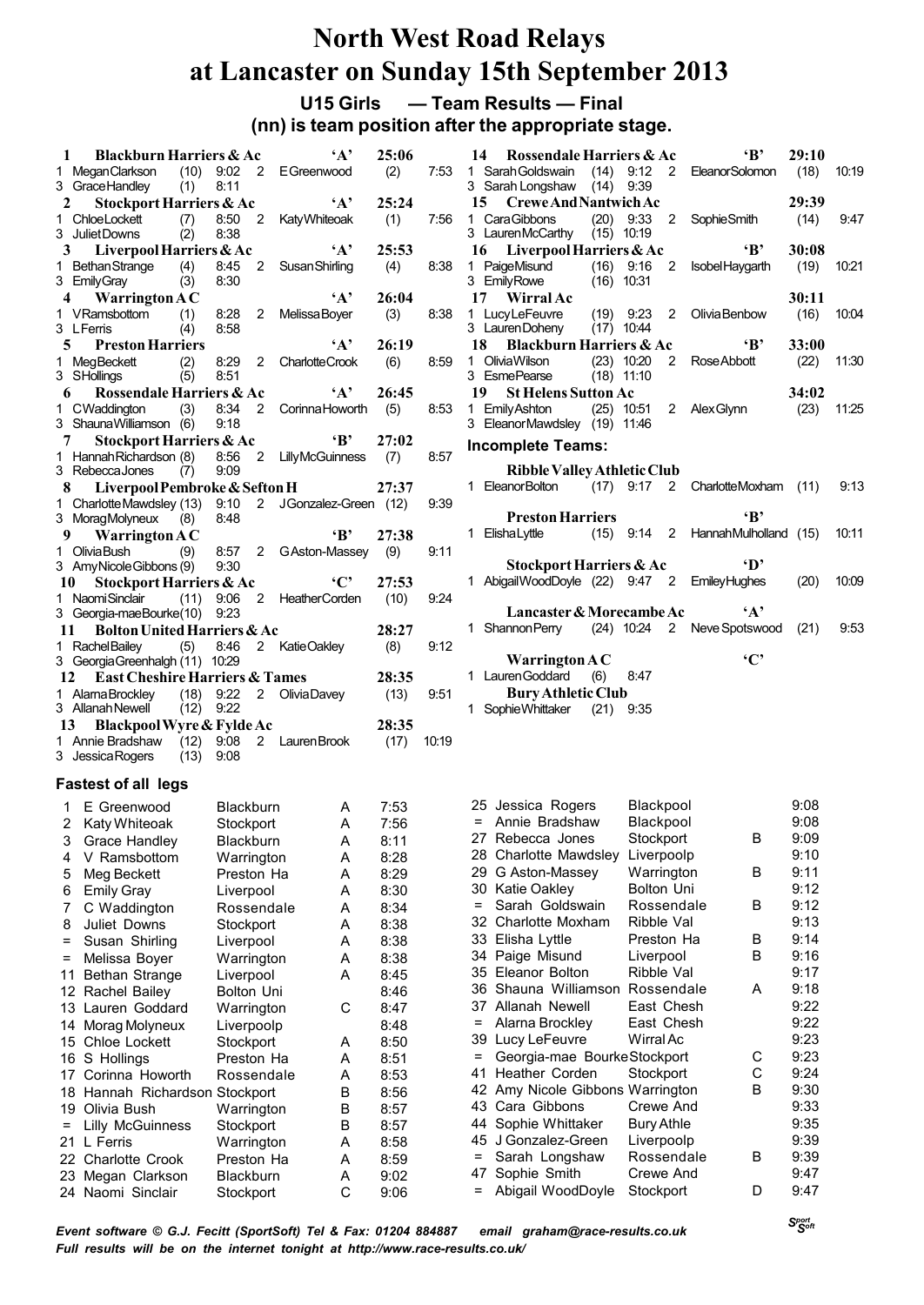**U15 Girls — Team Results — Final**

# **(nn) is team position after the appropriate stage.**

| 1        | <b>Blackburn Harriers &amp; Ac</b>               |                              | $\mathbf{A}$               | 25:06 |       | $\cdot$ B<br>29:10<br>Rossendale Harriers & Ac<br>14                                                        |       |
|----------|--------------------------------------------------|------------------------------|----------------------------|-------|-------|-------------------------------------------------------------------------------------------------------------|-------|
|          | 1 MeganClarkson                                  |                              | $(10)$ 9:02 2 EGreenwood   | (2)   | 7:53  | 1 Sarah Goldswain<br>$(14)$ 9.12 2<br>(18)<br><b>EleanorSolomon</b>                                         | 10.19 |
|          | 3 Grace Handley<br>(1)                           | 8:11                         |                            |       |       | 3 Sarah Longshaw (14) 9:39                                                                                  |       |
| 2        | Stockport Harriers & Ac                          |                              | $\mathbf{A}$               | 25:24 |       | 29:39<br>15<br><b>Crewe And Nantwich Ac</b>                                                                 |       |
|          | 1 ChloeLockett<br>(7)                            | 8:50                         | 2 KatyWhiteoak             | (1)   | 7:56  | 1 CaraGibbons<br>$(20)$ 9:33<br>$\overline{2}$<br>SophieSmith<br>(14)                                       | 9.47  |
|          | 3 Juliet Downs<br>(2)                            | 8:38                         |                            |       |       | 3 LaurenMcCarthy (15) 10:19                                                                                 |       |
| 3        | Liverpool Harriers & Ac                          |                              | $\mathbf{A}$               | 25:53 |       | ʻВ'<br>Liverpool Harriers & Ac<br>30:08<br>16                                                               |       |
|          | 1 Bethan Strange<br>(4)                          | 8:45                         | 2 Susan Shirling           | (4)   | 8:38  | 1 PaigeMisund<br>$(16)$ 9:16<br>$\overline{2}$<br>(19)<br>IsobelHaygarth                                    | 10.21 |
|          | 3 Emily Gray<br>(3)                              | 8:30                         |                            |       |       | 3 EmilyRowe<br>$(16)$ 10:31                                                                                 |       |
| 4        | Warrington $AC$                                  |                              | $\mathbf{A}$               | 26:04 |       | 30:11<br>17<br><b>Wirral Ac</b>                                                                             |       |
|          | 1 VRamsbottom<br>(1)<br>3 L Ferris               | 8:28<br>$\mathbf{2}$<br>8:58 | Melissa Boyer              | (3)   | 8:38  | $(19)$ 9.23<br>1 LucyLeFeuvre<br>$\overline{2}$<br>Olivia Benbow<br>(16)<br>3 Lauren Doheny<br>$(17)$ 10:44 | 10.04 |
|          | (4)                                              |                              | $\cdot_A$ ,                |       |       | 18<br>$\mathbf{B}$                                                                                          |       |
| 5        | <b>Preston Harriers</b>                          |                              |                            | 26:19 |       | <b>Blackburn Harriers &amp; Ac</b><br>33:00<br>1 Olivia Wilson<br>$(23)$ 10:20                              |       |
|          | (2)<br>1 MegBeckett<br>3 SHollings               | 8:29<br>8.51                 | 2 Charlotte Crook          | (6)   | 8.59  | 2<br>Rose Abbott<br>(22)<br>3 EsmePearse<br>$(18)$ 11:10                                                    | 11:30 |
| 6        | (5)<br>Rossendale Harriers & Ac                  |                              | $\mathbf{A}$               | 26:45 |       | 19<br><b>St Helens Sutton Ac</b><br>34:02                                                                   |       |
|          |                                                  |                              |                            |       |       |                                                                                                             |       |
|          | 1 CWaddington<br>(3)<br>3 ShaunaWilliamson (6)   | 8:34<br>9:18                 | 2 Corinna Howorth          | (5)   | 8:53  | 1 Emily Ashton<br>$(25)$ 10:51<br>2 Alex Glynn<br>(23)<br>3 EleanorMawdsley (19) 11:46                      | 11.25 |
| 7        |                                                  |                              | $\mathbf{B}$               | 27:02 |       |                                                                                                             |       |
|          | Stockport Harriers & Ac                          |                              |                            |       | 8:57  | <b>Incomplete Teams:</b>                                                                                    |       |
|          | 1 Hannah Richardson (8)<br>3 RebeccaJones<br>(7) | 8:56<br>9:09                 | 2 LillyMcGuinness          | (7)   |       | <b>Ribble Valley Athletic Club</b>                                                                          |       |
| 8        | Liverpool Pembroke & Sefton H                    |                              |                            | 27:37 |       | 1 EleanorBolton<br>$(17)$ 9:17 2 CharlotteMoxham $(11)$                                                     | 9:13  |
|          | 1 Charlotte Mawdsley (13) 9:10                   |                              | 2 JGonzalez-Green (12)     |       | 9:39  |                                                                                                             |       |
|          | 3 MoragMolyneux<br>(8)                           | 8.48                         |                            |       |       | ʻВ,<br><b>Preston Harriers</b>                                                                              |       |
| 9        |                                                  |                              | $\cdot$ B                  | 27:38 |       | 1 Elisha Lyttle<br>$(15)$ 9:14 2 Hannah Mulholland $(15)$                                                   | 10.11 |
|          | Warrington $AC$                                  |                              |                            |       |       |                                                                                                             |       |
|          | 1 OliviaBush<br>(9)<br>3 Amy Nicole Gibbons (9)  | 9:30                         | 8:57 2 GAston-Massey       | (9)   | 9.11  | Stockport Harriers & Ac<br>·D'                                                                              |       |
| 10       | Stockport Harriers & Ac                          |                              | $\cdot$ $C$                | 27:53 |       | 1 Abigail WoodDoyle (22) 9:47 2 Emiley Hughes<br>(20)                                                       | 10.09 |
|          | 1 NaomiSinclair                                  |                              | (11) 9:06 2 HeatherCorden  | (10)  | 9.24  |                                                                                                             |       |
|          | 3 Georgia-maeBourke(10)                          | 9:23                         |                            |       |       | $\mathbf{A}$<br>Lancaster & Morecambe Ac                                                                    |       |
|          | <b>Bolton United Harriers &amp; Ac</b><br>11     |                              |                            | 28:27 |       | 1 Shannon Perry (24) 10:24 2 Neve Spotswood<br>(21)                                                         | 9.53  |
|          | 1 RachelBailey<br>(5)                            | 8:46                         | 2 KatieOakley              | (8)   | 9.12  |                                                                                                             |       |
|          | 3 Georgia Greenhalgh (11) 10:29                  |                              |                            |       |       | $\cdot$ $C$<br>Warrington $AC$                                                                              |       |
| 12       | <b>East Cheshire Harriers &amp; Tames</b>        |                              |                            | 28:35 |       | 1 Lauren Goddard<br>(6)<br>8.47                                                                             |       |
|          | 1 AlamaBrockley                                  |                              | $(18)$ 9:22 2 Olivia Davey | (13)  | 9.51  | <b>Bury Athletic Club</b>                                                                                   |       |
|          | 3 Allanah Newell<br>$(12)$ 9:22                  |                              |                            |       |       | 1 Sophie Whittaker<br>$(21)$ 9:35                                                                           |       |
|          | Blackpool Wyre & Fylde Ac<br>13                  |                              |                            | 28:35 |       |                                                                                                             |       |
|          | 1 Annie Bradshaw<br>$(12)$ 9:08                  |                              | 2 Lauren Brook             | (17)  | 10:19 |                                                                                                             |       |
|          | 3 Jessica Rogers<br>$(13)$ 9:08                  |                              |                            |       |       |                                                                                                             |       |
|          |                                                  |                              |                            |       |       |                                                                                                             |       |
|          | <b>Fastest of all legs</b>                       |                              |                            |       |       |                                                                                                             |       |
|          | 1 E Greenwood                                    | <b>Blackburn</b>             | A                          | 7:53  |       | 9:08<br>25 Jessica Rogers<br><b>Blackpool</b>                                                               |       |
|          | 2 Katy Whiteoak                                  | Stockport                    | A                          | 7:56  |       | = Annie Bradshaw<br>9:08<br>Blackpool                                                                       |       |
|          | 3 Grace Handley Blackburn                        |                              | A                          | 8:11  |       | 9:09<br>Stockport<br>27 Rebecca Jones<br>В                                                                  |       |
| 4        | V Ramsbottom                                     |                              | Α                          | 8:28  |       | 9:10<br>28 Charlotte Mawdsley<br>Liverpoolp                                                                 |       |
| 5        | Meg Beckett                                      | Warrington<br>Preston Ha     | Α                          | 8:29  |       | 9:11<br>Warrington<br>В<br>G Aston-Massey<br>29                                                             |       |
|          |                                                  |                              |                            |       |       | 9:12<br>30<br>Katie Oakley<br><b>Bolton Uni</b>                                                             |       |
| 6        | <b>Emily Gray</b>                                | Liverpool                    | A                          | 8:30  |       | 9:12<br>Sarah Goldswain<br>В<br>$=$<br>Rossendale                                                           |       |
| 7        | C Waddington                                     | Rossendale                   | Α                          | 8:34  |       | 9:13<br>Charlotte Moxham<br>Ribble Val                                                                      |       |
| 8        | Juliet Downs                                     | Stockport                    | A                          | 8:38  |       | 32                                                                                                          |       |
| $\equiv$ | Susan Shirling                                   | Liverpool                    | Α                          | 8:38  |       | 9:14<br>33<br>Elisha Lyttle<br>Preston Ha<br>в                                                              |       |
| $\equiv$ | Melissa Boyer                                    | Warrington                   | Α                          | 8:38  |       | 9:16<br>34 Paige Misund<br>в<br>Liverpool                                                                   |       |
| 11       | <b>Bethan Strange</b>                            | Liverpool                    | A                          | 8:45  |       | 9:17<br>35 Eleanor Bolton<br>Ribble Val                                                                     |       |
|          | Rachel Bailey<br>12                              | Bolton Uni                   |                            | 8:46  |       | 9:18<br>Shauna Williamson<br>36<br>Rossendale<br>Α                                                          |       |
|          | 13 Lauren Goddard                                | Warrington                   | C                          | 8:47  |       | 9:22<br>East Chesh<br>37 Allanah Newell                                                                     |       |
|          | Morag Molyneux<br>14                             | Liverpoolp                   |                            | 8:48  |       | 9:22<br>East Chesh<br>Alarna Brockley<br>=                                                                  |       |
|          | Chloe Lockett<br>15                              | Stockport                    | A                          | 8:50  |       | 9:23<br>Lucy LeFeuvre<br>Wirral Ac<br>39                                                                    |       |
|          | S Hollings<br>16                                 | Preston Ha                   | A                          | 8:51  |       | 9:23<br>С<br>Georgia-mae BourkeStockport<br>=                                                               |       |
|          | Corinna Howorth<br>17                            | Rossendale                   | Α                          | 8:53  |       | C<br>9:24<br>Heather Corden<br>Stockport<br>41                                                              |       |
| 18       | Hannah Richardson Stockport                      |                              | В                          | 8:56  |       | 9:30<br>42 Amy Nicole Gibbons Warrington<br>в                                                               |       |
| 19       | Olivia Bush                                      | Warrington                   | В                          | 8:57  |       | 9:33<br>Cara Gibbons<br>Crewe And<br>43                                                                     |       |
| $=$      | <b>Lilly McGuinness</b>                          | Stockport                    | в                          | 8:57  |       | Sophie Whittaker<br>9:35<br>Bury Athle<br>44                                                                |       |
| 21.      | L Ferris                                         | Warrington                   | Α                          | 8:58  |       | 9:39<br>45 J Gonzalez-Green<br>Liverpoolp                                                                   |       |
|          | 22 Charlotte Crook                               | Preston Ha                   | Α                          | 8:59  |       | В<br>9:39<br>Sarah Longshaw<br>Rossendale<br>=                                                              |       |
| 23       | Megan Clarkson                                   | <b>Blackburn</b>             | A                          | 9:02  |       | Crewe And<br>9:47<br>Sophie Smith<br>47                                                                     |       |
|          | 24 Naomi Sinclair                                | Stockport                    | C                          | 9:06  |       | Abigail WoodDoyle<br>Stockport<br>D<br>9:47<br>=                                                            |       |
|          |                                                  |                              |                            |       |       |                                                                                                             |       |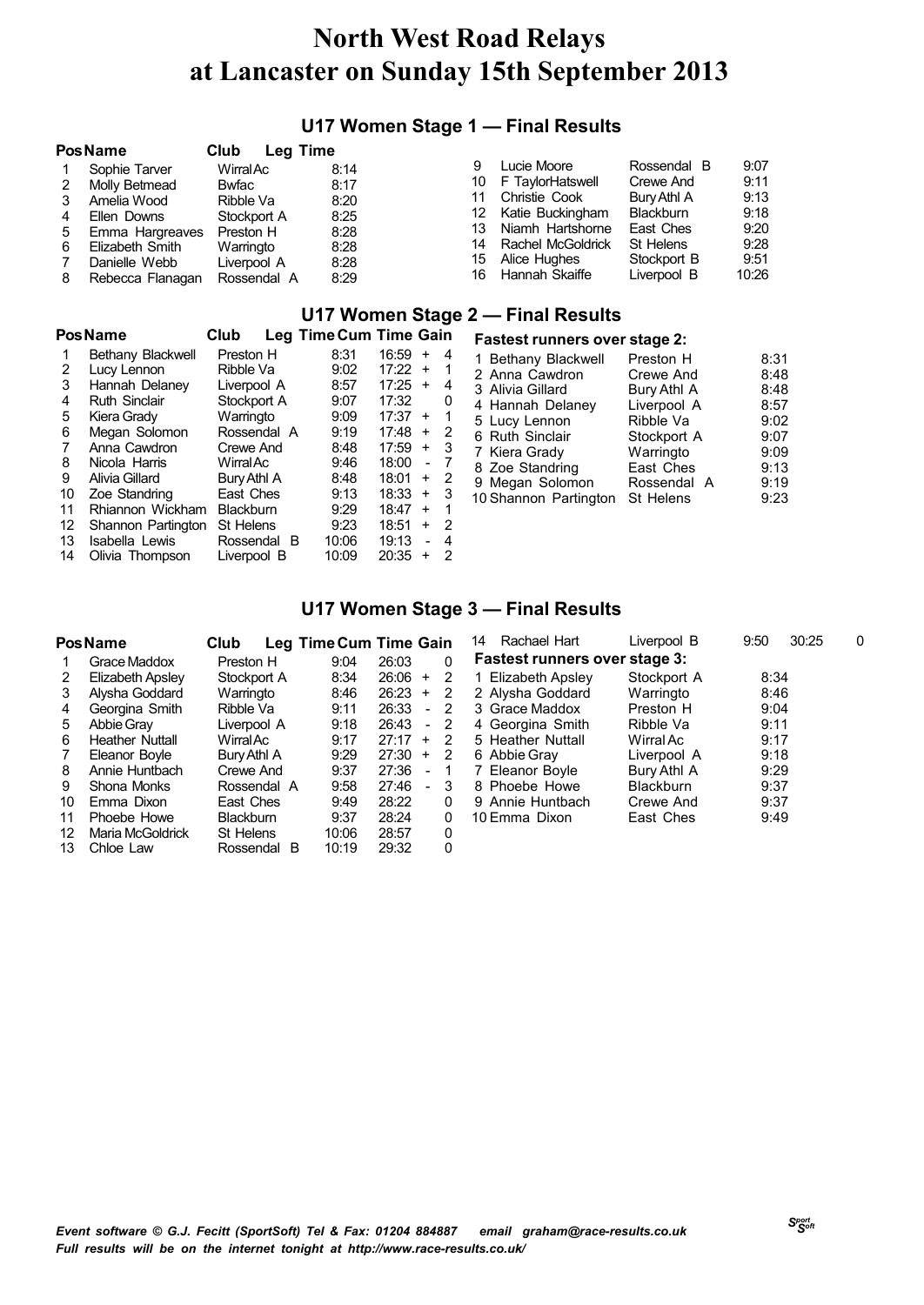### **U17 Women Stage 1 — Final Results**

|   | <b>Pos Name</b>  | Club<br>Leg Time |      |     |                   |                  |       |
|---|------------------|------------------|------|-----|-------------------|------------------|-------|
|   | Sophie Tarver    | WirralAc         | 8:14 | 9   | Lucie Moore       | Rossendal B      | 9:07  |
|   | Molly Betmead    | Bwfac            | 8:17 | 10  | F TaylorHatswell  | Crewe And        | 9:11  |
|   | Amelia Wood      | Ribble Va        | 8:20 |     | Christie Cook     | Bury Athl A      | 9:13  |
|   | Ellen Downs      | Stockport A      | 8:25 | 12. | Katie Buckingham  | <b>Blackburn</b> | 9:18  |
| 5 | Emma Hargreaves  | Preston H        | 8:28 | 13. | Niamh Hartshorne  | East Ches        | 9:20  |
| 6 | Elizabeth Smith  | Warringto        | 8:28 | 14  | Rachel McGoldrick | St Helens        | 9:28  |
|   | Danielle Webb    | Liverpool A      | 8:28 | 15  | Alice Hughes      | Stockport B      | 9:51  |
| 8 | Rebecca Flanagan | Rossendal A      | 8:29 | 16  | Hannah Skaiffe    | Liverpool B      | 10:26 |

#### **U17 Women Stage 2 — Final Results**

|    | <b>Pos Name</b>      | Club             | Leg Time Cum Time Gain |       |                          |                |
|----|----------------------|------------------|------------------------|-------|--------------------------|----------------|
|    | Bethany Blackwell    | Preston H        | 8:31                   | 16:59 | $\ddot{}$                | 4              |
| 2  | Lucy Lennon          | Ribble Va        | 9:02                   | 17:22 | $\ddot{}$                | 1              |
| 3  | Hannah Delaney       | Liverpool A      | 8:57                   | 17:25 | $\ddot{}$                | 4              |
| 4  | <b>Ruth Sinclair</b> | Stockport A      | 9:07                   | 17:32 |                          | 0              |
| 5  | Kiera Grady          | Warringto        | 9:09                   | 17:37 | $+$                      | 1              |
| 6  | Megan Solomon        | Rossendal A      | 9:19                   | 17:48 | $\ddot{}$                | 2              |
| 7  | Anna Cawdron         | Crewe And        | 8:48                   | 17:59 | $\ddot{}$                | 3              |
| 8  | Nicola Harris        | WirralAc         | 9:46                   | 18:00 | $\overline{\phantom{a}}$ | 7              |
| 9  | Alivia Gillard       | Bury Athl A      | 8:48                   | 18:01 | $\ddot{}$                | 2              |
| 10 | Zoe Standring        | East Ches        | 9:13                   | 18:33 | $\ddot{}$                | 3              |
| 11 | Rhiannon Wickham     | <b>Blackburn</b> | 9:29                   | 18:47 | $\ddot{}$                | 1              |
| 12 | Shannon Partington   | St Helens        | 9:23                   | 18:51 | $\ddot{}$                | $\overline{2}$ |
| 13 | Isabella Lewis       | Rossendal        | 10:06<br>- B           | 19:13 | $\blacksquare$           | 4              |
| 14 | Olivia Thompson      | Liverpool B      | 10:09                  | 20:35 | $\ddot{}$                | 2              |

| <b>Fastest runners over stage 2:</b> |             |      |  |  |  |  |  |  |  |
|--------------------------------------|-------------|------|--|--|--|--|--|--|--|
| 1 Bethany Blackwell                  | Preston H   | 8:31 |  |  |  |  |  |  |  |
| 2 Anna Cawdron                       | Crewe And   | 8:48 |  |  |  |  |  |  |  |
| 3 Alivia Gillard                     | Bury Athl A | 8:48 |  |  |  |  |  |  |  |
| 4 Hannah Delaney                     | Liverpool A | 8:57 |  |  |  |  |  |  |  |
| 5 Lucy Lennon                        | Ribble Va   | 9:02 |  |  |  |  |  |  |  |
| 6 Ruth Sinclair                      | Stockport A | 9:07 |  |  |  |  |  |  |  |
| 7 Kiera Grady                        | Warringto   | 9:09 |  |  |  |  |  |  |  |
| 8 Zoe Standring                      | East Ches   | 9:13 |  |  |  |  |  |  |  |
| 9 Megan Solomon                      | Rossendal A | 9:19 |  |  |  |  |  |  |  |
| 10 Shannon Partington                | St Helens   | 9:23 |  |  |  |  |  |  |  |

### **U17 Women Stage 3 — Final Results**

|    | <b>PosName</b>         | Club             |       | Leg Time Cum Time Gain |    | Rachael Hart<br>14                   | Liverpool B      | 9:50<br>30:25 | 0 |
|----|------------------------|------------------|-------|------------------------|----|--------------------------------------|------------------|---------------|---|
|    | Grace Maddox           | Preston H        | 9:04  | 26:03                  | 0  | <b>Fastest runners over stage 3:</b> |                  |               |   |
| 2  | Elizabeth Apsley       | Stockport A      | 8:34  | $26:06 +$              | 2  | 1 Elizabeth Apsley                   | Stockport A      | 8:34          |   |
| 3  | Alysha Goddard         | Warringto        | 8:46  | $26:23 +$              | 2  | 2 Alysha Goddard                     | Warringto        | 8:46          |   |
| 4  | Georgina Smith         | Ribble Va        | 9:11  | 26:33<br>$\sim$        | 2  | 3 Grace Maddox                       | Preston H        | 9:04          |   |
| 5. | Abbie Gray             | Liverpool A      | 9:18  | 26:43<br>$-2$          |    | 4 Georgina Smith                     | Ribble Va        | 9:11          |   |
| 6  | <b>Heather Nuttall</b> | WirralAc         | 9:17  | $27:17 + 2$            |    | 5 Heather Nuttall                    | Wirral Ac        | 9:17          |   |
| 7  | Eleanor Boyle          | Bury Athl A      | 9:29  | 27:30<br>$+$           | -2 | 6 Abbie Gray                         | Liverpool A      | 9:18          |   |
| 8  | Annie Huntbach         | Crewe And        | 9:37  | 27:36<br>$\sim$        | -1 | 7 Eleanor Boyle                      | Bury Athl A      | 9:29          |   |
| 9  | Shona Monks            | Rossendal A      | 9:58  | 27:46<br>$\sim$        | 3  | 8 Phoebe Howe                        | <b>Blackburn</b> | 9:37          |   |
| 10 | Emma Dixon             | East Ches        | 9:49  | 28:22                  | 0  | 9 Annie Huntbach                     | Crewe And        | 9:37          |   |
| 11 | Phoebe Howe            | <b>Blackburn</b> | 9:37  | 28:24                  | 0  | 10 Emma Dixon                        | East Ches        | 9:49          |   |
| 12 | Maria McGoldrick       | St Helens        | 10:06 | 28:57                  | 0  |                                      |                  |               |   |
| 13 | Chloe Law              | Rossendal B      | 10:19 | 29:32                  | 0  |                                      |                  |               |   |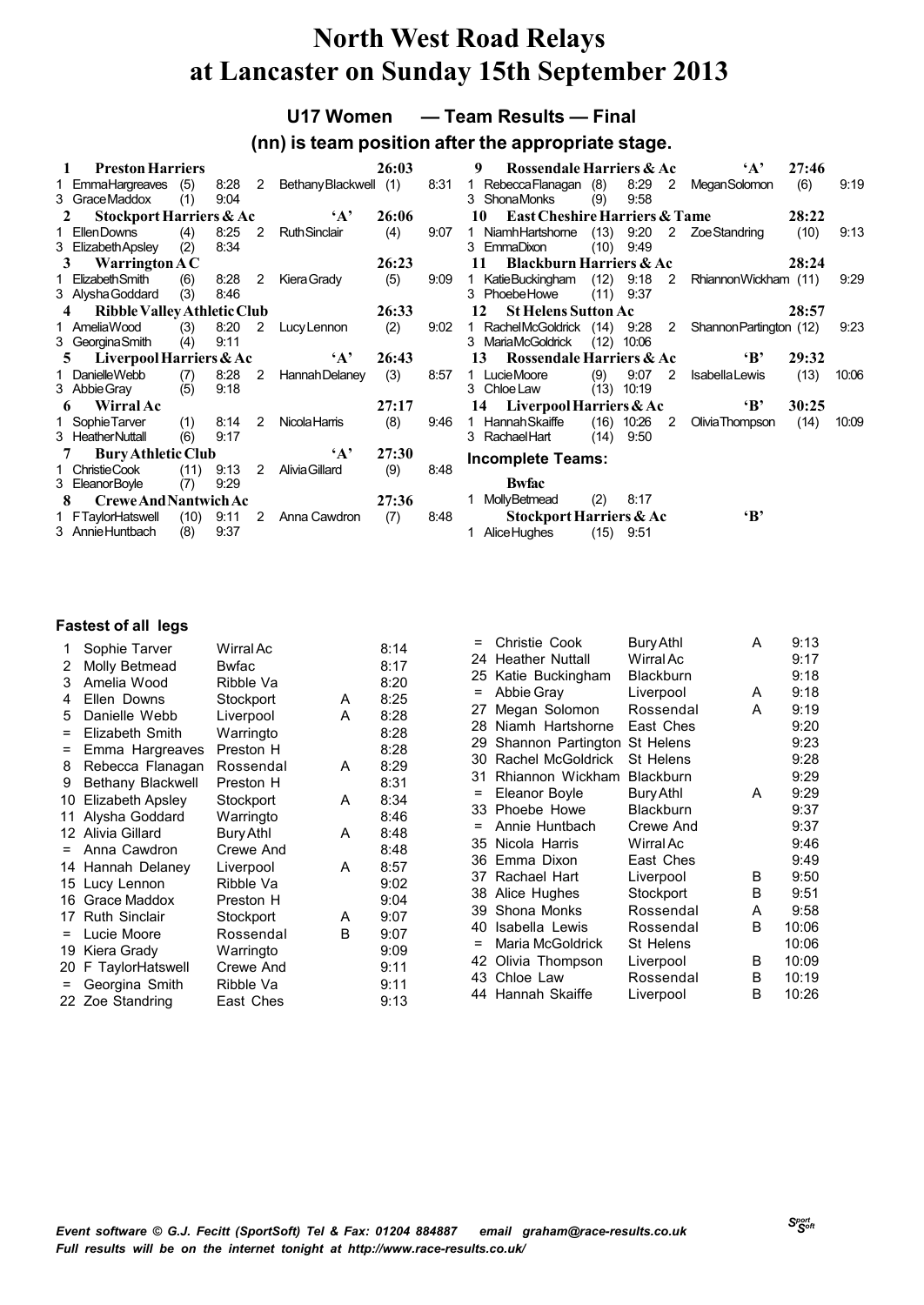**U17 Women — Team Results — Final**

### **(nn) is team position after the appropriate stage.**

|   | <b>Preston Harriers</b>                           |            |              |                |                       | 26:03        |      | <b>Rossendale Harriers &amp; Ac</b><br>9                       |              |                      |                         | $\mathbf{A}$            | 27:46 |       |
|---|---------------------------------------------------|------------|--------------|----------------|-----------------------|--------------|------|----------------------------------------------------------------|--------------|----------------------|-------------------------|-------------------------|-------|-------|
|   | 1 EmmaHargreaves<br>3 Grace Maddox                | (5)<br>(1) | 8:28<br>9:04 | $\overline{2}$ | BethanyBlackwell (1)  |              | 8:31 | Rebecca Flanagan (8)<br>1<br>3 ShonaMonks                      | (9)          | 8:29<br>9:58         | $2^{\circ}$             | <b>MeganSolomon</b>     | (6)   | 9:19  |
| 2 | Stockport Harriers & Ac                           |            |              |                | $\mathbf{A}$          | 26:06        |      | <b>East Cheshire Harriers &amp; Tame</b><br>10                 |              |                      |                         |                         | 28:22 |       |
|   | 1 EllenDowns<br>3 Elizabeth Apsley                | (4)<br>(2) | 8:25<br>8:34 | $\overline{2}$ | <b>RuthSinclair</b>   | (4)          | 9:07 | NiamhHartshome<br>$\mathbf{1}$<br>3 EmmaDixon                  | (13)<br>(10) | 9:20<br>9:49         |                         | 2 ZoeStandring          | (10)  | 9:13  |
| 3 | Warrington $AC$                                   |            |              |                |                       | 26:23        |      | <b>Blackburn Harriers &amp; Ac</b><br>11                       |              |                      |                         |                         | 28:24 |       |
|   | ElizabethSmith<br>3 Alysha Goddard                | (6)<br>(3) | 8:28<br>8:46 | 2              | Kiera Grady           | (5)          | 9:09 | KatieBuckingham<br>3 PhoebeHowe                                | (11)         | $(12)$ 9:18<br>9:37  | $\overline{\mathbf{2}}$ | RhiannonWickham (11)    |       | 9:29  |
|   | Ribble Valley Athletic Club                       |            |              |                |                       | 26:33        |      | <b>St Helens Sutton Ac</b><br>12                               |              |                      |                         |                         | 28:57 |       |
|   | 1 AmeliaWood<br>3 Georgina Smith                  | (3)<br>(4) | 8:20<br>9:11 | 2              | Lucy Lennon           | (2)          | 9:02 | RachelMcGoldrick (14) 9:28<br>1<br><b>MariaMcGoldrick</b><br>3 | (12)         | 10:06                | $\overline{2}$          | Shannon Partington (12) |       | 9:23  |
|   |                                                   |            |              |                |                       |              |      |                                                                |              |                      |                         |                         |       |       |
| 5 | Liverpool Harriers & Ac                           |            |              |                | $\mathbf{A}$          | 26:43        |      | Rossendale Harriers & Ac<br>13                                 |              |                      |                         | $\mathbf{B}$            | 29:32 |       |
|   | 1 DanielleWebb<br>3 Abbie Gray                    | (7)<br>(5) | 8:28<br>9:18 | $\overline{2}$ | Hannah Delaney        | (3)          | 8:57 | 1 LucieMoore<br>3 Chloe Law                                    | (9)          | 9:07<br>$(13)$ 10:19 | 2                       | <b>Isabella Lewis</b>   | (13)  | 10:06 |
| 6 | Wirral Ac                                         |            |              |                |                       | 27:17        |      | Liverpool Harriers & Ac<br>14                                  |              |                      |                         | $\mathbf{B}$            | 30:25 |       |
|   | 1 Sophie Tarver<br>3 Heather Nuttall              | (1)<br>(6) | 8:14<br>9:17 | 2              | <b>Nicola Harris</b>  | (8)          | 9:46 | <b>Hannah Skaiffe</b><br>1.<br>3 Rachael Hart                  | (16)<br>(14) | 10:26<br>9.50        | 2                       | Olivia Thompson         | (14)  | 10.09 |
|   | <b>Bury Athletic Club</b>                         |            |              |                | $\mathbf{A}$          | 27:30        |      |                                                                |              |                      |                         |                         |       |       |
|   | 1 ChristieCook                                    | (11)       | 9:13         | 2              | <b>Alivia Gillard</b> | (9)          | 8:48 | <b>Incomplete Teams:</b>                                       |              |                      |                         |                         |       |       |
|   | 3 EleanorBoyle                                    | (7)        | 9.29         |                |                       |              |      | <b>Bwfac</b>                                                   |              |                      |                         |                         |       |       |
| 8 | <b>Crewe And Nantwich Ac</b><br>1 FTaylorHatswell | (10)       | 9:11         | $2^{\circ}$    | Anna Cawdron          | 27:36<br>(7) | 8:48 | MollyBetmead<br>Stockport Harriers & Ac                        | (2)          | 8:17                 |                         | $\mathbf{B}$            |       |       |

| 1   | Sophie Tarver        | Wirral Ac    |   | 8:14 |
|-----|----------------------|--------------|---|------|
| 2   | Molly Betmead        | <b>Bwfac</b> |   | 8:17 |
| 3   | Amelia Wood          | Ribble Va    |   | 8:20 |
| 4   | Ellen Downs          | Stockport    | A | 8:25 |
| 5   | Danielle Webb        | Liverpool    | A | 8:28 |
| Ξ   | Elizabeth Smith      | Warringto    |   | 8:28 |
| Ξ   | Emma Hargreaves      | Preston H    |   | 8:28 |
| 8   | Rebecca Flanagan     | Rossendal    | A | 8:29 |
| 9   | Bethany Blackwell    | Preston H    |   | 8:31 |
| 10  | Elizabeth Apsley     | Stockport    | A | 8:34 |
| 11  | Alysha Goddard       | Warringto    |   | 8:46 |
|     | 12 Alivia Gillard    | Bury Athl    | A | 8:48 |
| $=$ | Anna Cawdron         | Crewe And    |   | 8:48 |
|     | 14 Hannah Delaney    | Liverpool    | A | 8:57 |
| 15  | Lucy Lennon          | Ribble Va    |   | 9:02 |
| 16  | Grace Maddox         | Preston H    |   | 9:04 |
| 17  | <b>Ruth Sinclair</b> | Stockport    | A | 9:07 |
| $=$ | Lucie Moore          | Rossendal    | B | 9:07 |
| 19  | Kiera Grady          | Warringto    |   | 9:09 |
| 20  | F TaylorHatswell     | Crewe And    |   | 9:11 |
| $=$ | Georgina Smith       | Ribble Va    |   | 9:11 |
|     | 22 Zoe Standring     | East Ches    |   | 9:13 |

| $=$ | Christie Cook      | Bury Athl        | А | 9:13  |
|-----|--------------------|------------------|---|-------|
| 24  | Heather Nuttall    | Wirral Ac        |   | 9:17  |
| 25  | Katie Buckingham   | <b>Blackburn</b> |   | 9:18  |
| $=$ | Abbie Gray         | Liverpool        | A | 9:18  |
| 27  | Megan Solomon      | Rossendal        | A | 9:19  |
| 28  | Niamh Hartshorne   | East Ches        |   | 9:20  |
| 29  | Shannon Partington | St Helens        |   | 9:23  |
| 30  | Rachel McGoldrick  | St Helens        |   | 9:28  |
| 31  | Rhiannon Wickham   | <b>Blackburn</b> |   | 9:29  |
| $=$ | Eleanor Boyle      | <b>Bury Athl</b> | A | 9:29  |
|     | 33 Phoebe Howe     | <b>Blackburn</b> |   | 9:37  |
| $=$ | Annie Huntbach     | Crewe And        |   | 9:37  |
| 35  | Nicola Harris      | Wirral Ac        |   | 9:46  |
| 36  | Emma Dixon         | East Ches        |   | 9:49  |
| 37  | Rachael Hart       | Liverpool        | B | 9:50  |
| 38  | Alice Hughes       | Stockport        | B | 9:51  |
| 39  | Shona Monks        | Rossendal        | A | 9:58  |
| 40  | Isabella Lewis     | Rossendal        | B | 10:06 |
| $=$ | Maria McGoldrick   | St Helens        |   | 10:06 |
| 42  | Olivia Thompson    | Liverpool        | B | 10:09 |
|     | 43 Chloe Law       | Rossendal        | B | 10:19 |
|     | 44 Hannah Skaiffe  | Liverpool        | в | 10:26 |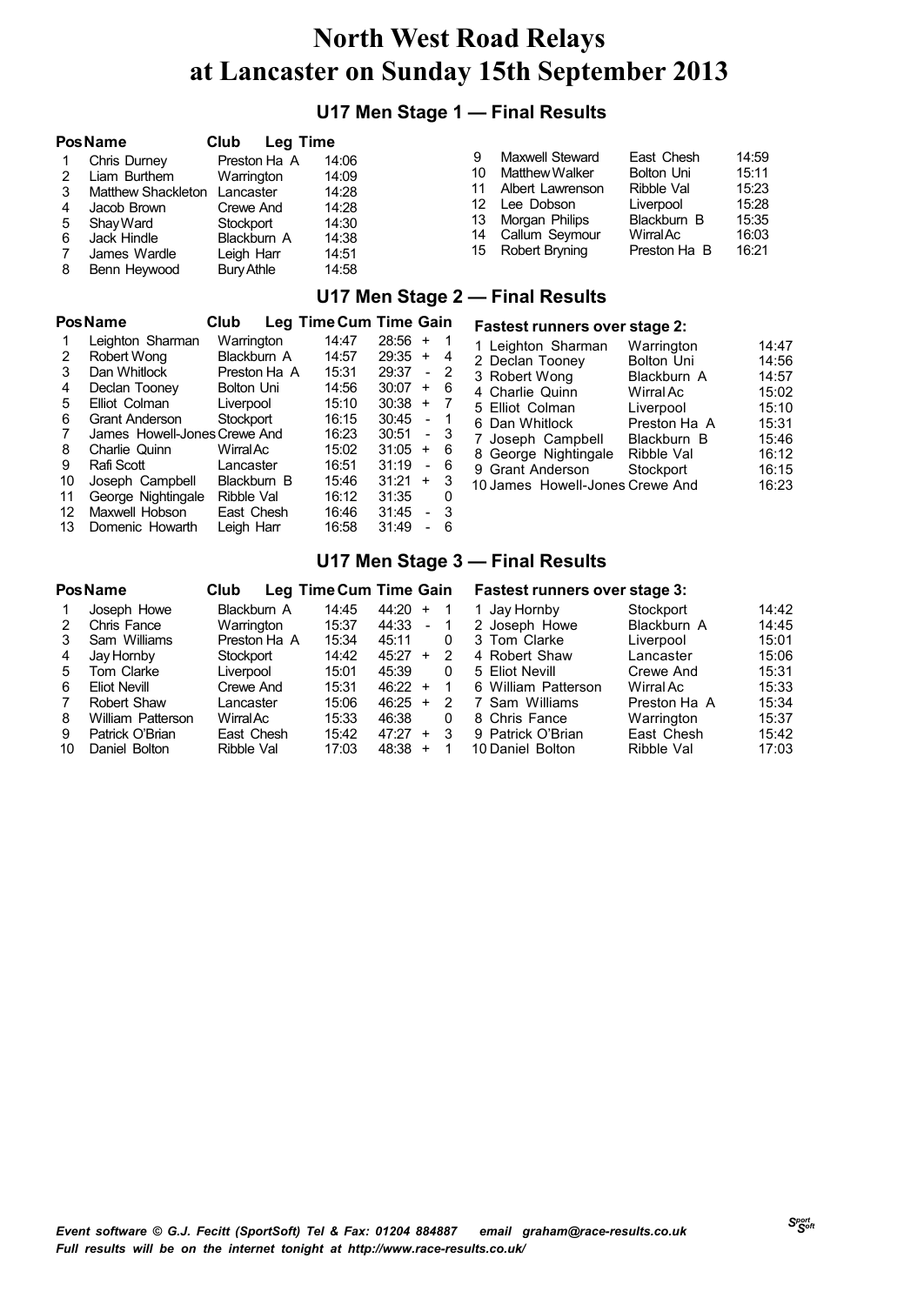## **U17 Men Stage 1 — Final Results**

|         | Pos Name                                       | <b>Club</b>                             | Leg Time |                         |          |                                                       |                                               |                         |
|---------|------------------------------------------------|-----------------------------------------|----------|-------------------------|----------|-------------------------------------------------------|-----------------------------------------------|-------------------------|
| 2       | Chris Durney<br>Liam Burthem                   | Preston Ha A<br>Warrington              |          | 14:06<br>14:09<br>14:28 | 10<br>11 | Maxwell Steward<br>Matthew Walker<br>Albert Lawrenson | East Chesh<br><b>Bolton Uni</b><br>Ribble Val | 14:59<br>15:11<br>15:23 |
| 4<br>5  | Matthew Shackleton<br>Jacob Brown<br>Shav Ward | Lancaster<br>Crewe And<br>Stockport     |          | 14:28<br>14:30          | 12<br>13 | Lee Dobson<br>Morgan Philips                          | Liverpool<br>Blackburn B                      | 15:28<br>15:35          |
| 6<br>-8 | Jack Hindle<br>James Wardle<br>Benn Heywood    | Blackburn A<br>Leigh Harr<br>Bury Athle |          | 14:38<br>14:51<br>14:58 | 14<br>15 | Callum Seymour<br>Robert Bryning                      | WirralAc<br>Preston Ha B                      | 16:03<br>16:21          |

### **U17 Men Stage 2 — Final Results**

#### **PosName Club Leg TimeCum Time Gain Fastest runners over stage 2:**

|    | Leighton Sharman             | Warrington   | 14:47 | 28:56<br>÷                        | 1 |
|----|------------------------------|--------------|-------|-----------------------------------|---|
| 2  | Robert Wong                  | Blackburn A  | 14:57 | 29:35<br>$\ddot{}$                | 4 |
| 3  | Dan Whitlock                 | Preston Ha A | 15:31 | 29:37                             | 2 |
| 4  | Declan Tooney                | Bolton Uni   | 14:56 | 30:07<br>$\ddot{}$                | 6 |
| 5  | Elliot Colman                | Liverpool    | 15:10 | 30:38<br>$\ddot{}$                |   |
| 6  | <b>Grant Anderson</b>        | Stockport    | 16:15 | 30:45<br>۳                        | 1 |
| 7  | James Howell-Jones Crewe And |              | 16:23 | 30:51<br>$\overline{\phantom{a}}$ | 3 |
| 8  | Charlie Quinn                | WirralAc     | 15:02 | 31:05<br>$\ddot{}$                | 6 |
| 9  | Rafi Scott                   | Lancaster    | 16:51 | 31:19                             | 6 |
| 10 | Joseph Campbell              | Blackburn B  | 15:46 | 31:21<br>$\ddot{}$                | 3 |
| 11 | George Nightingale           | Ribble Val   | 16:12 | 31:35                             | O |
| 12 | Maxwell Hobson               | East Chesh   | 16:46 | 31:45                             | 3 |
| 13 | Domenic Howarth              | Leigh Harr   | 16:58 | 31:49                             | 6 |

| 1 Leighton Sharman              | Warrington        | 14:47 |
|---------------------------------|-------------------|-------|
| 2 Declan Tooney                 | <b>Bolton Uni</b> | 14:56 |
| 3 Robert Wong                   | Blackburn A       | 14:57 |
| 4 Charlie Quinn                 | Wirral Ac         | 15:02 |
| 5 Elliot Colman                 | Liverpool         | 15:10 |
| 6 Dan Whitlock                  | Preston Ha A      | 15:31 |
| 7 Joseph Campbell               | Blackburn B       | 15:46 |
| 8 George Nightingale            | Ribble Val        | 16:12 |
| 9 Grant Anderson                | Stockport         | 16:15 |
| 10 James Howell-Jones Crewe And |                   | 16:23 |
|                                 |                   |       |

### **U17 Men Stage 3 — Final Results**

|    | Pos Name          | Club         | Leg Time Cum Time Gain |       |           |   | <b>Fastest runners over stage 3:</b> |              |       |
|----|-------------------|--------------|------------------------|-------|-----------|---|--------------------------------------|--------------|-------|
|    | Joseph Howe       | Blackburn A  | 14:45                  | 44:20 | $\ddot{}$ |   | 1 Jay Hornby                         | Stockport    | 14:42 |
| 2  | Chris Fance       | Warrington   | 15:37                  | 44:33 | $\sim$    |   | 2 Joseph Howe                        | Blackburn A  | 14:45 |
| 3  | Sam Williams      | Preston Ha A | 15:34                  | 45:11 |           | 0 | 3 Tom Clarke                         | Liverpool    | 15:01 |
| 4  | Jay Hornby        | Stockport    | 14:42                  | 45:27 | $\ddot{}$ | 2 | 4 Robert Shaw                        | Lancaster    | 15:06 |
| 5. | Tom Clarke        | Liverpool    | 15:01                  | 45:39 |           | 0 | 5 Eliot Nevill                       | Crewe And    | 15:31 |
| 6  | Eliot Nevill      | Crewe And    | 15:31                  | 46:22 | $\ddot{}$ |   | 6 William Patterson                  | Wirral Ac    | 15:33 |
| 7  | Robert Shaw       | Lancaster    | 15:06                  | 46:25 | $\ddot{}$ | 2 | 7 Sam Williams                       | Preston Ha A | 15:34 |
| 8  | William Patterson | WirralAc     | 15:33                  | 46:38 |           | 0 | 8 Chris Fance                        | Warrington   | 15:37 |
| 9  | Patrick O'Brian   | East Chesh   | 15:42                  | 47:27 | $\ddot{}$ | 3 | 9 Patrick O'Brian                    | East Chesh   | 15:42 |
| 10 | Daniel Bolton     | Ribble Val   | 17:03                  | 48:38 | $\ddot{}$ |   | 10 Daniel Bolton                     | Ribble Val   | 17:03 |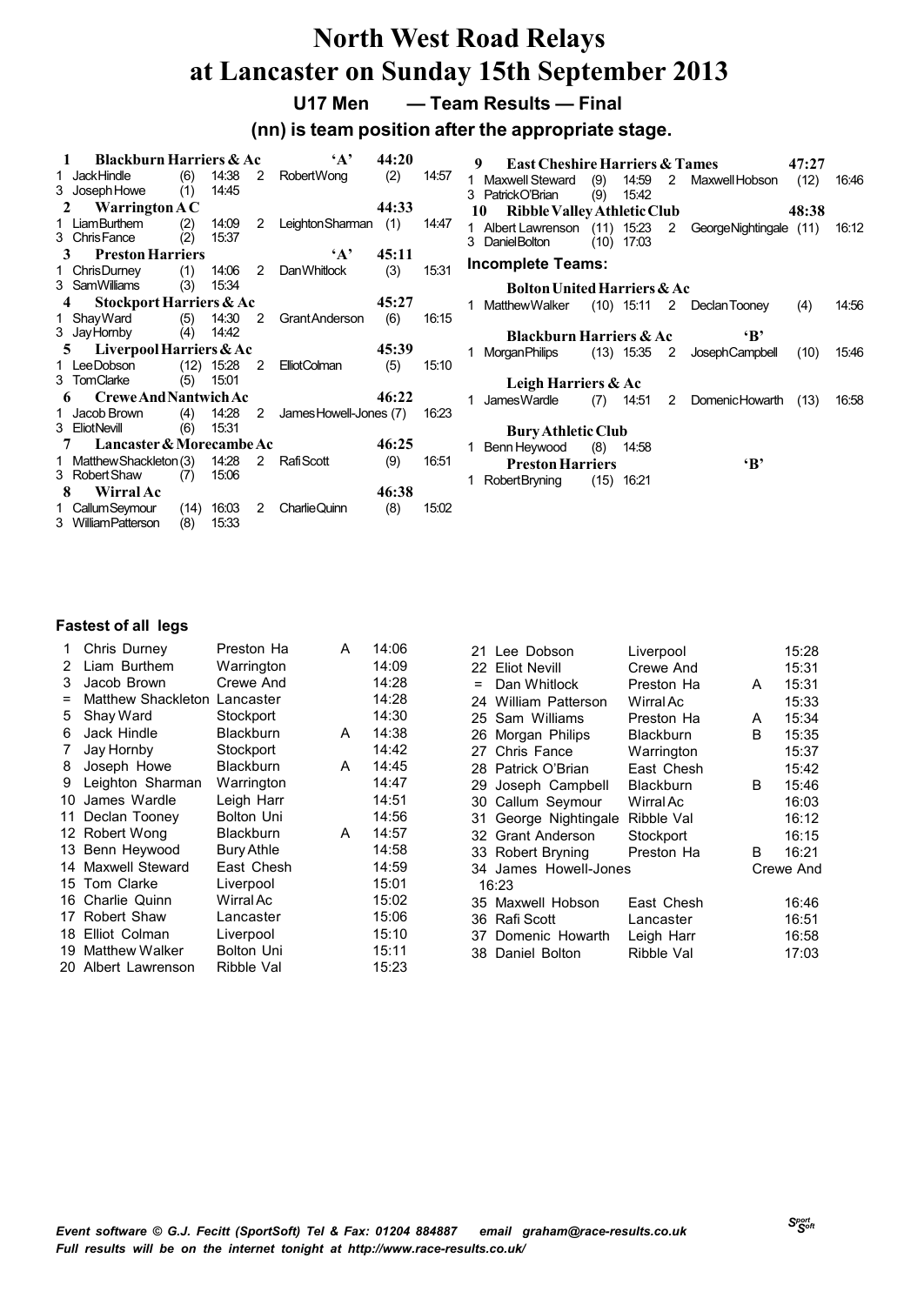### **U17 Men — Team Results — Final**

**(nn) is team position after the appropriate stage.**

|   | <b>Blackburn Harriers &amp; Ac</b>     |             |                |                | $\mathbf{A}$           | 44:20 |       | 9       | <b>East Cheshire Harriers &amp; Tames</b>            |      |              |                |                              | 47:27 |       |
|---|----------------------------------------|-------------|----------------|----------------|------------------------|-------|-------|---------|------------------------------------------------------|------|--------------|----------------|------------------------------|-------|-------|
|   | 1 JackHindle                           | (6)         | 14:38          | 2              | <b>RobertWong</b>      | (2)   | 14:57 |         | <b>Maxwell Steward</b>                               | (9)  | 14:59        | $\overline{2}$ | Maxwell Hobson               | (12)  | 16:46 |
|   | 3 Joseph Howe<br>Warrington $AC$       | (1)         | 14:45          |                |                        | 44:33 |       | з<br>10 | PatrickO'Brian<br><b>Ribble Valley Athletic Club</b> | (9)  | 15:42        |                |                              | 48:38 |       |
|   | 1 LiamBurthem<br>3 Chris Fance         | (2)         | 14:09<br>15:37 | 2              | Leighton Sharman (1)   |       | 14:47 |         | 1 Albert Lawrenson                                   |      | $(11)$ 15:23 |                | 2 GeorgeNightingale (11)     |       | 16:12 |
| 3 | <b>Preston Harriers</b>                | (2)         |                |                | $\mathbf{A}$           | 45:11 |       |         | Daniel Bolton                                        | (10) | 17:03        |                |                              |       |       |
|   | 1 ChrisDurney                          | (1)         | 14:06          | 2              | <b>DanWhitlock</b>     | (3)   | 15:31 |         | <b>Incomplete Teams:</b>                             |      |              |                |                              |       |       |
|   | 3 SamWilliams                          | (3)         | 15.34          |                |                        |       |       |         | <b>Bolton United Harriers &amp; Ac</b>               |      |              |                |                              |       |       |
|   | Stockport Harriers & Ac                |             |                |                |                        | 45:27 |       |         | <b>MatthewWalker</b>                                 |      |              |                | $(10)$ 15:11 2 Declan Tooney | (4)   | 14.56 |
|   | 1 Shay Ward                            | (5)         | 14:30          | $\overline{2}$ | Grant Anderson         | (6)   | 16:15 |         |                                                      |      |              |                |                              |       |       |
|   | 3 Jay Hornby                           | (4)         | 14:42          |                |                        |       |       |         | <b>Blackburn Harriers &amp; Ac</b>                   |      |              |                | $\mathbf{B}$                 |       |       |
|   | Liverpool Harriers & Ac<br>5.          |             |                |                |                        | 45:39 |       |         | MorganPhilips                                        |      | $(13)$ 15:35 | $\overline{2}$ | <b>JosephCampbell</b>        | (10)  | 15.46 |
|   | 1 LeeDobson                            | (12)        | 15:28          | $\overline{2}$ | ElliotColman           | (5)   | 15:10 |         |                                                      |      |              |                |                              |       |       |
|   | 3 TomClarke                            | (5)         | 15:01          |                |                        |       |       |         | Leigh Harriers & Ac                                  |      |              |                |                              |       |       |
|   | <b>Crewe And Nantwich Ac</b>           |             |                |                |                        | 46:22 |       |         | James Wardle                                         | (7)  | 14:51        | 2              | <b>DomenicHowarth</b>        | (13)  | 16.58 |
|   | 1 Jacob Brown                          | (4)         | 14:28          | 2              | James Howell-Jones (7) |       | 16:23 |         |                                                      |      |              |                |                              |       |       |
|   | 3 EliotNevill                          | (6)         | 15.31          |                |                        |       |       |         | <b>Bury Athletic Club</b>                            |      |              |                |                              |       |       |
|   | Lancaster & Morecambe Ac               |             |                |                |                        | 46:25 |       |         | Benn Heywood                                         | (8)  | 14:58        |                |                              |       |       |
|   | 1 Matthew Shackleton (3)               |             | 14:28          | 2              | Rafi Scott             | (9)   | 16:51 |         | <b>Preston Harriers</b>                              |      |              |                | $\mathbf{B}$                 |       |       |
|   | 3 Robert Shaw                          | (7)         | 15.06          |                |                        |       |       |         | RobertBryning                                        | (15) | 16:21        |                |                              |       |       |
| 8 | Wirral Ac                              |             |                |                |                        | 46:38 |       |         |                                                      |      |              |                |                              |       |       |
|   | 1 CallumSeymour<br>3 William Patterson | (14)<br>(8) | 16:03<br>15.33 | 2              | <b>Charlie Quinn</b>   | (8)   | 15.02 |         |                                                      |      |              |                |                              |       |       |

| 1           | Chris Durney        | Preston Ha        | A | 14:06 |     | 21 Lee Dobson         | Liverpool        |   | 15:28     |
|-------------|---------------------|-------------------|---|-------|-----|-----------------------|------------------|---|-----------|
| 2           | Liam Burthem        | Warrington        |   | 14:09 | 22  | <b>Eliot Nevill</b>   | Crewe And        |   | 15:31     |
| 3           | Jacob Brown         | Crewe And         |   | 14:28 | $=$ | Dan Whitlock          | Preston Ha       | A | 15:31     |
|             | Matthew Shackleton  | Lancaster         |   | 14:28 | 24  | William Patterson     | Wirral Ac        |   | 15:33     |
| 5           | Shay Ward           | Stockport         |   | 14:30 | 25  | Sam Williams          | Preston Ha       | A | 15:34     |
| 6           | Jack Hindle         | <b>Blackburn</b>  | A | 14:38 | 26  | Morgan Philips        | <b>Blackburn</b> | B | 15:35     |
| $7^{\circ}$ | Jay Hornby          | Stockport         |   | 14:42 | 27  | Chris Fance           | Warrington       |   | 15:37     |
| 8           | Joseph Howe         | <b>Blackburn</b>  | A | 14:45 | 28  | Patrick O'Brian       | East Chesh       |   | 15:42     |
| 9           | Leighton Sharman    | Warrington        |   | 14:47 | 29  | Joseph Campbell       | <b>Blackburn</b> | B | 15:46     |
|             | 10 James Wardle     | Leigh Harr        |   | 14:51 | 30  | Callum Seymour        | Wirral Ac        |   | 16:03     |
| 11          | Declan Tooney       | <b>Bolton Uni</b> |   | 14:56 | 31. | George Nightingale    | Ribble Val       |   | 16:12     |
|             | 12 Robert Wong      | <b>Blackburn</b>  | A | 14:57 | 32  | <b>Grant Anderson</b> | Stockport        |   | 16:15     |
|             | 13 Benn Heywood     | <b>Bury Athle</b> |   | 14:58 |     | 33 Robert Bryning     | Preston Ha       | B | 16:21     |
|             | 14 Maxwell Steward  | East Chesh        |   | 14:59 |     | 34 James Howell-Jones |                  |   | Crewe And |
|             | 15 Tom Clarke       | Liverpool         |   | 15:01 |     | 16:23                 |                  |   |           |
|             | 16 Charlie Quinn    | Wirral Ac         |   | 15:02 | 35  | Maxwell Hobson        | East Chesh       |   | 16:46     |
|             | 17 Robert Shaw      | Lancaster         |   | 15:06 | 36  | Rafi Scott            | Lancaster        |   | 16:51     |
|             | 18 Elliot Colman    | Liverpool         |   | 15:10 | 37  | Domenic Howarth       | Leigh Harr       |   | 16:58     |
|             | 19 Matthew Walker   | <b>Bolton Uni</b> |   | 15:11 | 38. | Daniel Bolton         | Ribble Val       |   | 17:03     |
|             | 20 Albert Lawrenson | Ribble Val        |   | 15:23 |     |                       |                  |   |           |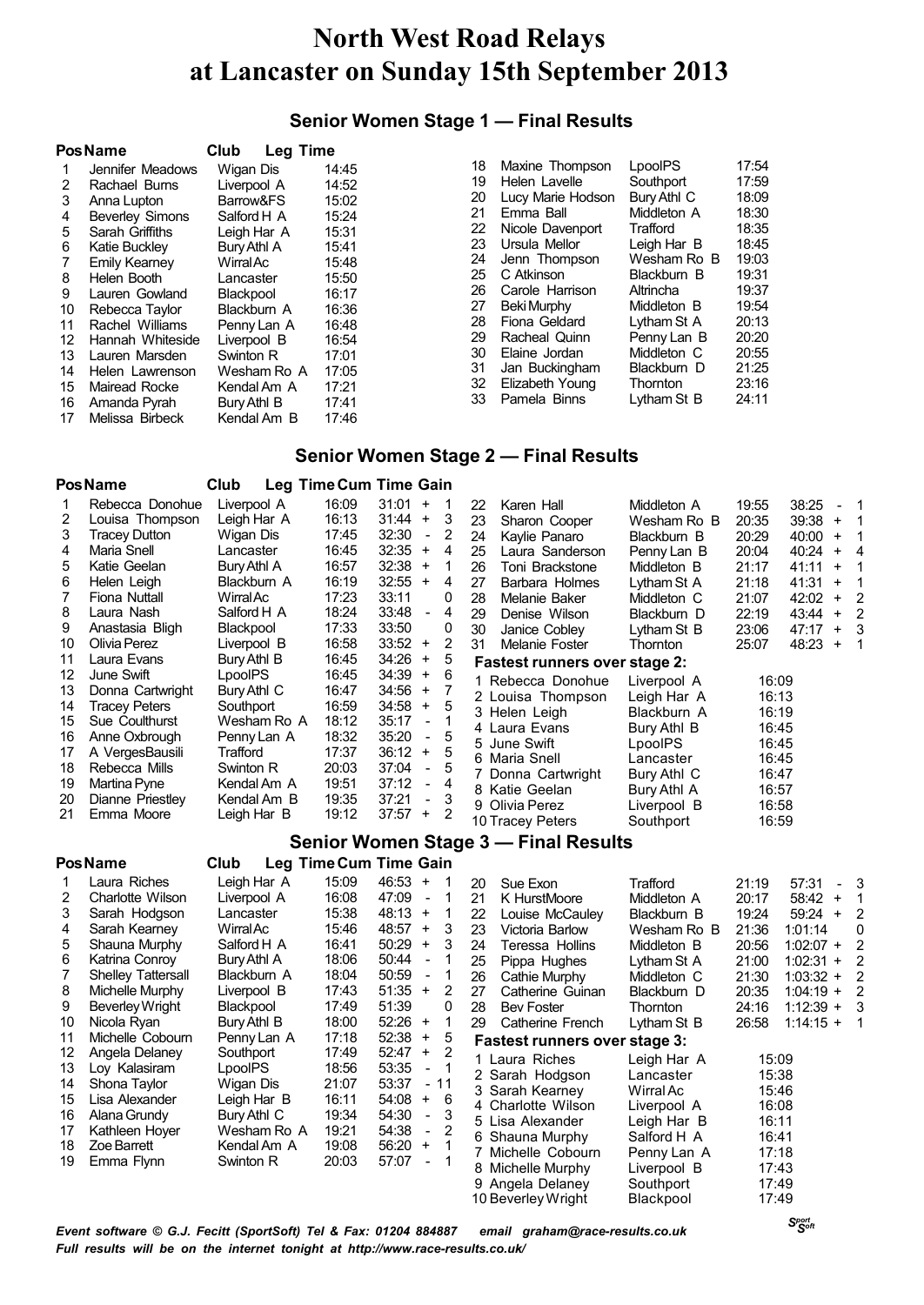### **Senior Women Stage 1 — Final Results**

|    | <b>Pos Name</b>        | Club             | <b>Leg Time</b> |
|----|------------------------|------------------|-----------------|
| 1  | Jennifer Meadows       | Wigan Dis        | 14:45           |
| 2  | Rachael Burns          | Liverpool A      | 14:52           |
| 3  | Anna Lupton            | Barrow&FS        | 15:02           |
| 4  | <b>Beverley Simons</b> | Salford H A      | 15:24           |
| 5  | Sarah Griffiths        | Leigh Har A      | 15:31           |
| 6  | Katie Buckley          | Bury Athl A      | 15:41           |
| 7  | Emily Kearney          | <b>Wirral Ac</b> | 15:48           |
| 8  | Helen Booth            | Lancaster        | 15:50           |
| 9  | Lauren Gowland         | Blackpool        | 16:17           |
| 10 | Rebecca Taylor         | Blackburn A      | 16:36           |
| 11 | Rachel Williams        | Penny Lan A      | 16:48           |
| 12 | Hannah Whiteside       | Liverpool B      | 16:54           |
| 13 | Lauren Marsden         | Swinton R        | 17:01           |
| 14 | Helen Lawrenson        | Wesham Ro A      | 17:05           |
|    | 15 Mairead Rocke       | Kendal Am A      | 17:21           |
| 16 | Amanda Pyrah           | Bury Athl B      | 17:41           |
| 17 | Melissa Birbeck        | Kendal Am B      | 17:46           |

| 18 | Maxine Thompson    | LpoolPS     | 17:54 |
|----|--------------------|-------------|-------|
| 19 | Helen Lavelle      | Southport   | 17:59 |
| 20 | Lucy Marie Hodson  | Bury Athl C | 18:09 |
| 21 | Emma Ball          | Middleton A | 18:30 |
| 22 | Nicole Davenport   | Trafford    | 18:35 |
| 23 | Ursula Mellor      | Leigh Har B | 18:45 |
| 24 | Jenn Thompson      | Wesham Ro B | 19:03 |
| 25 | C Atkinson         | Blackburn B | 19:31 |
| 26 | Carole Harrison    | Altrincha   | 19:37 |
| 27 | <b>Beki Murphy</b> | Middleton B | 19:54 |
| 28 | Fiona Geldard      | Lytham St A | 20:13 |
| 29 | Racheal Quinn      | Penny Lan B | 20:20 |
| 30 | Elaine Jordan      | Middleton C | 20:55 |
| 31 | Jan Buckingham     | Blackburn D | 21:25 |
| 32 | Elizabeth Young    | Thornton    | 23:16 |
| 33 | Pamela Binns       | Lytham St B | 24:11 |
|    |                    |             |       |

*Sport Soft*

### **Senior Women Stage 2 — Final Results**

|                | Pos Name                  | Club             |       | Leg Time Cum Time Gain                    |    |                                      |             |       |                                           |                |
|----------------|---------------------------|------------------|-------|-------------------------------------------|----|--------------------------------------|-------------|-------|-------------------------------------------|----------------|
| 1              | Rebecca Donohue           | Liverpool A      | 16:09 | $31:01 +$<br>$\mathbf 1$                  | 22 | Karen Hall                           | Middleton A | 19:55 | 38:25<br>$\qquad \qquad \blacksquare$     | 1              |
| $\overline{c}$ | Louisa Thompson           | Leigh Har A      | 16:13 | 3<br>31:44<br>$\ddot{}$                   | 23 | Sharon Cooper                        | Wesham Ro B | 20:35 | 39:38<br>$\begin{array}{c} + \end{array}$ | 1              |
| 3              | <b>Tracey Dutton</b>      | Wigan Dis        | 17:45 | $\overline{2}$<br>32:30<br>$\blacksquare$ | 24 | Kaylie Panaro                        | Blackburn B | 20:29 | 40:00<br>$\ddot{}$                        | 1              |
| 4              | Maria Snell               | Lancaster        | 16:45 | 32:35<br>$\ddot{}$<br>4                   | 25 | Laura Sanderson                      | Penny Lan B | 20:04 | 40:24<br>$\begin{array}{c} + \end{array}$ | 4              |
| 5              | Katie Geelan              | Bury Athl A      | 16:57 | 32:38<br>$\bf{+}$<br>1                    | 26 | Toni Brackstone                      | Middleton B | 21:17 | 41:11<br>$\begin{array}{c} + \end{array}$ | 1              |
| 6              | Helen Leigh               | Blackburn A      | 16:19 | 32:55<br>$\pm$<br>4                       | 27 | Barbara Holmes                       | Lytham St A | 21:18 | 41:31<br>$\begin{array}{c} + \end{array}$ | 1              |
| 7              | <b>Fiona Nuttall</b>      | WirralAc         | 17:23 | 0<br>33:11                                | 28 | Melanie Baker                        | Middleton C | 21:07 | 42:02<br>$\begin{array}{c} + \end{array}$ | $\overline{2}$ |
| 8              | Laura Nash                | Salford H A      | 18:24 | 33:48<br>4<br>$\overline{a}$              | 29 | Denise Wilson                        | Blackburn D | 22:19 | 43:44<br>$\begin{array}{c} + \end{array}$ | $\overline{2}$ |
| 9              | Anastasia Bligh           | <b>Blackpool</b> | 17:33 | 33:50<br>0                                | 30 | Janice Cobley                        | Lytham St B | 23:06 | 47:17<br>$\boldsymbol{+}$                 | 3              |
| 10             | Olivia Perez              | Liverpool B      | 16:58 | 2<br>33:52<br>$\ddot{}$                   | 31 | <b>Melanie Foster</b>                | Thornton    | 25:07 | 48:23<br>$\begin{array}{c} + \end{array}$ | 1              |
| 11             | Laura Evans               | Bury Athl B      | 16:45 | 34:26<br>$\ddot{}$<br>5                   |    | <b>Fastest runners over stage 2:</b> |             |       |                                           |                |
| 12             | June Swift                | LpoolPS          | 16:45 | 34:39<br>6<br>$\ddot{}$                   |    |                                      |             |       |                                           |                |
| 13             | Donna Cartwright          | Bury Athl C      | 16:47 | 7<br>34:56<br>$\ddot{}$                   |    | 1 Rebecca Donohue                    | Liverpool A | 16:09 |                                           |                |
| 14             | <b>Tracey Peters</b>      | Southport        | 16:59 | 5<br>34:58<br>$\ddot{}$                   |    | 2 Louisa Thompson                    | Leigh Har A | 16:13 |                                           |                |
| 15             | Sue Coulthurst            | Wesham Ro A      | 18:12 | 35:17<br>1<br>$\frac{1}{2}$               |    | 3 Helen Leigh                        | Blackburn A | 16:19 |                                           |                |
| 16             | Anne Oxbrough             | Penny Lan A      | 18:32 | 5<br>35:20<br>$\blacksquare$              |    | 4 Laura Evans                        | Bury Athl B | 16:45 |                                           |                |
| 17             | A VergesBausili           | Trafford         | 17:37 | 36:12<br>5<br>$\ddot{}$                   |    | 5 June Swift                         | LpoolPS     | 16:45 |                                           |                |
| 18             | Rebecca Mills             | Swinton R        | 20:03 | 5<br>37:04<br>$\blacksquare$              |    | 6 Maria Snell                        | Lancaster   | 16:45 |                                           |                |
| 19             | Martina Pyne              | Kendal Am A      | 19:51 | 37:12<br>$\blacksquare$<br>4              | 7  | Donna Cartwright                     | Bury Athl C | 16:47 |                                           |                |
| 20             | Dianne Priestley          | Kendal Am B      | 19:35 | 3<br>37:21<br>$\overline{\phantom{a}}$    |    | 8 Katie Geelan                       | Bury Athl A | 16:57 |                                           |                |
| 21             | Emma Moore                | Leigh Har B      | 19:12 | $37:57 +$<br>2                            |    | 9 Olivia Perez                       | Liverpool B | 16:58 |                                           |                |
|                |                           |                  |       |                                           |    | 10 Tracey Peters                     | Southport   | 16:59 |                                           |                |
|                |                           |                  |       |                                           |    | Senior Women Stage 3 - Final Results |             |       |                                           |                |
|                | <b>Pos Name</b>           | Club             |       | Leg Time Cum Time Gain                    |    |                                      |             |       |                                           |                |
| 1              | Laura Riches              | Leigh Har A      | 15:09 | $46:53 +$<br>$\mathbf 1$                  | 20 | Sue Exon                             | Trafford    | 21:19 | 57:31<br>$\blacksquare$                   | 3              |
| $\overline{c}$ | Charlotte Wilson          | Liverpool A      | 16:08 | 47:09<br>1<br>$\blacksquare$              | 21 | K HurstMoore                         | Middleton A | 20:17 | 58:42<br>$\ddag$                          | 1              |
| 3              | Sarah Hodgson             | Lancaster        | 15:38 | 48:13<br>1<br>$\ddot{}$                   | 22 | Louise McCauley                      | Blackburn B | 19:24 | $59:24 +$                                 | 2              |
| 4              | Sarah Kearney             | <b>Wirral Ac</b> | 15:46 | 3<br>48:57<br>$\pm$                       | 23 | <b>Victoria Barlow</b>               | Wesham Ro B | 21:36 | 1:01:14                                   | 0              |
| 5              | Shauna Murphy             | Salford H A      | 16:41 | 3<br>50:29<br>$\ddot{}$                   | 24 | Teressa Hollins                      | Middleton B | 20:56 | $1:02:07 +$                               | 2              |
| 6              | Katrina Conroy            | Bury Athl A      | 18:06 | 50:44<br>1<br>$\blacksquare$              | 25 | Pippa Hughes                         | Lytham St A | 21:00 | $1:02:31 +$                               | 2              |
| 7              | <b>Shelley Tattersall</b> | Blackburn A      | 18:04 | 1<br>50:59<br>$\qquad \qquad \Box$        | 26 | <b>Cathie Murphy</b>                 | Middleton C | 21:30 | $1:03:32 +$                               | 2              |
| 8              | Michelle Murphy           | Liverpool B      | 17:43 | $\overline{2}$<br>51:35<br>$+$            | 27 | Catherine Guinan                     | Blackburn D | 20:35 | $1:04:19 +$                               | $\overline{2}$ |
| 9              | <b>Beverley Wright</b>    | Blackpool        | 17:49 | 51:39<br>0                                | 28 | <b>Bev Foster</b>                    | Thornton    | 24:16 | $1:12:39 +$                               | 3              |
| 10             | Nicola Ryan               | Bury Athl B      | 18:00 | 52:26<br>1<br>$\ddot{}$                   | 29 | Catherine French                     | Lytham St B | 26:58 | $1:14:15 +$                               | 1              |
| 11             | Michelle Cobourn          | Penny Lan A      | 17:18 | 5<br>52:38<br>$\bf +$                     |    | <b>Fastest runners over stage 3:</b> |             |       |                                           |                |
| 12             | Angela Delaney            | Southport        | 17:49 | $\pm$<br>2<br>52:47                       |    |                                      |             |       |                                           |                |
| 13             | Loy Kalasiram             | LpoolPS          | 18:56 | 53:35<br>1<br>$\overline{a}$              |    | 1 Laura Riches                       | Leigh Har A | 15:09 |                                           |                |
| 14             | Shona Taylor              | Wigan Dis        | 21:07 | 53:37<br>$-11$                            |    | 2 Sarah Hodgson                      | Lancaster   | 15:38 |                                           |                |
| 15             | Lisa Alexander            | Leigh Har B      | 16:11 | 54:08<br>$\ddot{}$<br>6                   |    | 3 Sarah Kearney                      | Wirral Ac   | 15:46 |                                           |                |
| 16             | Alana Grundy              | Bury Athl C      | 19:34 | 3<br>54:30<br>$\blacksquare$              |    | 4 Charlotte Wilson                   | Liverpool A | 16:08 |                                           |                |
| 17             | Kathleen Hover            | Wesham Ro A      | 19:21 | $\overline{2}$<br>54:38<br>$\blacksquare$ |    | 5 Lisa Alexander                     | Leigh Har B | 16:11 |                                           |                |
| 18             | Zoe Barrett               | Kendal Am A      | 19:08 | 56:20<br>$\ddot{}$<br>1                   |    | 6 Shauna Murphy                      | Salford H A | 16:41 |                                           |                |
| 19             | Emma Flynn                | Swinton R        | 20:03 | 57:07<br>1<br>$\overline{\phantom{a}}$    |    | 7 Michelle Cobourn                   | Penny Lan A | 17:18 |                                           |                |
|                |                           |                  |       |                                           |    | 8 Michelle Murphy                    | Liverpool B | 17:43 |                                           |                |
|                |                           |                  |       |                                           |    | 9 Angela Delaney                     | Southport   | 17:49 |                                           |                |
|                |                           |                  |       |                                           |    | 10 Beverley Wright                   | Blackpool   | 17:49 |                                           |                |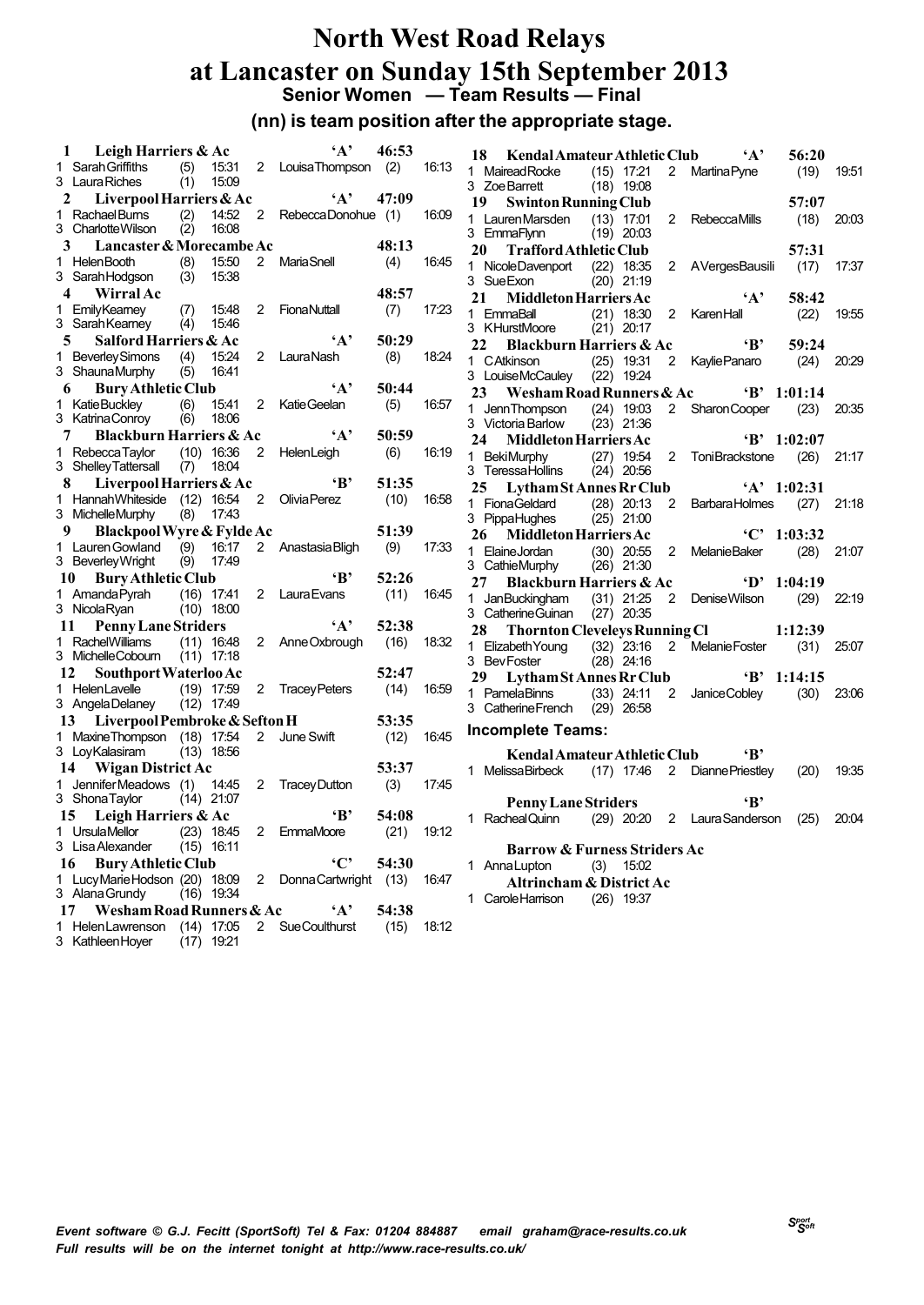# **North West Road Relays at Lancaster on Sunday 15th September 2013 Senior Women — Team Results — Final**

### **(nn) is team position after the appropriate stage.**

| 1  | Leigh Harriers & Ac                                |            |                              |                | $\mathbf{A}$                | 46:53 |       | 18<br>Kendal Amateur Athletic Club<br>$\mathbf{A}$<br>56:20                                                   |       |
|----|----------------------------------------------------|------------|------------------------------|----------------|-----------------------------|-------|-------|---------------------------------------------------------------------------------------------------------------|-------|
|    | 1 Sarah Griffiths                                  | (5)        |                              |                | 15:31 2 Louisa Thompson (2) |       | 16:13 | 1 Mairead Rocke<br>2 Martina Pyne<br>(19)<br>$(15)$ 17:21                                                     | 19.51 |
|    | 3 Laura Riches                                     | (1)        | 15.09                        |                |                             |       |       | $(18)$ 19:08<br>3 Zoe Barrett                                                                                 |       |
| 2  | Liverpool Harriers & Ac                            |            |                              |                | $\mathbf{A}$                | 47:09 |       | 19<br>57:07<br><b>Swinton Running Club</b>                                                                    |       |
|    | 1 Rachael Burns<br>3 CharlotteWilson               | (2)<br>(2) | 14:52<br>16:08               |                | 2 RebeccaDonohue (1)        |       | 16:09 | 1 Lauren Marsden<br>$(13)$ 17:01<br>$2^{\circ}$<br>(18)<br><b>RebeccaMills</b><br>3 EmmaFlynn<br>$(19)$ 20:03 | 20.03 |
| 3  | Lancaster & Morecambe Ac                           |            |                              |                |                             | 48:13 |       | 20<br><b>Trafford Athletic Club</b><br>57:31                                                                  |       |
|    | 1 HelenBooth<br>3 Sarah Hodgson                    | (8)<br>(3) | 15:50<br>15:38               |                | 2 Maria Snell               | (4)   | 16:45 | 2 AVergesBausili<br>1 Nicole Davenport (22) 18:35<br>(17)<br>3 Sue Exon<br>$(20)$ 21:19                       | 17:37 |
| 4  | <b>Wirral Ac</b>                                   |            |                              |                |                             | 48:57 |       | $\mathbf{A}$<br>58:42<br>21<br><b>Middleton Harriers Ac</b>                                                   |       |
|    | 1 EmilyKeamey<br>3 Sarah Keamey                    | (7)<br>(4) | 15:48<br>15:46               | $2^{\circ}$    | FionaNuttall                | (7)   | 17:23 | 1 EmmaBall<br>$\overline{2}$<br>KarenHall<br>(22)<br>$(21)$ 18:30<br>$(21)$ 20:17<br>3 KHurstMoore            | 19.55 |
| 5  | Salford Harriers & Ac                              |            |                              |                | $\mathbf{A}$                | 50:29 |       | $\mathbf{B}$<br>22<br><b>Blackburn Harriers &amp; Ac</b><br>59:24                                             |       |
|    | 1 Beverley Simons<br>3 ShaunaMurphy                | (4)<br>(5) | 15:24<br>16:41               |                | 2 LauraNash                 | (8)   | 18:24 | 1 CAtkinson<br>$(25)$ 19:31<br>2 Kaylie Panaro<br>(24)<br>3 LouiseMcCauley (22) 19:24                         | 20.29 |
| 6  | <b>Bury Athletic Club</b>                          |            |                              |                | $\mathbf{A}$                | 50:44 |       | Wesham Road Runners & Ac<br>23<br>$B'$ 1:01:14                                                                |       |
|    | 1 Katie Buckley<br>3 Katrina Conroy                | (6)        | 15:41<br>$(6)$ 18:06         | $\overline{2}$ | Katie Geelan                | (5)   | 16.57 | 1 JennThompson<br>$(24)$ 19:03<br>2 Sharon Cooper<br>(23)<br>$(23)$ 21:36<br>3 Victoria Barlow                | 20.35 |
| 7  | <b>Blackburn Harriers &amp; Ac</b>                 |            |                              |                | $\mathbf{A}$                | 50:59 |       | <b>Middleton Harriers Ac</b><br>$B'$ 1:02:07<br>24                                                            |       |
|    | 1 Rebecca Taylor<br>3 Shelley Tattersall (7) 18:04 |            | $(10)$ 16:36                 | $2^{\circ}$    | HelenLeigh                  | (6)   | 16:19 | 1 BekiMurphy<br>(27) 19:54 2 ToniBrackstone<br>(26)<br>3 TeressaHollins<br>$(24)$ 20:56                       | 21:17 |
|    | Liverpool Harriers & Ac<br>8.                      |            |                              |                | $\mathbf{B}$                | 51:35 |       | $'A'$ 1:02:31<br>25<br>Lytham St Annes Rr Club                                                                |       |
|    | 1 Hannah Whiteside (12) 16:54<br>3 Michelle Murphy |            | $(8)$ 17:43                  |                | 2 Olivia Perez              | (10)  | 16:58 | 1 FionaGeldard<br>$(28)$ $20:13$<br>2 Barbara Holmes<br>(27)<br>3 PippaHughes<br>$(25)$ 21:00                 | 21.18 |
| 9  | Blackpool Wyre & Fylde Ac                          |            |                              |                |                             | 51:39 |       | ${}^{1}$ C' 1:03:32<br>26<br><b>Middleton Harriers Ac</b>                                                     |       |
|    | 1 Lauren Gowland<br>3 Beverley Wright              | (9)        | $(9)$ 16:17<br>17:49         |                | 2 Anastasia Bligh           | (9)   | 17:33 | 1 ElaineJordan<br>$(30)$ 20:55<br>$\overline{2}$<br>(28)<br>MelanieBaker<br>3 CathieMurphy<br>$(26)$ 21:30    | 21:07 |
| 10 | <b>Bury Athletic Club</b>                          |            |                              |                | $\mathbf{B}^*$              | 52:26 |       | $D'$ 1:04:19<br>27<br><b>Blackburn Harriers &amp; Ac</b>                                                      |       |
|    | 1 Amanda Pyrah<br>3 Nicola Ryan (10) 18:00         |            | (16) 17:41                   |                | 2 Laura Evans               | (11)  | 16:45 | $(31)$ 21:25<br>2 Denise Wilson<br>(29)<br>1 JanBuckingham<br>3 Catherine Guinan (27) 20:35                   | 22.19 |
| 11 | <b>Penny Lane Striders</b>                         |            |                              |                | $\mathbf{A}$                | 52:38 |       | 28<br><b>Thornton Cleveleys Running Cl</b><br>1:12:39                                                         |       |
|    | 1 Rachel Williams<br>3 MichelleCobourn (11) 17:18  |            | $(11)$ 16:48                 |                | 2 Anne Oxbrough             | (16)  | 18:32 | 1 Elizabeth Young<br>$(32)$ 23:16<br>2 Melanie Foster<br>(31)<br>$(28)$ 24:16<br>3 BevFoster                  | 25.07 |
| 12 | Southport Waterloo Ac                              |            |                              |                |                             | 52:47 |       | 29<br>Lytham St Annes Rr Club<br>$B'$ 1:14:15                                                                 |       |
|    | 1 HelenLavelle<br>3 AngelaDelaney (12) 17:49       |            | $(19)$ 17:59                 |                | 2 TraceyPeters              | (14)  | 16.59 | 1 PamelaBinns<br>$(33)$ 24:11<br>2<br>(30)<br>Janice Cobley<br>3 Catherine French<br>$(29)$ 26:58             | 23.06 |
| 13 | Liverpool Pembroke & Sefton H                      |            |                              |                |                             | 53:35 |       |                                                                                                               |       |
|    | 1 Maxine Thompson (18) 17:54<br>3 LoyKalasiram     |            | (13) 18:56                   | $\overline{2}$ | June Swift                  | (12)  | 16:45 | <b>Incomplete Teams:</b><br>$\mathbf{B}$<br>Kendal Amateur Athletic Club                                      |       |
|    | <b>Wigan District Ac</b><br>14                     |            |                              |                |                             | 53:37 |       | 1 Melissa Birbeck (17) 17:46 2 Dianne Priestley<br>(20)                                                       | 19.35 |
|    | 1 Jennifer Meadows (1) 14:45<br>3 Shona Taylor     |            | (14) 21:07                   |                | 2 Tracey Dutton             | (3)   | 17:45 | <b>Penny Lane Striders</b><br>«в'                                                                             |       |
| 15 | Leigh Harriers & Ac                                |            |                              |                | $\mathbf{B}$                | 54:08 |       | (29) 20:20 2 Laura Sanderson (25)<br>1 Racheal Quinn                                                          | 20:04 |
|    | 1 UrsulaMellor<br>3 Lisa Alexander                 |            | $(23)$ 18:45<br>$(15)$ 16:11 |                | 2 EmmaMoore                 | (21)  | 19:12 | <b>Barrow &amp; Furness Striders Ac</b>                                                                       |       |
|    | 16 Bury Athletic Club                              |            |                              |                | $\cdot$ C'                  | 54:30 |       | 1 Anna Lupton<br>$(3)$ 15:02                                                                                  |       |
|    | 1 LucyMarieHodson (20) 18:09<br>3 Alana Grundy     |            | $(16)$ 19:34                 | 2              | Donna Cartwright (13)       |       | 16.47 | Altrincham & District Ac                                                                                      |       |
| 17 | Wesham Road Runners & Ac                           |            |                              |                | $\mathbf{A}$                | 54:38 |       | 1 Carole Harrison<br>$(26)$ 19:37                                                                             |       |
|    | 1 Helen Lawrenson<br>3 Kathleen Hoyer              |            | $(14)$ 17:05<br>$(17)$ 19:21 |                | 2 SueCoulthurst             | (15)  | 18:12 |                                                                                                               |       |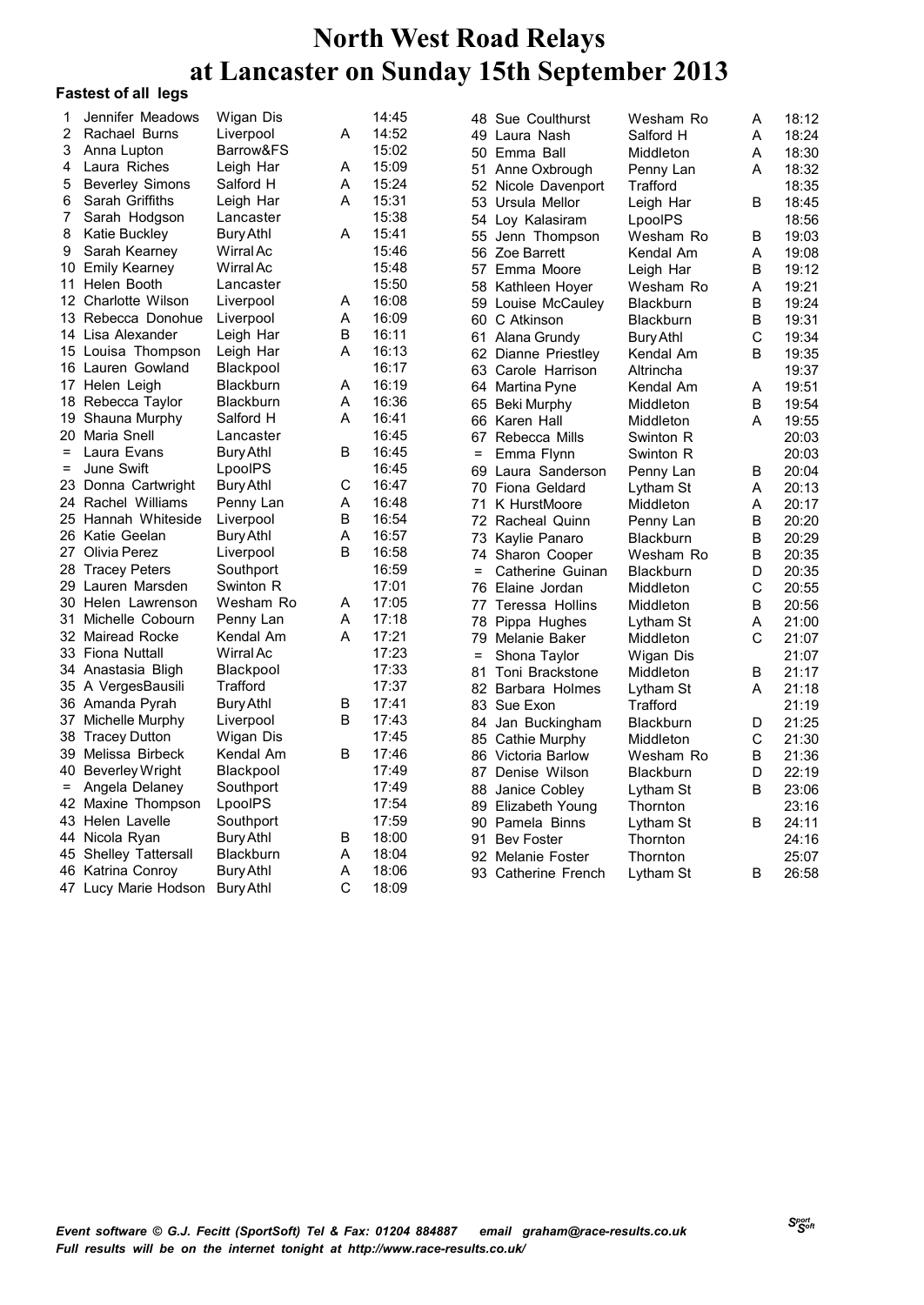| 1                 | Jennifer Meadows       | Wigan Dis |             | 14:45 | 48  | Sue Coulthurst      | Wesham Ro        | Α | 18:12 |
|-------------------|------------------------|-----------|-------------|-------|-----|---------------------|------------------|---|-------|
| 2                 | Rachael Burns          | Liverpool | A           | 14:52 |     | 49 Laura Nash       | Salford H        | A | 18:24 |
| 3                 | Anna Lupton            | Barrow&FS |             | 15:02 |     | 50 Emma Ball        | Middleton        | A | 18:30 |
| 4                 | Laura Riches           | Leigh Har | Α           | 15:09 |     | 51 Anne Oxbrough    | Penny Lan        | A | 18:32 |
| 5                 | <b>Beverley Simons</b> | Salford H | A           | 15:24 |     | 52 Nicole Davenport | Trafford         |   | 18:35 |
| 6                 | Sarah Griffiths        | Leigh Har | A           | 15:31 |     | 53 Ursula Mellor    | Leigh Har        | B | 18:45 |
| 7                 | Sarah Hodgson          | Lancaster |             | 15:38 |     | 54 Loy Kalasiram    | LpoolPS          |   | 18:56 |
| 8                 | Katie Buckley          | Bury Athl | A           | 15:41 |     | 55 Jenn Thompson    | Wesham Ro        | В | 19:03 |
| 9                 | Sarah Kearney          | Wirral Ac |             | 15:46 |     | 56 Zoe Barrett      | Kendal Am        | Α | 19:08 |
|                   | 10 Emily Kearney       | Wirral Ac |             | 15:48 |     | 57 Emma Moore       | Leigh Har        | B | 19:12 |
|                   | 11 Helen Booth         | Lancaster |             | 15:50 |     | 58 Kathleen Hover   | Wesham Ro        | A | 19:21 |
|                   | 12 Charlotte Wilson    | Liverpool | Α           | 16:08 |     | 59 Louise McCauley  | Blackburn        | B | 19:24 |
|                   | 13 Rebecca Donohue     | Liverpool | A           | 16:09 |     | 60 C Atkinson       | <b>Blackburn</b> | В | 19:31 |
|                   | 14 Lisa Alexander      | Leigh Har | B           | 16:11 |     | 61 Alana Grundy     | Bury Athl        | C | 19:34 |
|                   | 15 Louisa Thompson     | Leigh Har | A           | 16:13 |     | 62 Dianne Priestley | Kendal Am        | B | 19:35 |
|                   | 16 Lauren Gowland      | Blackpool |             | 16:17 |     | 63 Carole Harrison  | Altrincha        |   | 19:37 |
|                   | 17 Helen Leigh         | Blackburn | Α           | 16:19 |     | 64 Martina Pyne     | Kendal Am        | Α | 19:51 |
|                   | 18 Rebecca Taylor      | Blackburn | A           | 16:36 |     | 65 Beki Murphy      | Middleton        | B | 19:54 |
|                   | 19 Shauna Murphy       | Salford H | A           | 16:41 |     | 66 Karen Hall       | Middleton        | A | 19:55 |
|                   | 20 Maria Snell         | Lancaster |             | 16:45 |     | 67 Rebecca Mills    | Swinton R        |   | 20:03 |
| $=$               | Laura Evans            | Bury Athl | B           | 16:45 | $=$ | Emma Flynn          | Swinton R        |   | 20:03 |
| $\qquad \qquad =$ | June Swift             | LpoolPS   |             | 16:45 |     | 69 Laura Sanderson  | Penny Lan        | В | 20:04 |
|                   | 23 Donna Cartwright    | Bury Athl | $\mathsf C$ | 16:47 |     | 70 Fiona Geldard    | Lytham St        | A | 20:13 |
|                   | 24 Rachel Williams     | Penny Lan | Α           | 16:48 | 71  | K HurstMoore        | Middleton        | A | 20:17 |
|                   | 25 Hannah Whiteside    | Liverpool | B           | 16:54 |     | 72 Racheal Quinn    | Penny Lan        | B | 20:20 |
|                   | 26 Katie Geelan        | Bury Athl | Α           | 16:57 | 73  | Kaylie Panaro       | <b>Blackburn</b> | B | 20:29 |
|                   | 27 Olivia Perez        | Liverpool | B           | 16:58 |     | 74 Sharon Cooper    | Wesham Ro        | B | 20:35 |
|                   | 28 Tracey Peters       | Southport |             | 16:59 | $=$ | Catherine Guinan    | <b>Blackburn</b> | D | 20:35 |
|                   | 29 Lauren Marsden      | Swinton R |             | 17:01 |     | 76 Elaine Jordan    | Middleton        | C | 20:55 |
|                   | 30 Helen Lawrenson     | Wesham Ro | Α           | 17:05 |     | 77 Teressa Hollins  | Middleton        | B | 20:56 |
| 31                | Michelle Cobourn       | Penny Lan | A           | 17:18 | 78  | Pippa Hughes        | Lytham St        | A | 21:00 |
|                   | 32 Mairead Rocke       | Kendal Am | A           | 17:21 |     | 79 Melanie Baker    | Middleton        | C | 21:07 |
|                   | 33 Fiona Nuttall       | Wirral Ac |             | 17:23 | $=$ | Shona Taylor        | Wigan Dis        |   | 21:07 |
|                   | 34 Anastasia Bligh     | Blackpool |             | 17:33 | 81  | Toni Brackstone     | <b>Middleton</b> | B | 21:17 |
|                   | 35 A VergesBausili     | Trafford  |             | 17:37 |     | 82 Barbara Holmes   | Lytham St        | A | 21:18 |
|                   | 36 Amanda Pyrah        | Bury Athl | $\mathsf B$ | 17:41 |     | 83 Sue Exon         | Trafford         |   | 21:19 |
|                   | 37 Michelle Murphy     | Liverpool | B           | 17:43 |     | 84 Jan Buckingham   | <b>Blackburn</b> | D | 21:25 |
|                   | 38 Tracey Dutton       | Wigan Dis |             | 17:45 |     | 85 Cathie Murphy    | Middleton        | C | 21:30 |
|                   | 39 Melissa Birbeck     | Kendal Am | B           | 17:46 |     | 86 Victoria Barlow  | Wesham Ro        | B | 21:36 |
|                   | 40 Beverley Wright     | Blackpool |             | 17:49 |     | 87 Denise Wilson    | <b>Blackburn</b> | D | 22:19 |
| $=$               | Angela Delaney         | Southport |             | 17:49 |     | 88 Janice Cobley    | Lytham St        | В | 23:06 |
|                   | 42 Maxine Thompson     | LpoolPS   |             | 17:54 |     | 89 Elizabeth Young  | Thornton         |   | 23:16 |
|                   | 43 Helen Lavelle       | Southport |             | 17:59 |     | 90 Pamela Binns     | Lytham St        | В | 24:11 |
|                   | 44 Nicola Ryan         | Bury Athl | В           | 18:00 |     | 91 Bev Foster       | Thornton         |   | 24:16 |
|                   | 45 Shelley Tattersall  | Blackburn | Α           | 18:04 |     | 92 Melanie Foster   | Thornton         |   | 25:07 |
|                   | 46 Katrina Conroy      | Bury Athl | A           | 18:06 |     | 93 Catherine French | Lytham St        | В | 26:58 |
|                   | 47 Lucy Marie Hodson   | Bury Athl | C           | 18:09 |     |                     |                  |   |       |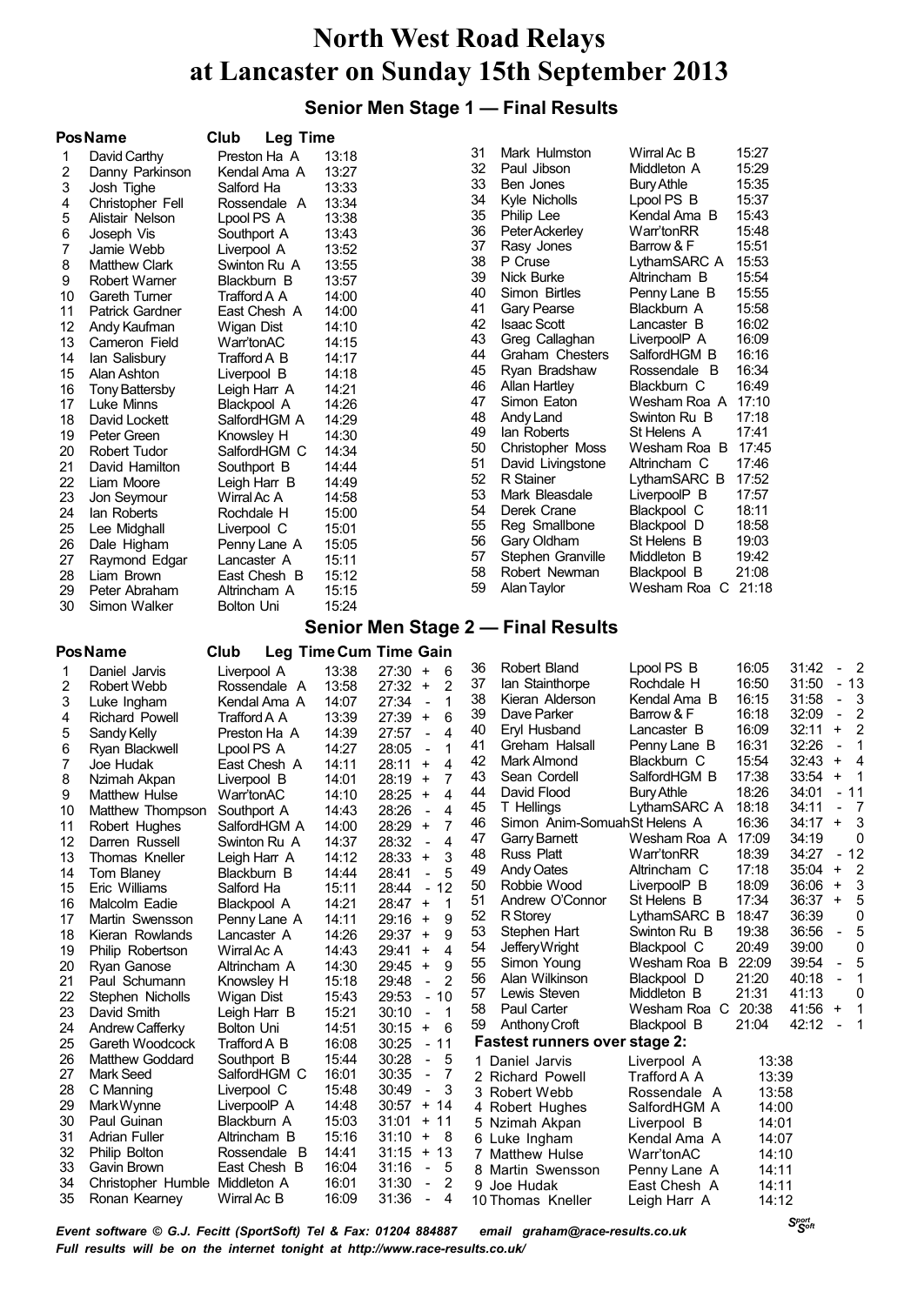## **Senior Men Stage 1 — Final Results**

|          | <b>PosName</b>                     | Club<br><b>Leg Time</b>      |                |                                                                        |          |                                        |                                        |                |                                                                                      |  |  |  |
|----------|------------------------------------|------------------------------|----------------|------------------------------------------------------------------------|----------|----------------------------------------|----------------------------------------|----------------|--------------------------------------------------------------------------------------|--|--|--|
| 1        | David Carthy                       | Preston Ha A                 | 13:18          |                                                                        | 31       | Mark Hulmston                          | Wirral Ac B                            | 15:27          |                                                                                      |  |  |  |
| 2        | Danny Parkinson                    | Kendal Ama A                 | 13:27          |                                                                        | 32       | Paul Jibson                            | Middleton A                            | 15:29          |                                                                                      |  |  |  |
| 3        | Josh Tighe                         | Salford Ha                   | 13:33          |                                                                        | 33<br>34 | Ben Jones                              | <b>Bury Athle</b>                      | 15:35<br>15:37 |                                                                                      |  |  |  |
| 4        | Christopher Fell                   | Rossendale A                 | 13:34          |                                                                        | 35       | Kyle Nicholls<br>Philip Lee            | Lpool PS B<br>Kendal Ama B             | 15:43          |                                                                                      |  |  |  |
| 5        | Alistair Nelson                    | Lpool PS A                   | 13:38          |                                                                        | 36       | Peter Ackerley                         | Warr'tonRR                             | 15:48          |                                                                                      |  |  |  |
| 6<br>7   | Joseph Vis<br>Jamie Webb           | Southport A                  | 13:43<br>13:52 |                                                                        | 37       | Rasy Jones                             | Barrow & F                             | 15:51          |                                                                                      |  |  |  |
| 8        | <b>Matthew Clark</b>               | Liverpool A<br>Swinton Ru A  | 13:55          |                                                                        | 38       | P Cruse                                | LythamSARC A                           | 15:53          |                                                                                      |  |  |  |
| 9        | Robert Warner                      | Blackburn B                  | 13:57          |                                                                        | 39       | <b>Nick Burke</b>                      | Altrincham B                           | 15:54          |                                                                                      |  |  |  |
| 10       | <b>Gareth Turner</b>               | Trafford A A                 | 14:00          |                                                                        | 40       | Simon Birtles                          | Penny Lane B                           | 15:55          |                                                                                      |  |  |  |
| 11       | <b>Patrick Gardner</b>             | East Chesh A                 | 14:00          |                                                                        | 41       | <b>Gary Pearse</b>                     | Blackburn A                            | 15:58          |                                                                                      |  |  |  |
| 12       | Andy Kaufman                       | Wigan Dist                   | 14:10          |                                                                        | 42       | <b>Isaac Scott</b>                     | Lancaster B                            | 16:02          |                                                                                      |  |  |  |
| 13       | Cameron Field                      | Warr'tonAC                   | 14:15          |                                                                        | 43       | Greg Callaghan                         | LiverpoolP A                           | 16:09          |                                                                                      |  |  |  |
| 14       | lan Salisbury                      | Trafford A B                 | 14:17          |                                                                        | 44       | Graham Chesters                        | SalfordHGM B                           | 16:16          |                                                                                      |  |  |  |
| 15       | Alan Ashton                        | Liverpool B                  | 14:18          |                                                                        | 45       | Ryan Bradshaw                          | Rossendale B                           | 16:34          |                                                                                      |  |  |  |
| 16       | <b>Tony Battersby</b>              | Leigh Harr A                 | 14:21          |                                                                        | 46<br>47 | Allan Hartley<br>Simon Eaton           | Blackburn C<br>Wesham Roa A 17:10      | 16:49          |                                                                                      |  |  |  |
| 17       | Luke Minns                         | Blackpool A                  | 14:26          |                                                                        | 48       | Andy Land                              | Swinton Ru B                           | 17:18          |                                                                                      |  |  |  |
| 18<br>19 | David Lockett                      | SalfordHGM A                 | 14:29<br>14:30 |                                                                        | 49       | lan Roberts                            | St Helens A                            | 17:41          |                                                                                      |  |  |  |
| 20       | Peter Green<br>Robert Tudor        | Knowsley H<br>SalfordHGM C   | 14:34          |                                                                        | 50       | <b>Christopher Moss</b>                | Wesham Roa B                           | 17:45          |                                                                                      |  |  |  |
| 21       | David Hamilton                     | Southport B                  | 14:44          |                                                                        | 51       | David Livingstone                      | Altrincham C                           | 17:46          |                                                                                      |  |  |  |
| 22       | Liam Moore                         | Leigh Harr B                 | 14:49          |                                                                        | 52       | R Stainer                              | LythamSARC B                           | 17:52          |                                                                                      |  |  |  |
| 23       | Jon Seymour                        | Wirral Ac A                  | 14:58          |                                                                        | 53       | Mark Bleasdale                         | LiverpoolP B                           | 17:57          |                                                                                      |  |  |  |
| 24       | lan Roberts                        | Rochdale H                   | 15:00          |                                                                        | 54       | Derek Crane                            | Blackpool C                            | 18:11          |                                                                                      |  |  |  |
| 25       | Lee Midghall                       | Liverpool C                  | 15:01          |                                                                        | 55       | Reg Smallbone                          | Blackpool D                            | 18:58          |                                                                                      |  |  |  |
| 26       | Dale Higham                        | Penny Lane A                 | 15:05          |                                                                        | 56       | Gary Oldham                            | St Helens B                            | 19:03          |                                                                                      |  |  |  |
| 27       | Raymond Edgar                      | Lancaster A                  | 15:11          |                                                                        | 57       | Stephen Granville                      | Middleton B                            | 19:42          |                                                                                      |  |  |  |
| 28       | Liam Brown                         | East Chesh B                 | 15:12          |                                                                        | 58<br>59 | Robert Newman                          | Blackpool B<br>Wesham Roa C 21:18      | 21:08          |                                                                                      |  |  |  |
| 29       | Peter Abraham                      | Altrincham A                 | 15:15          |                                                                        |          | Alan Taylor                            |                                        |                |                                                                                      |  |  |  |
| 30       | Simon Walker                       | Bolton Uni                   | 15:24          |                                                                        |          |                                        |                                        |                |                                                                                      |  |  |  |
|          | Senior Men Stage 2 - Final Results |                              |                |                                                                        |          |                                        |                                        |                |                                                                                      |  |  |  |
|          | <b>Pos Name</b>                    | Club                         |                | Leg Time Cum Time Gain                                                 |          |                                        |                                        |                |                                                                                      |  |  |  |
| 1        | Daniel Jarvis                      | Liverpool A                  | 13:38          | $27:30 +$<br>6                                                         | 36<br>37 | <b>Robert Bland</b><br>lan Stainthorpe | Lpool PS B<br>Rochdale H               | 16:05<br>16:50 | $\overline{\phantom{0}}^2$<br>31:42<br>$\qquad \qquad \blacksquare$<br>31:50<br>- 13 |  |  |  |
| 2<br>3   | Robert Webb                        | Rossendale A                 | 13:58<br>14:07 | 27:32<br>$\ddot{}$<br>2<br>27:34<br>1<br>$\overline{\phantom{a}}$      | 38       | Kieran Alderson                        | Kendal Ama B                           | 16:15          | 31:58<br>3<br>$\blacksquare$                                                         |  |  |  |
| 4        | Luke Ingham<br>Richard Powell      | Kendal Ama A<br>Trafford A A | 13:39          | 27:39<br>6<br>$\ddot{}$                                                | 39       | Dave Parker                            | Barrow & F                             | 16:18          | 32:09<br>$\overline{2}$<br>$\blacksquare$                                            |  |  |  |
| 5        | Sandy Kelly                        | Preston Ha A                 | 14:39          | 27:57<br>4<br>$\overline{\phantom{a}}$                                 | 40       | Eryl Husband                           | Lancaster B                            | 16:09          | 32:11<br>$\overline{\mathbf{c}}$<br>$\ddot{}$                                        |  |  |  |
| 6        | Ryan Blackwell                     | Lpool PS A                   | 14:27          | 28:05<br>1<br>$\overline{\phantom{a}}$                                 | 41       | Greham Halsall                         | Penny Lane B                           | 16:31          | 32:26<br>1<br>$\overline{\phantom{a}}$                                               |  |  |  |
| 7        | Joe Hudak                          | East Chesh A                 | 14:11          | 28:11<br>4<br>$\ddot{}$                                                | 42       | Mark Almond                            | Blackburn C                            | 15:54          | 32:43<br>$\ddot{}$<br>4                                                              |  |  |  |
| 8        | Nzimah Akpan                       | Liverpool B                  | 14:01          | 28:19<br>7<br>$\ddot{}$                                                | 43       | Sean Cordell                           | SalfordHGM B                           | 17:38          | 33:54<br>1<br>$\ddot{}$                                                              |  |  |  |
| 9        | Matthew Hulse                      | Warr'tonAC                   | 14:10          | 28:25<br>$\ddot{}$<br>4                                                | 44       | David Flood                            | <b>Bury Athle</b>                      | 18:26          | 34:01<br>$-11$                                                                       |  |  |  |
| 10       | Matthew Thompson                   | Southport A                  | 14:43          | 28:26<br>4<br>$\overline{\phantom{a}}$                                 | 45       | T Hellings                             | LythamSARC A                           | 18:18          | 7<br>34:11<br>$\qquad \qquad \blacksquare$                                           |  |  |  |
| 11       | Robert Hughes                      | SalfordHGM A                 | 14:00          | 28:29<br>7<br>÷                                                        | 46       | Simon Anim-SomuahSt Helens A           |                                        | 16:36          | $34:17 +$<br>3                                                                       |  |  |  |
| 12       | Darren Russell                     | Swinton Ru A                 | 14:37          | 28:32<br>4<br>$\overline{\phantom{a}}$                                 | 47<br>48 | <b>Garry Barnett</b><br>Russ Platt     | Wesham Roa A<br>Warr'ton <sub>RR</sub> | 17:09<br>18:39 | 34:19<br>0<br>34:27<br>12                                                            |  |  |  |
| 13       | Thomas Kneller                     | Leigh Harr A                 | 14:12          | 28:33<br>3<br>$\ddot{}$                                                | 49       | <b>Andy Oates</b>                      | Altrincham C                           | 17:18          | $\blacksquare$<br>35:04<br>$\overline{2}$<br>+                                       |  |  |  |
| 14<br>15 | Tom Blaney<br>Eric Williams        | Blackburn B<br>Salford Ha    | 14:44<br>15:11 | 28:41<br>5<br>$\frac{1}{2}$<br>28:44<br>12<br>$\overline{\phantom{a}}$ | 50       | Robbie Wood                            | LiverpoolP B                           | 18:09          | 3<br>36:06<br>$\ddot{}$                                                              |  |  |  |
| 16       | Malcolm Eadie                      | Blackpool A                  | 14:21          | 28:47<br>$\ddot{}$<br>1                                                | 51       | Andrew O'Connor                        | St Helens B                            | 17:34          | 36:37<br>5<br>$\ddot{}$                                                              |  |  |  |
| 17       | Martin Swensson                    | Penny Lane A                 | 14:11          | 9<br>29:16<br>$\ddot{}$                                                | 52       | R Storey                               | LythamSARC B                           | 18:47          | 36:39<br>0                                                                           |  |  |  |
| 18       | Kieran Rowlands                    | Lancaster A                  | 14:26          | 29:37<br>9<br>$\ddot{}$                                                | 53       | Stephen Hart                           | Swinton Ru B                           | 19:38          | 36:56<br>5<br>$\overline{\phantom{0}}$                                               |  |  |  |
| 19       | Philip Robertson                   | Wirral Ac A                  | 14:43          | 29:41<br>$\ddot{}$<br>4                                                | 54       | Jeffery Wright                         | Blackpool C                            | 20:49          | 39:00<br>0                                                                           |  |  |  |
| 20       | Ryan Ganose                        | Altrincham A                 | 14:30          | 29:45<br>$\ddot{}$<br>9                                                | 55       | Simon Young                            | Wesham Roa B                           | 22:09          | 39:54<br>5<br>$\blacksquare$                                                         |  |  |  |
| 21       | Paul Schumann                      | Knowsley H                   | 15:18          | 29:48<br>$\overline{\phantom{a}}$<br>2                                 | 56       | Alan Wilkinson                         | Blackpool D                            | 21:20          | 40:18<br>1<br>$\qquad \qquad \blacksquare$                                           |  |  |  |
| 22       | Stephen Nicholls                   | Wigan Dist                   | 15:43          | $-10$<br>29:53                                                         | 57       | Lewis Steven                           | Middleton B                            | 21:31          | 41:13<br>0                                                                           |  |  |  |
| 23       | David Smith                        | Leigh Harr B                 | 15:21          | 30:10<br>1<br>$\overline{\phantom{a}}$                                 | 58       | Paul Carter                            | Wesham Roa C                           | 20:38          | 41:56<br>$+$<br>1<br>$\overline{\phantom{a}}$                                        |  |  |  |
| 24       | <b>Andrew Cafferky</b>             | Bolton Uni                   | 14:51          | 30:15<br>6<br>$\ddot{}$                                                | 59       | <b>Anthony Croft</b>                   | Blackpool B                            | 21:04          | 42:12<br>1                                                                           |  |  |  |
| 25       | Gareth Woodcock                    | Trafford A B                 | 16:08          | 30:25<br>$-11$                                                         |          | <b>Fastest runners over stage 2:</b>   |                                        |                |                                                                                      |  |  |  |
| 26<br>27 | Matthew Goddard<br>Mark Seed       | Southport B<br>SalfordHGM C  | 15:44<br>16:01 | 30:28<br>5<br>$\blacksquare$<br>30:35<br>7<br>$\blacksquare$           |          | 1 Daniel Jarvis                        | Liverpool A                            | 13:38          |                                                                                      |  |  |  |
| 28       | C Manning                          | Liverpool C                  | 15:48          | 30:49<br>-3<br>$\blacksquare$                                          |          | 2 Richard Powell<br>3 Robert Webb      | Trafford A A<br>Rossendale A           | 13:39<br>13:58 |                                                                                      |  |  |  |
| 29       | Mark Wynne                         | LiverpoolP A                 | 14:48          | 30:57<br>+ 14                                                          |          | 4 Robert Hughes                        | SalfordHGM A                           | 14:00          |                                                                                      |  |  |  |
| 30       | Paul Guinan                        | Blackburn A                  | 15:03          | 31:01<br>$+11$                                                         |          | 5 Nzimah Akpan                         | Liverpool B                            | 14:01          |                                                                                      |  |  |  |
| 31       | <b>Adrian Fuller</b>               | Altrincham B                 | 15:16          | $31:10 +$<br>- 8                                                       |          | 6 Luke Ingham                          | Kendal Ama A                           | 14:07          |                                                                                      |  |  |  |
| 32       | Philip Bolton                      | Rossendale B                 | 14:41          | 31:15<br>$+13$                                                         |          | 7 Matthew Hulse                        | Warr'tonAC                             | 14:10          |                                                                                      |  |  |  |
| 33       | Gavin Brown                        | East Chesh B                 | 16:04          | 31:16<br>5<br>$\overline{\phantom{a}}$                                 |          | 8 Martin Swensson                      | Penny Lane A                           | 14:11          |                                                                                      |  |  |  |
| 34       | Christopher Humble Middleton A     |                              | 16:01          | 31:30<br>$\blacksquare$<br>2                                           |          | 9 Joe Hudak                            | East Chesh A                           | 14:11          |                                                                                      |  |  |  |
| 35       | Ronan Kearney                      | Wirral Ac B                  | 16:09          | 31:36<br>4<br>$\blacksquare$                                           |          | 10 Thomas Kneller                      | Leigh Harr A                           | 14:12          |                                                                                      |  |  |  |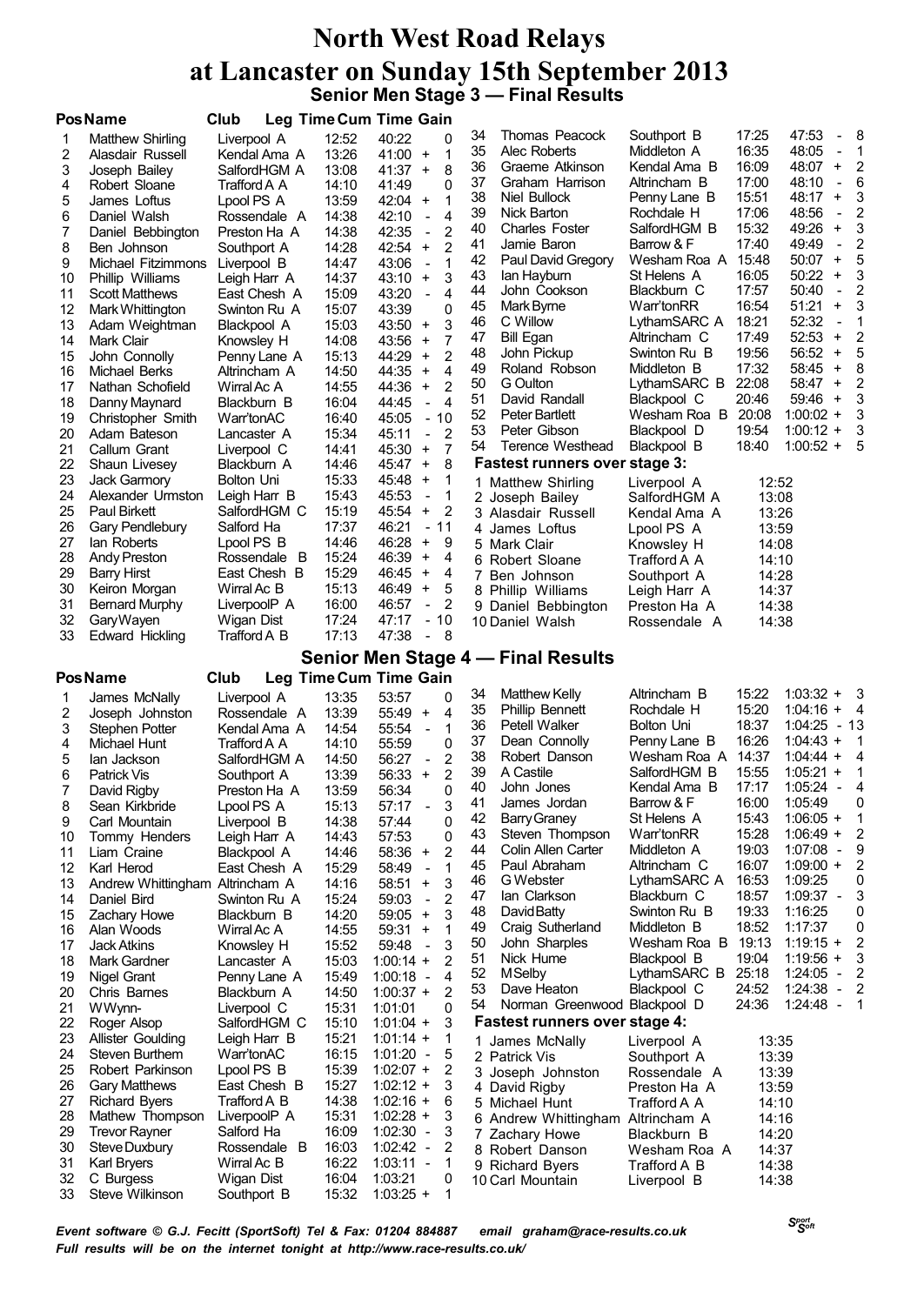# **North West Road Relays at Lancaster on Sunday 15th September 2013 Senior Men Stage 3 — Final Results**

|          | <b>PosName</b>                             | Club                         | Leg Time Cum Time Gain |                            |                                                   |          |                                        |                              |                |                                                    |                |
|----------|--------------------------------------------|------------------------------|------------------------|----------------------------|---------------------------------------------------|----------|----------------------------------------|------------------------------|----------------|----------------------------------------------------|----------------|
| 1        | Matthew Shirling                           | Liverpool A                  | 12:52                  | 40:22                      | 0                                                 | 34       | Thomas Peacock                         | Southport B                  | 17:25          | 47:53                                              | 8              |
| 2        | Alasdair Russell                           | Kendal Ama A                 | 13:26                  | 41:00                      | 1<br>$+$                                          | 35       | Alec Roberts                           | Middleton A                  | 16:35          | 48:05<br>$\qquad \qquad \blacksquare$              | 1              |
| 3        | Joseph Bailey                              | SalfordHGM A                 | 13:08                  | $41:37 +$                  | 8                                                 | 36<br>37 | Graeme Atkinson                        | Kendal Ama B                 | 16:09          | 48:07<br>$\ddot{}$<br>$\frac{1}{2}$                | $\overline{2}$ |
| 4        | Robert Sloane                              | Trafford A A                 | 14:10                  | 41:49                      | 0                                                 | 38       | Graham Harrison<br>Niel Bullock        | Altrincham B<br>Penny Lane B | 17:00<br>15:51 | 48:10<br>48:17<br>$\ddot{}$                        | 6<br>3         |
| 5        | James Loftus                               | Lpool PS A                   | 13:59                  | $42:04 +$                  | 1<br>4                                            | 39       | <b>Nick Barton</b>                     | Rochdale H                   | 17:06          | 48:56<br>$\blacksquare$                            | 2              |
| 6<br>7   | Daniel Walsh<br>Daniel Bebbington          | Rossendale A<br>Preston Ha A | 14:38<br>14:38         | 42:10<br>42:35             | $\frac{1}{2}$<br>$\overline{2}$<br>$\blacksquare$ | 40       | <b>Charles Foster</b>                  | SalfordHGM B                 | 15:32          | 49:26<br>$\begin{array}{c} + \end{array}$          | 3              |
| 8        | Ben Johnson                                | Southport A                  | 14:28                  | 42:54                      | $\overline{2}$<br>$\ddot{}$                       | 41       | Jamie Baron                            | Barrow & F                   | 17:40          | 49:49<br>$\overline{a}$                            | 2              |
| 9        | Michael Fitzimmons                         | Liverpool B                  | 14:47                  | 43:06                      | 1<br>$\overline{a}$                               | 42       | Paul David Gregory                     | Wesham Roa A                 | 15:48          | 50:07<br>$\ddot{}$                                 | 5              |
| 10       | Phillip Williams                           | Leigh Harr A                 | 14:37                  | 43:10                      | 3<br>$\ddot{}$                                    | 43       | lan Hayburn                            | St Helens A                  | 16:05          | 50:22<br>$\ddot{}$                                 | 3              |
| 11       | <b>Scott Matthews</b>                      | East Chesh A                 | 15:09                  | 43:20                      | 4<br>$\overline{a}$                               | 44       | John Cookson                           | Blackburn C                  | 17:57          | 50:40<br>$\qquad \qquad -$                         | 2              |
| 12       | Mark Whittington                           | Swinton Ru A                 | 15:07                  | 43:39                      | 0                                                 | 45       | Mark Byrne                             | Warr'tonRR                   | 16:54          | 51:21<br>$\ddot{}$                                 | 3              |
| 13       | Adam Weightman                             | Blackpool A                  | 15:03                  | 43:50                      | 3<br>$+$                                          | 46       | C Willow                               | LythamSARC A                 | 18:21          | 52:32<br>$\blacksquare$                            | 1              |
| 14       | Mark Clair                                 | Knowsley H                   | 14:08                  | 43:56                      | 7<br>$\ddot{}$                                    | 47       | <b>Bill Egan</b>                       | Altrincham C                 | 17:49          | 52:53<br>$\ddot{}$                                 | 2              |
| 15       | John Connolly                              | Penny Lane A                 | 15:13                  | 44:29                      | $\overline{2}$<br>$\ddot{}$                       | 48       | John Pickup                            | Swinton Ru B                 | 19:56          | 56:52<br>$\ddot{}$                                 | 5              |
| 16       | Michael Berks                              | Altrincham A                 | 14:50                  | 44:35                      | 4<br>$\ddot{}$                                    | 49<br>50 | Roland Robson                          | Middleton B                  | 17:32<br>22:08 | 58:45<br>$\ddot{}$<br>$58:47 +$                    | 8<br>2         |
| 17       | Nathan Schofield                           | Wirral Ac A                  | 14:55                  | 44:36                      | $\overline{2}$<br>$\ddot{}$                       | 51       | G Oulton<br>David Randall              | LythamSARC B<br>Blackpool C  | 20:46          | $59:46 +$                                          | 3              |
| 18       | Danny Maynard                              | Blackburn B                  | 16:04                  | 44:45                      | $\overline{\mathbf{A}}$<br>$\overline{a}$         | 52       | Peter Bartlett                         | Wesham Roa B                 | 20:08          | $1:00:02 +$                                        | 3              |
| 19<br>20 | Christopher Smith<br>Adam Bateson          | Warr'tonAC<br>Lancaster A    | 16:40<br>15:34         | 45:05<br>45:11             | $-10$<br>$\overline{2}$<br>$\blacksquare$         | 53       | Peter Gibson                           | Blackpool D                  | 19:54          | $1:00:12 +$                                        | 3              |
| 21       | Callum Grant                               | Liverpool C                  | 14:41                  | 45:30                      | 7<br>$\ddot{}$                                    | 54       | Terence Westhead                       | Blackpool B                  | 18:40          | $1:00:52 +$                                        | 5              |
| 22       | Shaun Livesey                              | Blackburn A                  | 14:46                  | $45:47 +$                  | 8                                                 |          | <b>Fastest runners over stage 3:</b>   |                              |                |                                                    |                |
| 23       | Jack Garmory                               | Bolton Uni                   | 15:33                  | 45:48                      | $\ddot{}$<br>1                                    |          | 1 Matthew Shirling                     | Liverpool A                  | 12:52          |                                                    |                |
| 24       | Alexander Urmston                          | Leigh Harr B                 | 15:43                  | 45:53                      | 1<br>$\blacksquare$                               |          | 2 Joseph Bailey                        | SalfordHGM A                 | 13:08          |                                                    |                |
| 25       | Paul Birkett                               | SalfordHGM C                 | 15:19                  | 45:54                      | 2<br>$\ddot{}$                                    |          | 3 Alasdair Russell                     | Kendal Ama A                 | 13:26          |                                                    |                |
| 26       | Gary Pendlebury                            | Salford Ha                   | 17:37                  | 46:21                      | $-11$                                             |          | 4 James Loftus                         | Lpool PS A                   | 13:59          |                                                    |                |
| 27       | lan Roberts                                | Lpool PS B                   | 14:46                  | 46:28                      | $\ddot{}$<br>9                                    |          | 5 Mark Clair                           | Knowsley H                   | 14:08          |                                                    |                |
| 28       | Andy Preston                               | Rossendale B                 | 15:24                  | 46:39                      | $\ddot{}$<br>4                                    |          | 6 Robert Sloane                        | Trafford A A                 | 14:10          |                                                    |                |
| 29       | <b>Barry Hirst</b>                         | East Chesh B                 | 15:29                  | 46:45                      | $+$<br>4                                          |          | 7 Ben Johnson                          | Southport A                  | 14:28          |                                                    |                |
| 30       | Keiron Morgan                              | Wirral Ac B                  | 15:13                  | 46:49                      | $+$<br>5                                          |          | 8 Phillip Williams                     | Leigh Harr A                 | 14:37          |                                                    |                |
| 31       | <b>Bernard Murphy</b>                      | LiverpoolP A                 | 16:00                  | 46:57                      | 2<br>$\blacksquare$                               |          | 9 Daniel Bebbington                    | Preston Ha A                 | 14:38          |                                                    |                |
| 32<br>33 | GaryWayen<br><b>Edward Hickling</b>        | Wigan Dist<br>Trafford A B   | 17:24<br>17:13         | 47:17<br>47:38             | $-10$<br>- 8<br>$\overline{\phantom{a}}$          |          | 10 Daniel Walsh                        | Rossendale A                 | 14:38          |                                                    |                |
|          |                                            |                              |                        |                            |                                                   |          |                                        |                              |                |                                                    |                |
|          | <b>PosName</b>                             | Club                         | Leg Time Cum Time Gain |                            |                                                   |          | Senior Men Stage 4 – Final Results     |                              |                |                                                    |                |
| 1        | James McNally                              | Liverpool A                  | 13:35                  | 53:57                      | 0                                                 | 34       | <b>Matthew Kelly</b>                   | Altrincham B                 | 15:22          | $1:03:32 +$                                        | - 3            |
| 2        | Joseph Johnston                            | Rossendale A                 | 13:39                  | 55:49                      | 4<br>$\ddot{}$                                    | 35       | <b>Phillip Bennett</b>                 | Rochdale H                   | 15:20          | $1:04:16 +$                                        | - 4            |
| 3        | Stephen Potter                             | Kendal Ama A                 | 14:54                  | 55:54                      | 1<br>$\overline{\phantom{a}}$                     | 36       | Petell Walker                          | Bolton Uni                   | 18:37          | 1:04:25                                            | - 13           |
| 4        | Michael Hunt                               | Trafford A A                 | 14:10                  | 55:59                      | 0                                                 | 37       | Dean Connolly                          | Penny Lane B                 | 16:26          | $1:04:43 +$                                        | 1              |
| 5        | lan Jackson                                | SalfordHGM A                 | 14:50                  | 56:27                      | $\overline{2}$<br>$\overline{\phantom{a}}$        | 38       | Robert Danson                          | Wesham Roa A                 | 14:37          | $1:04:44 +$                                        | 4              |
| 6        | Patrick Vis                                | Southport A                  | 13:39                  | 56:33                      | $\overline{2}$<br>$\ddot{}$                       | 39       | A Castile                              | SalfordHGM B                 | 15:55          | $1:05:21 +$                                        | 1              |
| 7        | David Rigby                                | Preston Ha A                 | 13:59                  | 56:34                      | 0                                                 | 40       | John Jones                             | Kendal Ama B                 | 17:17          | 1:05:24<br>$\blacksquare$                          | 4              |
| 8        | Sean Kirkbride                             | Lpool PS A                   | 15:13                  | 57:17                      | 3                                                 | 41       | James Jordan                           | Barrow & F                   | 16:00          | 1:05:49                                            | 0              |
| 9        | Carl Mountain                              | Liverpool B                  | 14:38                  | 57:44                      | 0                                                 | 42<br>43 | <b>Barry Graney</b><br>Steven Thompson | St Helens A<br>Warr'tonRR    | 15:43<br>15:28 | $1:06:05 +$<br>$1:06:49 +$                         | 1              |
| 10       | Tommy Henders                              | Leigh Harr A                 | 14:43                  | 57:53                      | 0                                                 | 44       | Colin Allen Carter                     | Middleton A                  | 19:03          | 1:07:08<br>$\overline{\phantom{a}}$                | 2<br>9         |
| 11       | Liam Craine<br>Karl Herod                  | Blackpool A                  | 14:46                  | 58:36                      | $\overline{2}$<br>$\ddot{}$<br>1                  | 45       | Paul Abraham                           | Altrincham C                 | 16:07          | $1:09:00 +$                                        | 2              |
| 12<br>13 | Andrew Whittingham Altrincham A            | East Chesh A                 | 15:29<br>14:16         | 58:49<br>58:51             | 3<br>$\ddot{}$                                    | 46       | G Webster                              | LythamSARC A                 | 16:53          | 1:09:25                                            | 0              |
| 14       | Daniel Bird                                | Swinton Ru A                 | 15:24                  | 59:03                      | 2<br>$\blacksquare$                               | 47       | lan Clarkson                           | Blackburn C                  | 18:57          | $1:09:37 -$                                        | 3              |
| 15       | <b>Zachary Howe</b>                        | Blackburn B                  | 14:20                  | 59:05                      | 3<br>$+$                                          | 48       | David Batty                            | Swinton Ru B                 | 19:33          | 1:16:25                                            | 0              |
| 16       | Alan Woods                                 | Wirral Ac A                  | 14:55                  | 59:31                      | $\ddot{}$<br>1                                    | 49       | Craig Sutherland                       | Middleton B                  | 18:52          | 1:17:37                                            | 0              |
| 17       | <b>Jack Atkins</b>                         | Knowsley H                   | 15:52                  | 59:48                      | 3<br>$\sim$                                       | 50       | John Sharples                          | Wesham Roa B                 | 19:13          | $1:19:15 +$                                        | 2              |
| 18       | Mark Gardner                               | Lancaster A                  | 15:03                  | $1:00:14 +$                | 2                                                 | 51       | Nick Hume                              | Blackpool B                  | 19:04          | $1:19:56 +$                                        | 3              |
| 19       | <b>Nigel Grant</b>                         | Penny Lane A                 | 15:49                  | $1:00:18 -$                | 4                                                 | 52       | <b>M</b> Selby                         | LythamSARC B                 | 25:18          | $1:24:05 -$                                        | $\overline{2}$ |
| 20       | Chris Barnes                               | Blackburn A                  | 14:50                  | $1:00:37 +$                | $\overline{2}$                                    | 53       | Dave Heaton                            | Blackpool C                  | 24:52          | 1:24:38<br>$\overline{\phantom{a}}$<br>$1:24:48 -$ | 2              |
| 21       | WWynn-                                     | Liverpool C                  | 15:31                  | 1:01:01                    | 0                                                 | 54       | Norman Greenwood Blackpool D           |                              | 24:36          |                                                    | $\blacksquare$ |
| 22<br>23 | Roger Alsop                                | SalfordHGM C                 | 15:10<br>15:21         | $1:01:04 +$                | 3                                                 |          | <b>Fastest runners over stage 4:</b>   |                              |                |                                                    |                |
| 24       | <b>Allister Goulding</b><br>Steven Burthem | Leigh Harr B<br>Warr'tonAC   | 16:15                  | $1:01:14 +$<br>$1:01:20 -$ | 1<br>5                                            |          | 1 James McNally                        | Liverpool A                  | 13:35          |                                                    |                |
| 25       | Robert Parkinson                           | Lpool PS B                   | 15:39                  | $1:02:07 +$                | 2                                                 |          | 2 Patrick Vis                          | Southport A                  | 13:39          |                                                    |                |
|          |                                            |                              | 15:27                  | $1:02:12 +$                | 3                                                 |          | 3 Joseph Johnston<br>4 David Rigby     | Rossendale A<br>Preston Ha A | 13:39<br>13:59 |                                                    |                |
|          |                                            |                              |                        |                            |                                                   |          |                                        |                              |                |                                                    |                |
| 26       | <b>Gary Matthews</b>                       | East Chesh B                 |                        |                            | 6                                                 |          |                                        |                              |                |                                                    |                |
| 27<br>28 | <b>Richard Byers</b><br>Mathew Thompson    | Trafford A B<br>LiverpoolP A | 14:38<br>15:31         | $1:02:16 +$<br>$1:02:28 +$ | 3                                                 |          | 5 Michael Hunt                         | Trafford A A                 | 14:10          |                                                    |                |
| 29       | <b>Trevor Rayner</b>                       | Salford Ha                   | 16:09                  | $1:02:30 -$                | 3                                                 |          | 6 Andrew Whittingham Altrincham A      | Blackburn B                  | 14:16          |                                                    |                |
| 30       | Steve Duxbury                              | Rossendale B                 | 16:03                  | $1:02:42 -$                | 2                                                 |          | 7 Zachary Howe<br>8 Robert Danson      | Wesham Roa A                 | 14:20<br>14:37 |                                                    |                |
| 31       | Karl Bryers                                | Wirral Ac B                  | 16:22                  | $1:03:11 -$                | 1                                                 |          | 9 Richard Byers                        | Trafford A B                 | 14:38          |                                                    |                |
| 32<br>33 | C Burgess<br>Steve Wilkinson               | Wigan Dist<br>Southport B    | 16:04<br>15:32         | 1:03:21<br>$1:03:25 +$     | 0<br>1                                            |          | 10 Carl Mountain                       | Liverpool B                  | 14:38          |                                                    |                |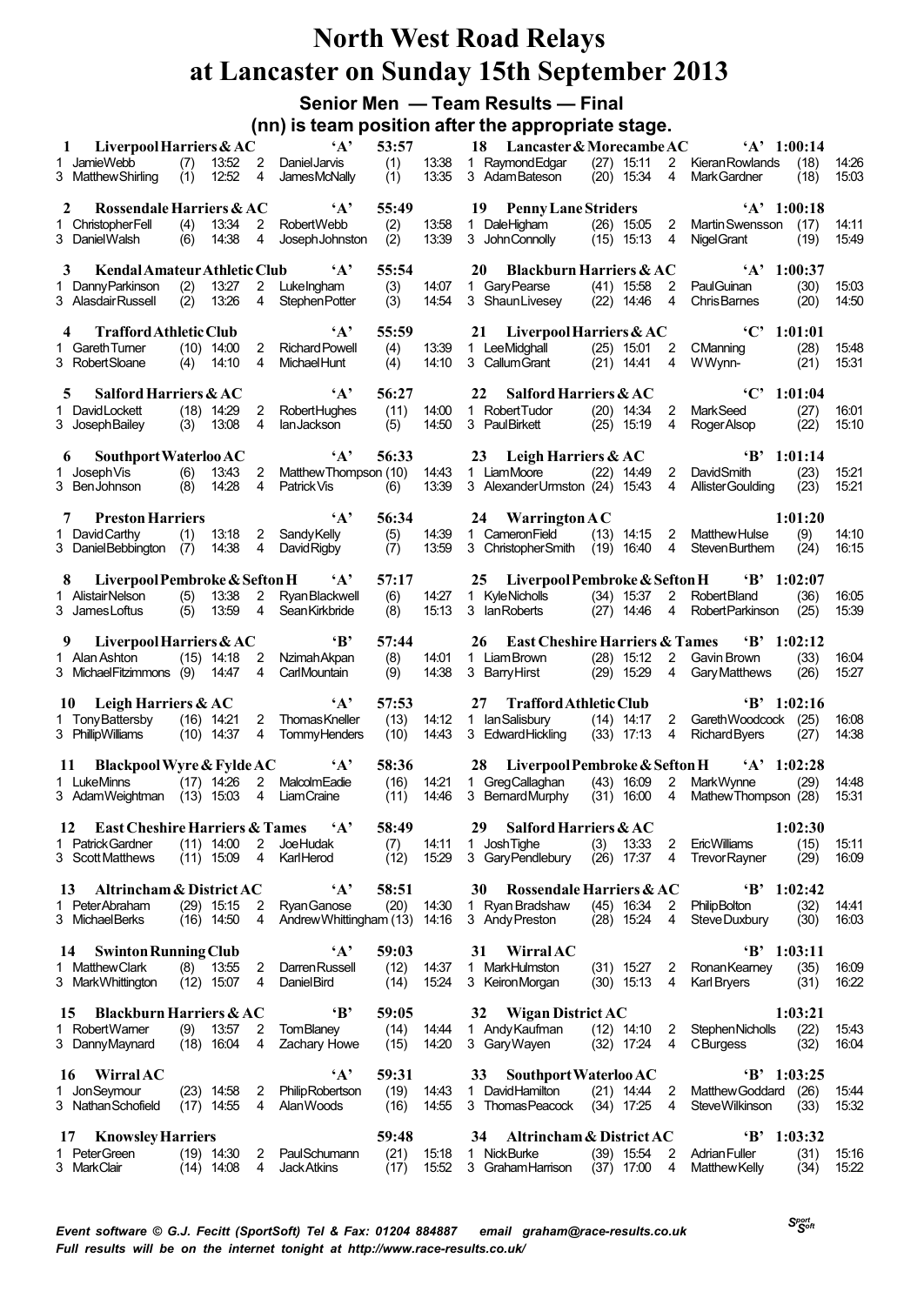# **Senior Men — Team Results — Final**

**(nn) is team position after the appropriate stage.**

| 1  | Liverpool Harriers $&AC$                         |            |                            |                                        | $\mathbf{A}$                                 | 53:57         |                | 18 Lancaster & Morecambe AC 'A' 1:00:14                                                                                                 |  |
|----|--------------------------------------------------|------------|----------------------------|----------------------------------------|----------------------------------------------|---------------|----------------|-----------------------------------------------------------------------------------------------------------------------------------------|--|
|    | 1 JamieWebb<br>3 Matthew Shirling                | (7)<br>(1) | 12:52                      | $\overline{4}$                         | 13:52 2 Daniel Jarvis<br><b>JamesMcNally</b> | (1)<br>(1)    | 13:38<br>13:35 | 1 Raymond Edgar (27) 15:11<br>2 Kieran Rowlands<br>(18)<br>14:26<br>3 AdamBateson<br>$(20)$ 15:34<br>4<br>Mark Gardner<br>15.03<br>(18) |  |
| 2  | Rossendale Harriers & AC                         |            |                            |                                        | $\mathbf{A}$                                 | 55:49         |                | 19 Penny Lane Striders<br>$'A'$ 1:00:18                                                                                                 |  |
|    | 1 Christopher Fell                               | (4)        | 13:34                      | $2^{\circ}$                            | RobertWebb                                   | (2)           | 13:58          | 1 DaleHigham<br>(26) 15:05 2 Martin Swensson (17)<br>14:11                                                                              |  |
|    | 3 DanielWalsh                                    | (6)        | 14:38                      | 4                                      | Joseph Johnston                              | (2)           | 13:39          | 3 John Connolly<br>$(15)$ 15:13 4<br>15:49<br>Nigel Grant<br>(19)                                                                       |  |
| 3  | Kendal Amateur Athletic Club 'A'                 |            |                            |                                        |                                              | 55:54         |                | 20 Blackburn Harriers & AC 'A' 1:00:37                                                                                                  |  |
|    | 1 Danny Parkinson                                | (2)        | 13:27                      | $\mathbf{2}$                           | LukeIngham                                   | (3)           | 14:07          | $(41)$ 15:58<br>2 PaulGuinan<br>(30)<br>15:03<br>1 GaryPearse                                                                           |  |
|    | 3 Alasdair Russell                               |            | $(2)$ 13:26                | 4                                      | Stephen Potter                               | (3)           | 14:54          | 3 ShaunLivesey (22) 14:46<br>$\overline{4}$<br><b>ChrisBarnes</b><br>(20)<br>14:50                                                      |  |
|    |                                                  |            |                            |                                        | $\mathbf{A}$                                 |               |                | $°C'$ 1:01:01                                                                                                                           |  |
| 4  | <b>Trafford Athletic Club</b><br>1 Gareth Turner |            | $(10)$ 14:00               |                                        | 2 Richard Powell                             | 55:59<br>(4)  | 13:39          | 21 Liverpool Harriers & AC<br>$(25)$ 15:01<br>(28)<br>1 LeeMidghall<br>2 CManning<br>15:48                                              |  |
|    | 3 Robert Sloane                                  |            | $(4)$ 14:10                | 4                                      | Michael Hunt                                 | (4)           | 14:10          | 3 Callum Grant<br>$(21)$ 14:41<br>4<br>WWynn-<br>15.31<br>(21)                                                                          |  |
|    |                                                  |            |                            |                                        |                                              |               |                |                                                                                                                                         |  |
| 5. | Salford Harriers & AC<br>1 David Lockett         |            | $(18)$ 14:29 2             |                                        | $\mathbf{A}$<br><b>RobertHughes</b>          | 56:27<br>(11) | 14:00          | $°C'$ 1:01:04<br>22<br>Salford Harriers $&AC$<br>2 MarkSeed<br>(27)<br>1 Robert Tudor<br>$(20)$ 14:34<br>16.01                          |  |
|    | 3 Joseph Bailey                                  |            | (3) 13.08                  | 4                                      | lan Jackson                                  | (5)           | 14:50          | 3 PaulBirkett<br>$(25)$ 15:19<br>15:10<br>4<br>Roger Alsop<br>(22)                                                                      |  |
|    |                                                  |            |                            |                                        |                                              |               |                |                                                                                                                                         |  |
|    | Southport Waterloo AC<br>6                       |            |                            |                                        | A'<br>Matthew Thompson (10)                  | 56:33         |                | 23 Leigh Harriers & AC<br>$B'$ 1:01:14<br>1 LiamMoore (22) 14:49 2 DavidSmith                                                           |  |
|    | 1 Joseph Vis<br>3 BenJohnson                     |            | $(6)$ 13:43<br>$(8)$ 14:28 | $\overline{2}$<br>4                    | Patrick Vis (6)                              |               | 14:43<br>13:39 | (23)<br>15.21<br>3 Alexander Urmston (24) 15:43 4 Allister Goulding (23)<br>15.21                                                       |  |
|    |                                                  |            |                            |                                        |                                              |               |                |                                                                                                                                         |  |
| 7  | <b>Preston Harriers</b>                          |            |                            |                                        | $\mathbf{A}^{\bullet}$                       | 56:34         |                | 1:01:20<br>24 Warrington $AC$                                                                                                           |  |
|    | 1 David Carthy<br>3 DanielBebbington (7)         | (1)        | 14:38                      | $\overline{4}$                         | 13:18 2 Sandy Kelly<br>David Rigby           | (5)<br>(7)    | 14:39<br>13.59 | 1 Cameron Field<br>(9)<br>$(13)$ 14:15 2 Matthew Hulse<br>14:10<br>3 ChristopherSmith (19) 16:40 4 StevenBurthem<br>16.15<br>(24)       |  |
|    |                                                  |            |                            |                                        |                                              |               |                |                                                                                                                                         |  |
| 8  | Liverpool Pembroke & Sefton H $A$                |            |                            |                                        |                                              | 57:17         |                | 25 Liverpool Pembroke & Sefton H<br>$B'$ 1:02:07                                                                                        |  |
|    | 1 AlistairNelson<br>3 James Loftus               | (5)        | 13:38<br>13:59             | $\mathbf{2}^{\circ}$<br>$\overline{4}$ | <b>Ryan Blackwell</b><br>Sean Kirkbride      | (6)           | 14:27<br>15:13 | 1 KyleNicholls (34) 15:37<br>2 RobertBland<br>(36)<br>16.05<br>3 Ian Roberts<br>$(27)$ 14:46<br><b>RobertParkinson</b><br>15.39         |  |
|    |                                                  | (5)        |                            |                                        |                                              | (8)           |                | $\overline{4}$<br>(25)                                                                                                                  |  |
|    | 9 Liverpool Harriers & AC                        |            |                            |                                        | $\mathbf{B}$                                 | 57:44         |                | <b>East Cheshire Harriers &amp; Tames</b><br>$B'$ 1:02:12<br>26                                                                         |  |
|    | 1 Alan Ashton (15) 14:18                         |            |                            | 2                                      | Nzimah Akpan                                 | (8)           | 14:01          | $(28)$ 15:12<br>1 LiamBrown<br>2 Gavin Brown<br>(33)<br>16.04                                                                           |  |
|    | 3 Michael Fitzimmons (9) 14:47                   |            |                            | 4                                      | CarlMountain                                 | (9)           | 14:38          | 3 Barry Hirst<br>$(29)$ 15:29<br>$\overline{4}$<br>Gary Matthews (26)<br>15.27                                                          |  |
|    | 10 Leigh Harriers & AC                           |            |                            |                                        | $\mathbf{A}$                                 | 57:53         |                | <b>Trafford Athletic Club</b><br>$B'$ 1:02:16<br>27                                                                                     |  |
|    | 1 Tony Battersby (16) 14:21                      |            |                            | $2^{\circ}$                            | ThomasKneller                                | (13)          | 14:12          | 2 Gareth Woodcock (25)<br>1 IanSalisbury (14) 14:17<br>16:08                                                                            |  |
|    | 3 PhillipWilliams                                |            | $(10)$ 14:37               | 4                                      | <b>TommyHenders</b>                          | (10)          | 14:43          | 3 Edward Hickling<br>14:38<br>$(33)$ 17:13 4<br><b>Richard Byers</b><br>(27)                                                            |  |
| 11 | Blackpool Wyre & Fylde AC                        |            |                            |                                        | $\mathbf{A}$                                 | 58:36         |                | 28 Liverpool Pembroke & Sefton H 'A' 1:02:28                                                                                            |  |
|    | 1 LukeMinns                                      |            | $(17)$ 14:26               | $2^{\circ}$                            | MalcolmEadie                                 | (16)          | 14:21          | $(43)$ 16:09<br>1 Grea Callaghan<br>$\overline{2}$<br>MarkWvnne<br>(29)<br>14:48                                                        |  |
|    | 3 AdamWeightman (13) 15:03                       |            |                            |                                        | 4 LiamCraine                                 | (11)          | 14:46          | 3 Bernard Murphy (31) 16:00 4<br>Mathew Thompson (28)<br>15:31                                                                          |  |
|    | 12 East Cheshire Harriers & Tames                |            |                            |                                        | $\mathbf{A}^{\bullet}$                       | 58:49         |                | 29 Salford Harriers & AC<br>1:02:30                                                                                                     |  |
| 1. | <b>Patrick Gardner</b>                           |            | $(11)$ 14:00               | 2                                      | <b>JoeHudak</b>                              | (7)           | 14:11          | <b>Josh Tighe</b><br>13:33<br>2<br><b>EricWilliams</b><br>(15)<br>15:11<br>1.<br>(3)                                                    |  |
|    | 3 Scott Matthews                                 |            | $(11)$ 15:09               | 4                                      | KarlHerod                                    | (12)          | 15.29          | 3 Gary Pendlebury<br>$(26)$ 17:37<br><b>TrevorRayner</b><br>(29)<br>16.09<br>4                                                          |  |
| 13 | Altrincham & District AC                         |            |                            |                                        | $\mathbf{A}$                                 | 58:51         |                | Rossendale Harriers & AC<br>$B'$ 1:02:42<br>30                                                                                          |  |
|    | 1 PeterAbraham                                   |            | $(29)$ 15:15               | 2                                      | Ryan Ganose                                  | (20)          | 14:30          | $(45)$ 16:34<br>(32)<br>1 Ryan Bradshaw<br>2<br><b>PhilipBolton</b><br>14:41                                                            |  |
|    | 3 MichaelBerks                                   |            | $(16)$ 14:50               | 4                                      | Andrew Whittingham (13)                      |               | 14:16          | 3 Andy Preston<br>$(28)$ 15:24<br>4<br>Steve Duxbury<br>(30)<br>16.03                                                                   |  |
| 14 | <b>Swinton Running Club</b>                      |            |                            |                                        | $\mathbf{A}$                                 | 59:03         |                | $B'$ 1:03:11<br>31<br><b>Wirral AC</b>                                                                                                  |  |
|    | 1 MatthewClark                                   | (8)        | 13:55                      | 2                                      | <b>Darren Russell</b>                        | (12)          | 14:37          | 1 MarkHulmston<br>$(31)$ 15:27<br>2<br>RonanKearney<br>(35)<br>16:09                                                                    |  |
|    | 3 Mark Whittington                               |            | $(12)$ 15:07               | 4                                      | Daniel Bird                                  | (14)          | 15:24          | 16:22<br>3 Keiron Morgan<br>$(30)$ 15:13<br>(31)<br>4<br><b>Karl Bryers</b>                                                             |  |
| 15 | <b>Blackburn Harriers &amp; AC</b>               |            |                            |                                        | $\mathbf{B}$                                 | 59:05         |                | 1:03:21<br>32<br><b>Wigan District AC</b>                                                                                               |  |
|    | 1 RobertWamer                                    | (9)        | 13:57                      | 2                                      | <b>TomBlaney</b>                             | (14)          | 14:44          | 1 Andy Kaufman<br>(22)<br>$(12)$ 14:10<br>Stephen Nicholls<br>2<br>1543                                                                 |  |
|    | 3 DannyMaynard                                   |            | $(18)$ 16:04               | 4                                      | Zachary Howe                                 | (15)          | 14:20          | 3 Gary Wayen<br>$(32)$ 17:24<br><b>C</b> Burgess<br>(32)<br>16:04<br>4                                                                  |  |
| 16 | <b>Wirral AC</b>                                 |            |                            |                                        | $\mathbf{A}$                                 | 59:31         |                | Southport Waterloo AC<br>$B'$ 1:03:25<br>33                                                                                             |  |
|    | 1 JonSeymour                                     |            | $(23)$ 14:58               | 2                                      | <b>Philip Robertson</b>                      | (19)          | 14:43          | 1 DavidHamilton<br>$(21)$ 14:44<br>(26)<br>2<br>Matthew Goddard<br>15.44                                                                |  |
|    | 3 Nathan Schofield                               |            | $(17)$ 14:55               | 4                                      | <b>AlanWoods</b>                             | (16)          | 14:55          | 3 Thomas Peacock<br>$(34)$ 17:25<br>4<br>Steve Wilkinson<br>15.32<br>(33)                                                               |  |
| 17 | <b>Knowsley Harriers</b>                         |            |                            |                                        |                                              | 59:48         |                | Altrincham & District AC<br>$\cdot$ B'<br>1:03:32<br>34                                                                                 |  |
|    | 1 PeterGreen                                     |            | $(19)$ 14:30               | 2                                      | PaulSchumann                                 | (21)          | 15:18          | 1 NickBurke<br>$(39)$ 15:54<br>2<br><b>Adrian Fuller</b><br>(31)<br>15.16                                                               |  |
|    | 3 MarkClair                                      |            | $(14)$ 14:08               | 4                                      | Jack Atkins                                  | (17)          | 15.52          | 3 Graham Harrison<br>$(37)$ 17:00<br><b>Matthew Kelly</b><br>(34)<br>15.22<br>4                                                         |  |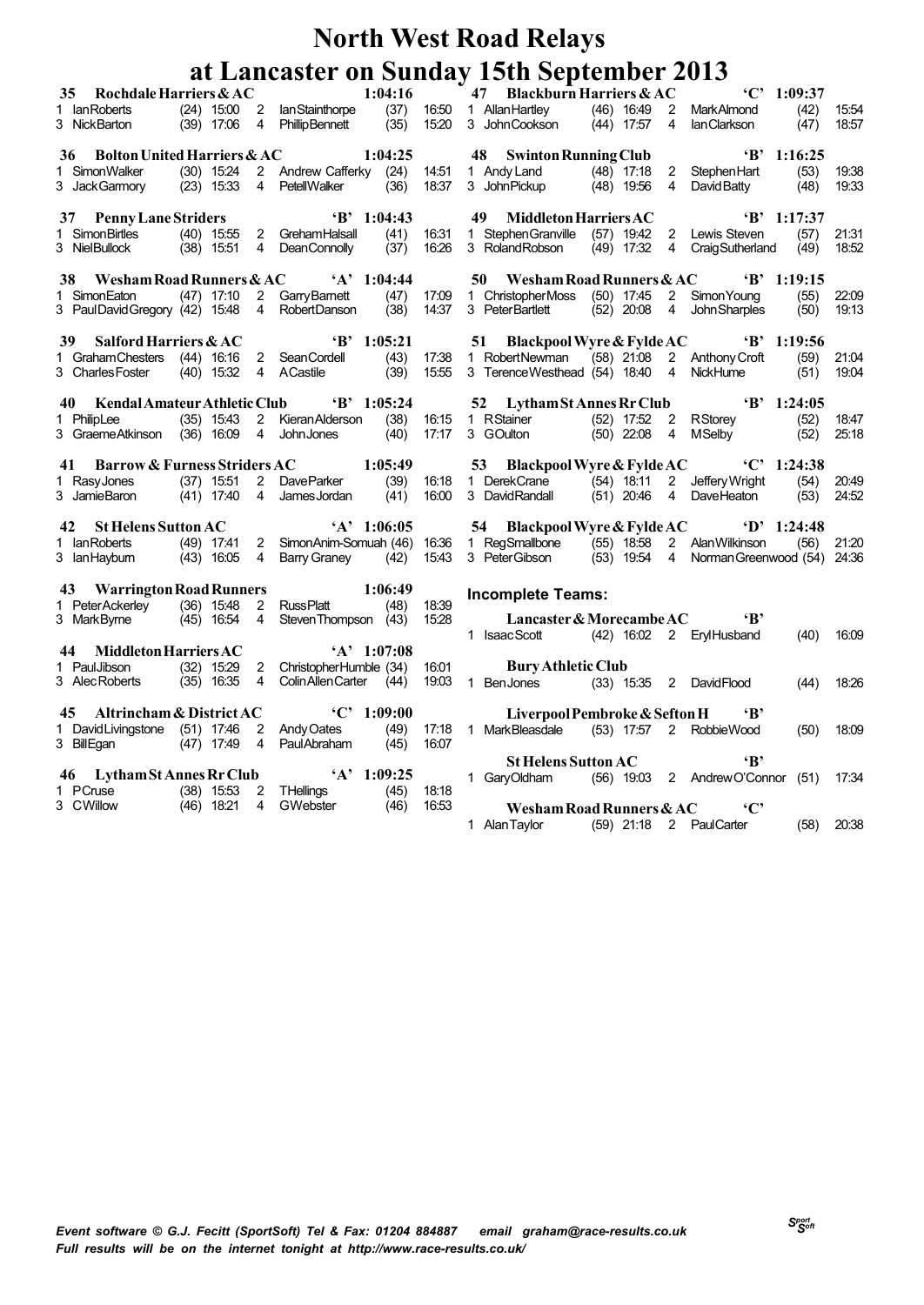|      | Rochdale Harriers & AC<br>35 <sup>7</sup>                 |                |                |                                                                                                                                                                                   | 1:04:16      |                |    | $\sim 47$ Blackburn Harriers & AC                                         |            |                                   | $°C'$ 1:09:37        |                |
|------|-----------------------------------------------------------|----------------|----------------|-----------------------------------------------------------------------------------------------------------------------------------------------------------------------------------|--------------|----------------|----|---------------------------------------------------------------------------|------------|-----------------------------------|----------------------|----------------|
|      | 1 Ian Roberts                                             |                |                | (24) 15:00 2 Ian Stainthorpe (37) 16:50 1 Allan Hartley                                                                                                                           |              |                |    |                                                                           |            | (46) 16:49 2 MarkAlmond           | (42)                 | 15.54          |
|      | 3 NickBarton                                              | $(39)$ 17:06 4 |                | <b>Phillip Bennett</b>                                                                                                                                                            | (35)         | 15:20          |    | 3 John Cookson (44) 17:57 4                                               |            | lanClarkson                       | (47)                 | 18.57          |
|      |                                                           |                |                |                                                                                                                                                                                   |              |                |    |                                                                           |            |                                   |                      |                |
| 36   | <b>Bolton United Harriers &amp; AC</b>                    |                |                |                                                                                                                                                                                   | 1:04:25      |                |    | 48 Swinton Running Club                                                   |            |                                   | $B'$ 1:16:25         |                |
|      | SimonWalker                                               |                |                | (30) 15:24 2 Andrew Cafferky (24) 14:51                                                                                                                                           |              |                |    | 1 Andy Land (48) 17:18 2 Stephen Hart (53)                                |            |                                   |                      | 19:38          |
|      | 3 JackGarmory                                             |                |                | $(23)$ 15:33 4 PetellWalker $(36)$                                                                                                                                                |              | 18:37          |    | 3 John Pickup (48) 19:56 4                                                |            | David Batty (48)                  |                      | 19.33          |
|      |                                                           |                |                |                                                                                                                                                                                   |              |                |    |                                                                           |            |                                   |                      |                |
|      | 37 Penny Lane Striders                                    |                |                | $B'$ 1:04:43                                                                                                                                                                      |              |                | 49 | Middleton Harriers AC                                                     |            |                                   | $B'$ 1:17:37         |                |
|      | 1 Simon Birtles                                           |                |                | (40) 15:55 2 Greham Halsall                                                                                                                                                       | (41)         | 16:31          |    | 1 StephenGranville (57) 19:42 2 Lewis Steven                              |            |                                   | (57)                 | 21:31          |
|      | 3 NielBullock                                             |                |                | (38) 15:51 4 DeanConnolly                                                                                                                                                         | (37)         | 16:26          |    | 3 Roland Robson                                                           | (49) 17:32 | 4 Craig Sutherland (49)           |                      | 18.52          |
|      |                                                           |                |                |                                                                                                                                                                                   |              |                |    |                                                                           |            |                                   |                      |                |
| 38   | Wesham Road Runners & AC                                  |                |                | $A'$ 1:04:44                                                                                                                                                                      |              |                |    | 50 Wesham Road Runners & AC<br>1 ChristopherMoss (50) 17:45 2 Simon Young |            |                                   | $\textbf{B}$ 1:19:15 |                |
|      | 1 SimonEaton<br>3 PaulDavidGregory (42) 15:48 4           |                |                | (47) 17:10 2 Garry Barnett<br>(42) 15:48 4 Robert Danson                                                                                                                          | (47)<br>(38) | 17:09<br>14:37 |    |                                                                           |            | (52) 20:08 4 John Sharples        | (55)                 | 22:09<br>19:13 |
|      |                                                           |                |                |                                                                                                                                                                                   |              |                |    | 3 PeterBartlett                                                           |            |                                   | (50)                 |                |
| 39 · | Salford Harriers & AC                                     |                |                | $B'$ 1:05:21                                                                                                                                                                      |              |                | 51 | Blackpool Wyre & Fylde AC                                                 |            | $\bullet$ B' 1:19:56              |                      |                |
|      | 1 Graham Chesters (44) 16:16 2 Sean Cordell               |                |                |                                                                                                                                                                                   |              | 17:38          |    | 1 RobertNewman                                                            |            | (58) 21.08 2 Anthony Croft        | (59)                 | 21:04          |
|      | 3 Charles Foster                                          |                |                | dell (43)<br>(39)<br>(40) 15:32 4 A Castile                                                                                                                                       |              | 15.55          |    | 3 TerenceWesthead (54) 18:40 4 NickHume                                   |            |                                   | (51)                 | 19.04          |
|      |                                                           |                |                |                                                                                                                                                                                   |              |                |    |                                                                           |            |                                   |                      |                |
|      | Kendal Amateur Athletic Club<br>40                        |                |                | $\cdot$ B' 1:05:24                                                                                                                                                                |              |                |    | 52 Lytham St Annes Rr Club                                                |            |                                   | $B'$ 1:24:05         |                |
|      | 1 PhilipLee                                               |                |                | (35) 15:43 2 Kieran Alderson                                                                                                                                                      | (38)         | 16:15          |    |                                                                           |            |                                   | (52)                 | 18.47          |
|      | 3 GraemeAtkinson (36) 16:09 4 John Jones                  |                |                |                                                                                                                                                                                   | (40)         | 17:17          |    | 1 RStainer (52) 17:52 2 RStorey<br>3 GOulton (50) 22:08 4 MSelby          |            |                                   | (52)                 | 25.18          |
|      |                                                           |                |                |                                                                                                                                                                                   |              |                |    |                                                                           |            |                                   |                      |                |
|      |                                                           |                |                | 41 Barrow & Furness Striders AC 1:05:49                                                                                                                                           |              |                |    | 53 Blackpool Wyre & Fylde AC <sup>C</sup> 1:24:38                         |            |                                   |                      |                |
|      |                                                           |                |                | 1 RasyJones (37) 15:51 2 DaveParker (39) 16:18 1 DerekCrane (54) 18:11 2 JefferyWright<br>3 JamieBaron (41) 17:40 4 JamesJordan (41) 16:00 3 DavidRandall (51) 20:46 4 DaveHeaton |              |                |    |                                                                           |            |                                   | (54)                 | 20:49          |
|      |                                                           |                |                |                                                                                                                                                                                   |              |                |    |                                                                           |            |                                   | (53)                 | 24.52          |
|      |                                                           |                |                |                                                                                                                                                                                   |              |                |    |                                                                           |            |                                   |                      |                |
|      |                                                           |                |                | 42 St Helens Sutton AC 'A' 1:06:05                                                                                                                                                |              |                |    | 54 Blackpool Wyre & Fylde AC <sup>(D'</sup> 1:24:48)                      |            |                                   |                      |                |
|      |                                                           |                |                | 1 lanRoberts (49) 17:41 2 SimonAnim-Somuah (46) 16:36 1 RegSmallbone (55) 18:58 2 AlanWilkinson (56)                                                                              |              |                |    |                                                                           |            |                                   |                      | 21:20          |
|      | 3 lanHaybum (43) 16:05 4                                  |                |                | Barry Graney (42) 15:43                                                                                                                                                           |              |                |    | 3 PeterGibson (53) 19:54 4 Norman Greenwood (54) 24:36                    |            |                                   |                      |                |
|      | 43 Warrington Road Runners                                |                |                |                                                                                                                                                                                   |              |                |    |                                                                           |            |                                   |                      |                |
|      | 1 Peter Ackerley (36) 15:48 2                             |                |                | $1:06:49$<br>RussPlatt (48) 18:39                                                                                                                                                 |              |                |    | <b>Incomplete Teams:</b>                                                  |            |                                   |                      |                |
|      | 3 MarkByrne                                               | $(45)$ 16:54 4 |                | Steven Thompson (43)                                                                                                                                                              |              | 15:28          |    | Lancaster & Morecambe AC<br>'B'                                           |            |                                   |                      |                |
|      |                                                           |                |                |                                                                                                                                                                                   |              |                |    | 1 IsaacScott (42) 16:02 2 ErylHusband                                     |            |                                   | (40)                 | 16.09          |
|      | Middleton Harriers AC<br>44                               |                |                |                                                                                                                                                                                   |              |                |    |                                                                           |            |                                   |                      |                |
|      |                                                           |                |                |                                                                                                                                                                                   |              |                |    |                                                                           |            |                                   |                      |                |
|      |                                                           |                |                | $A' = 1:07:08$                                                                                                                                                                    |              |                |    |                                                                           |            |                                   |                      |                |
|      | 1 Paul Jibson (32) 15:29 2                                |                |                | ChristopherHumble (34)                                                                                                                                                            |              | 16:01          |    | <b>Bury Athletic Club</b>                                                 |            |                                   |                      |                |
|      | 3 Alec Roberts                                            | $(35)$ 16:35 4 |                | Colin Allen Carter (44)                                                                                                                                                           |              | 19:03          |    | 1 BenJones (33) 15:35 2 DavidFlood                                        |            |                                   | (44)                 | 18.26          |
|      | 45 Altrincham & District AC                               |                |                | ${^4}C$ , 1:09:00                                                                                                                                                                 |              |                |    |                                                                           |            | $\mathbf{B}$                      |                      |                |
|      |                                                           |                | $\overline{2}$ |                                                                                                                                                                                   |              |                |    | Liverpool Pembroke & Sefton H                                             |            |                                   |                      | 18.09          |
|      | 1 David Livingstone (51) 17:46<br>3 BillEgan (47) 17:49 4 |                |                |                                                                                                                                                                                   |              |                |    | 1 MarkBleasdale (53) 17:57 2 RobbieWood                                   |            |                                   | (50)                 |                |
|      |                                                           |                |                | Andy Oates (49) 17:18<br>Paul Abraham (45) 16:07                                                                                                                                  |              |                |    | <b>St Helens Sutton AC</b>                                                |            | $\mathbf{R}$                      |                      |                |
|      |                                                           |                |                | 46 Lytham St Annes Rr Club 'A' 1:09:25                                                                                                                                            |              |                |    | 1 GaryOldham                                                              |            | (56) 19:03 2 Andrew O'Connor (51) |                      | 17:34          |
|      | 1 PCruse (38) 15:53 2                                     |                |                |                                                                                                                                                                                   |              | 18:18          |    |                                                                           |            |                                   |                      |                |
|      | 3 CWillow                                                 | (46) 18:21     | $\overline{4}$ | THellings                   (45)<br>GWebster                (46)                                                                                                                  |              | 16:53          |    | Wesham Road Runners & AC C'                                               |            |                                   |                      |                |
|      |                                                           |                |                |                                                                                                                                                                                   |              |                |    | 1 Alan Taylor (59) 21:18 2 Paul Carter                                    |            |                                   | $(58)$ 20:38         |                |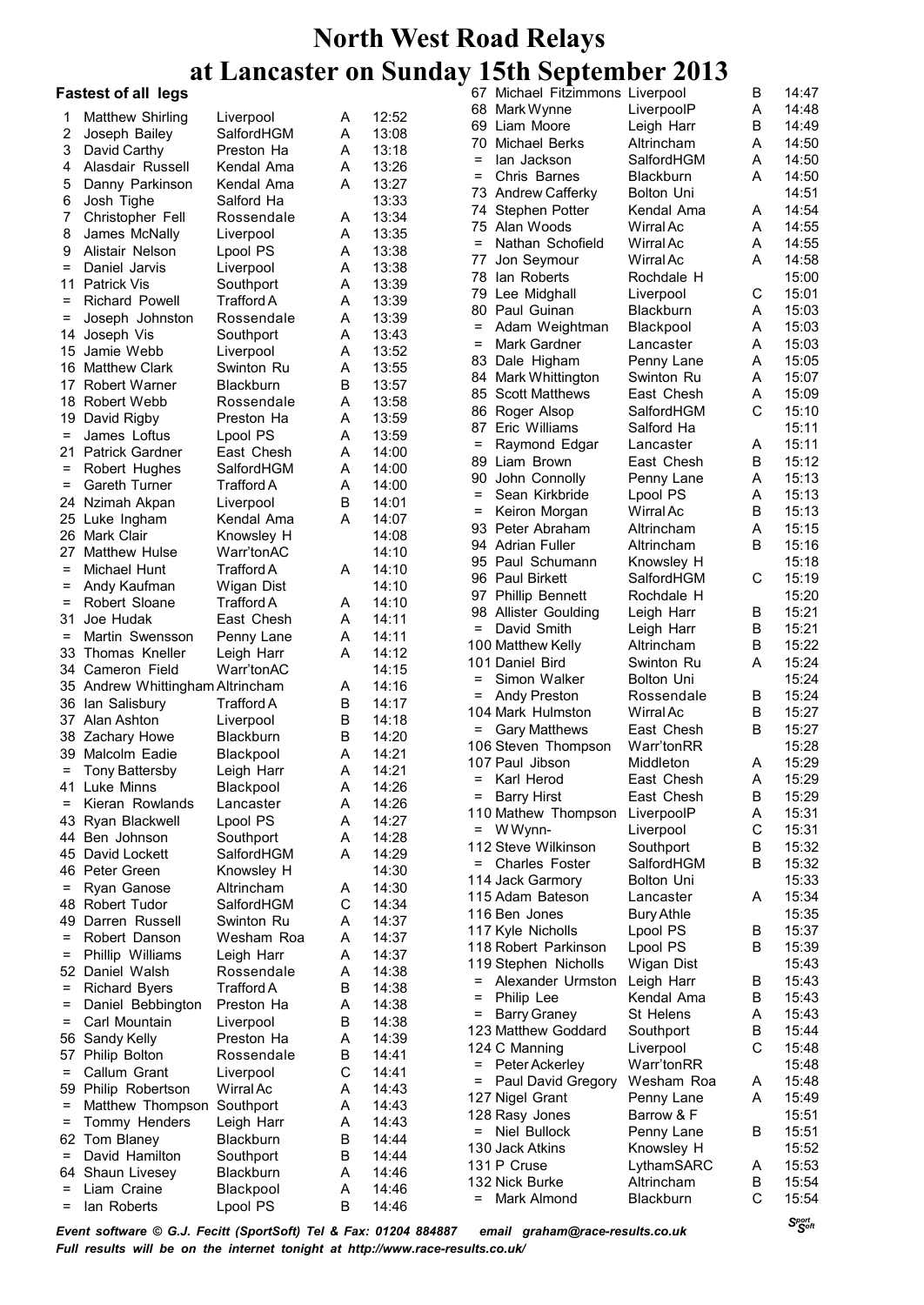#### **Fastest of all legs**

| 1                 | Matthew Shirling                   | Liverpool               | A      | 12:52          |     | 68 Mark Wynne                    |
|-------------------|------------------------------------|-------------------------|--------|----------------|-----|----------------------------------|
| $\overline{2}$    | Joseph Bailey                      | SalfordHGM              | A      | 13:08          |     | 69 Liam Moore                    |
| 3                 | David Carthy                       | Preston Ha              | Α      | 13:18          |     | 70 Michael Berl                  |
| 4                 | Alasdair Russell                   | Kendal Ama              | Α      | 13:26          | $=$ | lan Jackson                      |
| 5                 | Danny Parkinson                    | Kendal Ama              | A      | 13:27          | Ξ   | Chris Barne                      |
| 6                 | Josh Tighe                         | Salford Ha              |        | 13:33          |     | 73 Andrew Caff<br>74 Stephen Pot |
| 7                 | Christopher Fell                   | Rossendale              | A      | 13:34          |     | 75 Alan Woods                    |
| 8                 | James McNally                      | Liverpool               | Α      | 13:35          | $=$ | Nathan Sch                       |
| 9                 | Alistair Nelson                    | Lpool PS                | Α      | 13:38          | 77  | Jon Seymou                       |
| $=$               | Daniel Jarvis                      | Liverpool               | Α      | 13:38          |     | 78 Ian Roberts                   |
|                   | 11 Patrick Vis                     | Southport               | Α      | 13:39          |     | 79 Lee Midghal                   |
| $=$               | Richard Powell                     | Trafford A              | Α      | 13:39          |     | 80 Paul Guinar                   |
| =                 | Joseph Johnston                    | Rossendale              | Α      | 13:39          | $=$ | Adam Weigl                       |
| 14                | Joseph Vis<br>15 Jamie Webb        | Southport               | Α<br>Α | 13:43<br>13:52 | Ξ   | Mark Gardne                      |
|                   | 16 Matthew Clark                   | Liverpool<br>Swinton Ru | Α      | 13:55          |     | 83 Dale Highar                   |
|                   | 17 Robert Warner                   | <b>Blackburn</b>        | В      | 13:57          |     | 84 Mark Whittin                  |
|                   | 18 Robert Webb                     | Rossendale              | Α      | 13:58          |     | 85 Scott Matthe                  |
|                   | 19 David Rigby                     | Preston Ha              | Α      | 13:59          |     | 86 Roger Alsop                   |
| $\equiv$          | James Loftus                       | Lpool PS                | Α      | 13:59          |     | 87 Eric William                  |
|                   | 21 Patrick Gardner                 | East Chesh              | Α      | 14:00          | $=$ | Raymond E                        |
| $=$               | Robert Hughes                      | SalfordHGM              | Α      | 14:00          |     | 89 Liam Brown                    |
| $\qquad \qquad =$ | <b>Gareth Turner</b>               | Trafford A              | Α      | 14:00          | 90  | John Conno                       |
|                   | 24 Nzimah Akpan                    | Liverpool               | B      | 14:01          | $=$ | Sean Kirkbr                      |
|                   | 25 Luke Ingham                     | Kendal Ama              | A      | 14:07          | =   | Keiron Morg                      |
|                   | 26 Mark Clair                      | Knowsley H              |        | 14:08          |     | 93 Peter Abrah                   |
| 27                | Matthew Hulse                      | Warr'tonAC              |        | 14:10          |     | 94 Adrian Fulle                  |
| $\qquad \qquad =$ | Michael Hunt                       | <b>Trafford A</b>       | Α      | 14:10          |     | 95 Paul Schum<br>96 Paul Birkett |
| =                 | Andy Kaufman                       | Wigan Dist              |        | 14:10          |     | 97 Phillip Benn                  |
| =                 | Robert Sloane                      | <b>Trafford A</b>       | A      | 14:10          |     | 98 Allister Goul                 |
| 31                | Joe Hudak                          | East Chesh              | Α      | 14:11          | $=$ | David Smith                      |
| $=$               | Martin Swensson                    | Penny Lane              | Α      | 14:11          |     | 100 Matthew Kel                  |
| 33                | Thomas Kneller                     | Leigh Harr              | A      | 14:12          |     | 101 Daniel Bird                  |
|                   | 34 Cameron Field                   | Warr'tonAC              |        | 14:15          | Ξ   | Simon Walk                       |
|                   | 35 Andrew Whittingham Altrincham   |                         | A      | 14:16          | =   | <b>Andy Presto</b>               |
|                   | 36 Ian Salisbury<br>37 Alan Ashton | Trafford A<br>Liverpool | В<br>В | 14:17<br>14:18 |     | 104 Mark Hulms                   |
|                   | 38 Zachary Howe                    | Blackburn               | В      | 14:20          | =   | <b>Gary Matthe</b>               |
|                   | 39 Malcolm Eadie                   | Blackpool               | Α      | 14:21          |     | 106 Steven Thor                  |
| $=$               | <b>Tony Battersby</b>              | Leigh Harr              | Α      | 14:21          |     | 107 Paul Jibson                  |
| 41                | Luke Minns                         | Blackpool               | A      | 14:26          | Ξ   | Karl Herod                       |
| Ξ                 | Kieran Rowlands                    | Lancaster               | A      | 14:26          | =   | <b>Barry Hirst</b>               |
|                   | 43 Ryan Blackwell                  | Lpool PS                | A      | 14:27          |     | 110 Mathew Tho                   |
|                   | 44 Ben Johnson                     | Southport               | Α      | 14:28          |     | $=$ WWynn-                       |
|                   | 45 David Lockett                   | SalfordHGM              | A      | 14:29          |     | 112 Steve Wilkin                 |
|                   | 46 Peter Green                     | Knowsley H              |        | 14:30          | =   | Charles Fos                      |
| $=$               | Ryan Ganose                        | Altrincham              | A      | 14:30          |     | 114 Jack Garmo<br>115 Adam Bates |
|                   | 48 Robert Tudor                    | SalfordHGM              | С      | 14:34          |     | 116 Ben Jones                    |
|                   | 49 Darren Russell                  | Swinton Ru              | A      | 14:37          |     | 117 Kyle Nicholl:                |
| $=$               | Robert Danson                      | Wesham Roa              | A      | 14:37          |     | 118 Robert Park                  |
| $\equiv$          | Phillip Williams                   | Leigh Harr              | A      | 14:37          |     | 119 Stephen Nio                  |
|                   | 52 Daniel Walsh                    | Rossendale              | A      | 14:38          | $=$ | Alexander L                      |
| $=$               | <b>Richard Byers</b>               | Trafford A              | В      | 14:38          | $=$ | Philip Lee                       |
| =                 | Daniel Bebbington                  | Preston Ha              | Α      | 14:38          | =   | Barry Graney                     |
| $=$               | Carl Mountain                      | Liverpool               | B      | 14:38          |     | 123 Matthew Go                   |
|                   | 56 Sandy Kelly                     | Preston Ha              | Α      | 14:39          |     | 124 C Manning                    |
| 57<br>$=$         | Philip Bolton<br>Callum Grant      | Rossendale<br>Liverpool | В<br>С | 14:41<br>14:41 | =   | Peter Ackerk                     |
|                   | 59 Philip Robertson                | Wirral Ac               | A      | 14:43          | $=$ | Paul David 0                     |
| $=$               | Matthew Thompson Southport         |                         | A      | 14:43          |     | 127 Nigel Grant                  |
| $\qquad \qquad =$ | Tommy Henders                      | Leigh Harr              | A      | 14:43          |     | 128 Rasy Jones                   |
|                   | 62 Tom Blaney                      | <b>Blackburn</b>        | В      | 14:44          | $=$ | <b>Niel Bullock</b>              |
| $\equiv$          | David Hamilton                     | Southport               | В      | 14:44          |     | 130 Jack Atkins                  |
|                   | 64 Shaun Livesey                   | Blackburn               | Α      | 14:46          |     | 131 P Cruse                      |
| $\equiv$          | Liam Craine                        | Blackpool               | Α      | 14:46          |     | 132 Nick Burke                   |
| $=$               | lan Roberts                        | Lpool PS                | B      | 14:46          | $=$ | Mark Almon                       |

67 Michael Fitzimmons Liverpool B 14:47 LiverpoolP A Leigh Harr B 14:49 ks Altrincham A 14:50 SalfordHGM A 14:50 = Chris Barnes Blackburn A 14:50 **Bolton Uni** tter Kendal Ama A 14:54<br>; Wirral Ac A 14:55 Wirral Ac 14:55 A ofield WirralAc A 14:55 ar WirralAc A 14:58 Rochdale H 15:00<br>
Liverpool C 15:01 79 II Liverpool C 15:01<br>79:51 Blackburn A 15:03 n Blackburn A htman Blackpool A 15:03 er Lancaster A 15:03 m Penny Lane A 15:05 gton Swinton Ru A 15:07 865 Scott Chesh A 15:09 8alfordHGM C 15:10 s Salford Ha 15:11 dgar Lancaster A 15:11 East Chesh B 15:12 Ily Penny Lane A 15:13 ide Lpool PS A 15:13 an WirralAc B 15:13 am Altrincham A 15:15 Altrincham B 15:16 ann Knowsley H 15:18 SalfordHGM C 15:19 ett Rochdale H 15:20 lding Leigh Harr B 15:21 Leigh Harr B 15:21<br>Altrincham B 15:22 lly Altrincham Swinton Ru A 15:24 er Bolton Uni 15:24 n Rossendale B 15:24 ton WirralAc B 15:27 Watthews East Chesh B 15:27 106 Steven Thompson Warr'tonRR 15:28 Middleton East Chesh A 15:29 East Chesh B 15:29 ompson LiverpoolP A 15:31 Liverpool C 15:31 12 Ison Southport B 15:32 ster SalfordHGM B 15:32 ry Bolton Uni 15:33 son Lancaster A 15:34 Bury Athle 15:35 s Lpool PS B 15:37 kinson Lpool PS B 15:39 cholls Wigan Dist 15:43 Jrmston Leigh Harr B 15:43 Kendal Ama B 15:43 St Helens A 15:43 ddard Southport B 15:44 Liverpool C 15:48 ey Warr'tonRR 15:48 exegory Wesham Roa A 15:48<br>Penny Lane A 15:49 Penny Lane A **15:51 Barrow & F 15:51**<br> **12:51 B** 15:51 Penny Lane B 15:51 Knowsley H 15:52 LythamSARC A 15:53 Altrincham B 15:54 d Blackburn C 15:54